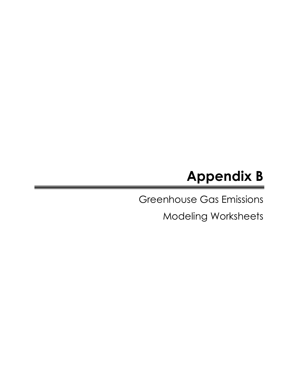# Appendix B

Greenhouse Gas Emissions

Modeling Worksheets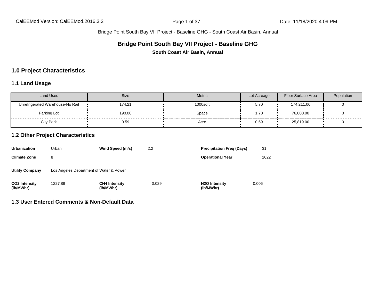#### **Bridge Point South Bay VII Project - Baseline GHG**

**South Coast Air Basin, Annual**

# **1.0 Project Characteristics**

#### **1.1 Land Usage**

| Land Uses                        | Size   | Metric   | Lot Acreage | Floor Surface Area | Population |
|----------------------------------|--------|----------|-------------|--------------------|------------|
| Unrefrigerated Warehouse-No Rail | 174.21 | 1000saft | 5.70        | 174,211.00         |            |
| Parking Lot                      | 190.00 | Space    | 1.70        | 76,000.00          |            |
| City Park                        | 0.59   | Acre     | 0.59        | 25,819.00          |            |

#### **1.2 Other Project Characteristics**

| Urbanization                      | Urban                                   | Wind Speed (m/s)                  | 2.2   | <b>Precipitation Freg (Days)</b>        | 31    |
|-----------------------------------|-----------------------------------------|-----------------------------------|-------|-----------------------------------------|-------|
| <b>Climate Zone</b>               | 8                                       |                                   |       | <b>Operational Year</b>                 | 2022  |
| <b>Utility Company</b>            | Los Angeles Department of Water & Power |                                   |       |                                         |       |
| <b>CO2 Intensity</b><br>(lb/MWhr) | 1227.89                                 | <b>CH4 Intensity</b><br>(lb/MWhr) | 0.029 | N <sub>2</sub> O Intensity<br>(lb/MWhr) | 0.006 |

**1.3 User Entered Comments & Non-Default Data**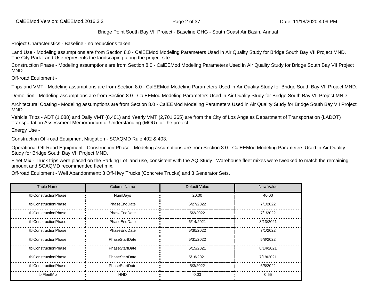Project Characteristics - Baseline - no reductions taken.

Land Use - Modeling assumptions are from Section 8.0 - CalEEMod Modeling Parameters Used in Air Quality Study for Bridge South Bay VII Project MND. The City Park Land Use represents the landscaping along the project site.

Construction Phase - Modeling assumptions are from Section 8.0 - CalEEMod Modeling Parameters Used in Air Quality Study for Bridge South Bay VII Project MND.

Off-road Equipment -

Trips and VMT - Modeling assumptions are from Section 8.0 - CalEEMod Modeling Parameters Used in Air Quality Study for Bridge South Bay VII Project MND.

Demolition - Modeling assumptions are from Section 8.0 - CalEEMod Modeling Parameters Used in Air Quality Study for Bridge South Bay VII Project MND.

Architectural Coating - Modeling assumptions are from Section 8.0 - CalEEMod Modeling Parameters Used in Air Quality Study for Bridge South Bay VII Project MND.

Vehicle Trips - ADT (1,088) and Daily VMT (8,401) and Yearly VMT (2,701,365) are from the City of Los Angeles Department of Transportation (LADOT) Transportation Assessment Memorandum of Understanding (MOU) for the project.

Energy Use -

Construction Off-road Equipment Mitigation - SCAQMD Rule 402 & 403.

Operational Off-Road Equipment - Construction Phase - Modeling assumptions are from Section 8.0 - CalEEMod Modeling Parameters Used in Air Quality Study for Bridge South Bay VII Project MND.

Fleet Mix - Truck trips were placed on the Parking Lot land use, consistent with the AQ Study. Warehouse fleet mixes were tweaked to match the remaining amount and SCAQMD recommended fleet mix.

Off-road Equipment - Well Abandonment: 3 Off-Hwy Trucks (Concrete Trucks) and 3 Generator Sets.

| <b>Table Name</b>    | <b>Column Name</b> | Default Value | New Value |
|----------------------|--------------------|---------------|-----------|
| tblConstructionPhase | NumDays            | 20.00         | 40.00     |
| tblConstructionPhase | PhaseEndDate       | 6/27/2022     | 7/1/2022  |
| tblConstructionPhase | PhaseEndDate       | 5/2/2022      | 7/1/2022  |
| tblConstructionPhase | PhaseEndDate       | 6/14/2021     | 8/13/2021 |
| tblConstructionPhase | PhaseEndDate       | 5/30/2022     | 7/1/2022  |
| tblConstructionPhase | PhaseStartDate     | 5/31/2022     | 5/8/2022  |
| tblConstructionPhase | PhaseStartDate     | 6/15/2021     | 8/14/2021 |
| tblConstructionPhase | PhaseStartDate     | 5/18/2021     | 7/18/2021 |
| tblConstructionPhase | PhaseStartDate     | 5/3/2022      | 6/5/2022  |
| tblFleetMix          | <b>HHD</b>         | 0.03          | 0.55      |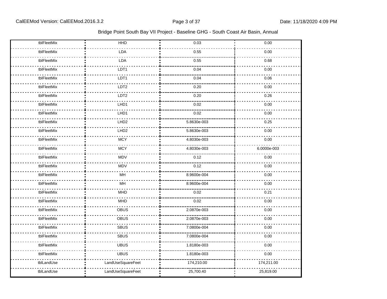| tblFleetMix | HHD               | 0.03        | 0.00        |
|-------------|-------------------|-------------|-------------|
| tblFleetMix | LDA               | 0.55        | 0.00        |
| tblFleetMix | LDA               | 0.55        | 0.68        |
| tblFleetMix | LDT1              | 0.04        | 0.00        |
| tblFleetMix | LDT1              | 0.04        | 0.06        |
| tblFleetMix | LDT <sub>2</sub>  | 0.20        | 0.00        |
| tblFleetMix | LDT <sub>2</sub>  | 0.20        | 0.26        |
| tblFleetMix | LHD1              | 0.02        | 0.00        |
| tblFleetMix | LHD1              | 0.02        | 0.00        |
| tblFleetMix | LHD <sub>2</sub>  | 5.8630e-003 | 0.25        |
| tblFleetMix | LHD <sub>2</sub>  | 5.8630e-003 | 0.00        |
| tblFleetMix | <b>MCY</b>        | 4.8030e-003 | 0.00        |
| tblFleetMix | <b>MCY</b>        | 4.8030e-003 | 6.0000e-003 |
| tblFleetMix | <b>MDV</b>        | 0.12        | 0.00        |
| tblFleetMix | <b>MDV</b>        | 0.12        | 0.00        |
| tblFleetMix | MH                | 8.9600e-004 | 0.00        |
| tblFleetMix | MH                | 8.9600e-004 | 0.00        |
| tblFleetMix | <b>MHD</b>        | 0.02        | 0.21        |
| tblFleetMix | <b>MHD</b>        | 0.02        | 0.00        |
| tblFleetMix | OBUS              | 2.0870e-003 | 0.00        |
| tblFleetMix | OBUS              | 2.0870e-003 | 0.00        |
| tblFleetMix | <b>SBUS</b>       | 7.0800e-004 | 0.00        |
| tblFleetMix | <b>SBUS</b>       | 7.0800e-004 | 0.00        |
| tblFleetMix | <b>UBUS</b>       | 1.8180e-003 | 0.00        |
| tblFleetMix | <b>UBUS</b>       | 1.8180e-003 | 0.00        |
| tblLandUse  | LandUseSquareFeet | 174,210.00  | 174,211.00  |
| tblLandUse  | LandUseSquareFeet | 25,700.40   | 25,819.00   |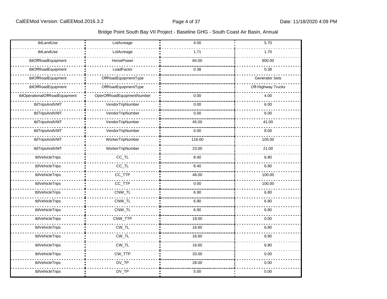| tblLandUse                     | LotAcreage                 | 4.00   | 5.70                  |
|--------------------------------|----------------------------|--------|-----------------------|
| tblLandUse                     | LotAcreage                 | 1.71   | 1.70                  |
| tblOffRoadEquipment            | HorsePower                 | 84.00  | 800.00                |
| tblOffRoadEquipment            | LoadFactor                 | 0.38   | 0.38                  |
| tblOffRoadEquipment            | OffRoadEquipmentType       |        | <b>Generator Sets</b> |
| tblOffRoadEquipment            | OffRoadEquipmentType       |        | Off-Highway Trucks    |
| tblOperationalOffRoadEquipment | OperOffRoadEquipmentNumber | 0.00   | 4.00                  |
| tblTripsAndVMT                 | VendorTripNumber           | 0.00   | 6.00                  |
| tblTripsAndVMT                 | VendorTripNumber           | 0.00   | 6.00                  |
| tblTripsAndVMT                 | VendorTripNumber           | 45.00  | 41.00                 |
| tblTripsAndVMT                 | VendorTripNumber           | 0.00   | 8.00                  |
| tblTripsAndVMT                 | WorkerTripNumber           | 116.00 | 105.00                |
| tblTripsAndVMT                 | WorkerTripNumber           | 23.00  | 21.00                 |
| tblVehicleTrips                | $CC$ _TL                   | 8.40   | 6.80                  |
| tblVehicleTrips                | $CC$ _TL                   | 8.40   | 6.80                  |
| tblVehicleTrips                | CC_TTP                     | 48.00  | 100.00                |
| tblVehicleTrips                | CC_TTP                     | 0.00   | 100.00                |
| tblVehicleTrips                | CNW_TL                     | 6.90   | 6.80                  |
| tblVehicleTrips                | CNW_TL                     | 6.90   | 6.80                  |
| tblVehicleTrips                | CNW_TL                     | 6.90   | 6.80                  |
| tblVehicleTrips                | CNW_TTP                    | 19.00  | 0.00                  |
| tblVehicleTrips                | $CW_TL$                    | 16.60  | 6.80                  |
| tblVehicleTrips                | CW_TL                      | 16.60  | 6.80                  |
| tblVehicleTrips                | $CW_TL$                    | 16.60  | 6.80                  |
| tblVehicleTrips                | CW_TTP                     | 33.00  | 0.00                  |
| tblVehicleTrips                | DV_TP                      | 28.00  | 0.00                  |
| tblVehicleTrips                | $DV_TP$                    | 5.00   | 0.00                  |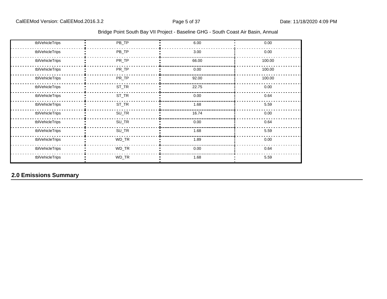| Bridge Point South Bay VII Project - Baseline GHG - South Coast Air Basin, Annual |
|-----------------------------------------------------------------------------------|
|-----------------------------------------------------------------------------------|

| tblVehicleTrips | PB_TP   | 6.00  | 0.00   |
|-----------------|---------|-------|--------|
| tblVehicleTrips | $PB_TP$ | 3.00  | 0.00   |
| tblVehicleTrips | PR_TP   | 66.00 | 100.00 |
| tblVehicleTrips | PR_TP   | 0.00  | 100.00 |
| tblVehicleTrips | PR_TP   | 92.00 | 100.00 |
| tblVehicleTrips | $ST_TR$ | 22.75 | 0.00   |
| tblVehicleTrips | $ST_TR$ | 0.00  | 0.64   |
| tblVehicleTrips | $ST_TR$ | 1.68  | 5.59   |
| tblVehicleTrips | $SU_TR$ | 16.74 | 0.00   |
| tblVehicleTrips | $SU_TR$ | 0.00  | 0.64   |
| tblVehicleTrips | SU_TR   | 1.68  | 5.59   |
| tblVehicleTrips | WD_TR   | 1.89  | 0.00   |
| tblVehicleTrips | WD_TR   | 0.00  | 0.64   |
| tblVehicleTrips | WD_TR   | 1.68  | 5.59   |

**2.0 Emissions Summary**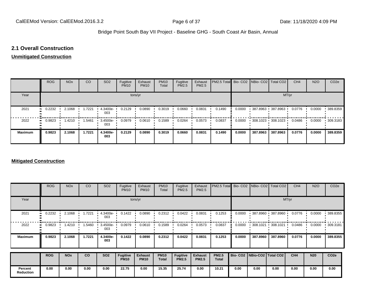#### **2.1 Overall Construction**

#### **Unmitigated Construction**

|                | <b>ROG</b>                 | <b>NO<sub>x</sub></b> | CO     | SO <sub>2</sub>   | Fugitive<br><b>PM10</b> | Exhaust<br><b>PM10</b> | <b>PM10</b><br>Total | Fugitive<br><b>PM2.5</b> | Exhaust<br>PM2.5 | PM2.5 Total Bio- CO2 NBio- CO2   Total CO2 |        |          |                                           | CH <sub>4</sub> | <b>N2O</b> | CO <sub>2e</sub> |
|----------------|----------------------------|-----------------------|--------|-------------------|-------------------------|------------------------|----------------------|--------------------------|------------------|--------------------------------------------|--------|----------|-------------------------------------------|-----------------|------------|------------------|
| Year           |                            |                       |        |                   |                         | tons/yr                |                      |                          |                  |                                            |        |          | MT/yr                                     |                 |            |                  |
| 2021           | 0.2232<br>$\mathbf{u}$     | 2.1068                | 1.7221 | 4.3400e-<br>003   | 0.2129                  | 0.0890                 | 0.3019               | 0.0660                   | 0.0831           | 0.1490                                     | 0.0000 |          | 387.8963 387.8963                         | 0.0776          | 0.0000     | 389.8359         |
| 2022           | 0.9823<br>$\bullet\bullet$ | 1.4210                | 1.5461 | $3.4500e-$<br>003 | 0.0979                  | 0.0610                 | 0.1589               | 0.0264                   | 0.0573           | 0.0837                                     | 0.0000 |          | $\cdot$ 308.1023 $\cdot$ 308.1023 $\cdot$ | 0.0486          | 0.0000     | 309.3183         |
| <b>Maximum</b> | 0.9823                     | 2.1068                | 1.7221 | 4.3400e-<br>003   | 0.2129                  | 0.0890                 | 0.3019               | 0.0660                   | 0.0831           | 0.1490                                     | 0.0000 | 387.8963 | 387.8963                                  | 0.0776          | 0.0000     | 389.8359         |

#### **Mitigated Construction**

|                             | <b>ROG</b> | <b>NO<sub>x</sub></b> | CO     | SO <sub>2</sub>   | Fugitive<br><b>PM10</b>        | Exhaust<br><b>PM10</b>        | <b>PM10</b><br>Total        | Fugitive<br>PM2.5               | Exhaust<br>PM2.5               | PM2.5 Total                  |                                 |          | Bio- CO2   NBio- CO2   Total CO2          | CH <sub>4</sub> | <b>N2O</b> | CO <sub>2e</sub> |
|-----------------------------|------------|-----------------------|--------|-------------------|--------------------------------|-------------------------------|-----------------------------|---------------------------------|--------------------------------|------------------------------|---------------------------------|----------|-------------------------------------------|-----------------|------------|------------------|
| Year                        |            |                       |        |                   | tons/yr                        | MT/yr                         |                             |                                 |                                |                              |                                 |          |                                           |                 |            |                  |
| 2021                        | 0.2232<br> | 2.1068                | .7221  | $4.3400e-$<br>003 | 0.1422                         | 0.0890                        | 0.2312                      | 0.0422                          | 0.0831                         | 0.1253                       | 0.0000                          | 387.8960 | 387.8960                                  | 0.0776          | 0.0000     | 389.8355         |
| 2022                        | 0.9823     | 1.4210                | .5460  | 3.4500e-<br>003   | 0.0979                         | 0.0610                        | 0.1589                      | 0.0264                          | 0.0573                         | 0.0837                       | 0.0000                          |          | $\cdot$ 308.1021 $\cdot$ 308.1021 $\cdot$ | 0.0486          | 0.0000     | .309.3181        |
| <b>Maximum</b>              | 0.9823     | 2.1068                | 1.7221 | 4.3400e-<br>003   | 0.1422                         | 0.0890                        | 0.2312                      | 0.0422                          | 0.0831                         | 0.1253                       | 0.0000                          | 387.8960 | 387.8960                                  | 0.0776          | 0.0000     | 389.8355         |
|                             | <b>ROG</b> | <b>NO<sub>x</sub></b> | co     | <b>SO2</b>        | <b>Fugitive</b><br><b>PM10</b> | <b>Exhaust</b><br><b>PM10</b> | <b>PM10</b><br><b>Total</b> | <b>Fugitive</b><br><b>PM2.5</b> | <b>Exhaust</b><br><b>PM2.5</b> | <b>PM2.5</b><br><b>Total</b> | Bio- CO2   NBio-CO2   Total CO2 |          |                                           | CH <sub>4</sub> | <b>N20</b> | CO <sub>2e</sub> |
| Percent<br><b>Reduction</b> | 0.00       | 0.00                  | 0.00   | 0.00              | 22.75                          | 0.00                          | 15.35                       | 25.74                           | 0.00                           | 10.21                        | 0.00                            | 0.00     | 0.00                                      | 0.00            | 0.00       | 0.00             |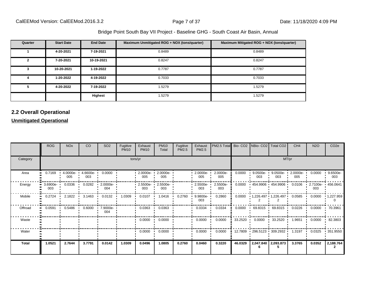| Quarter | <b>Start Date</b> | <b>End Date</b> | Maximum Unmitigated ROG + NOX (tons/quarter) | Maximum Mitigated ROG + NOX (tons/quarter) |
|---------|-------------------|-----------------|----------------------------------------------|--------------------------------------------|
|         | 4-20-2021         | 7-19-2021       | 0.8489                                       | 0.8489                                     |
| 2       | 7-20-2021         | 10-19-2021      | 0.8247                                       | 0.8247                                     |
| 3       | 10-20-2021        | 1-19-2022       | 0.7787                                       | 0.7787                                     |
| 4       | 1-20-2022         | 4-19-2022       | 0.7033                                       | 0.7033                                     |
| 5       | 4-20-2022         | 7-19-2022       | 1.5279                                       | 1.5279                                     |
|         |                   | Highest         | 1.5279                                       | 1.5279                                     |

# **2.2 Overall Operational**

#### **Unmitigated Operational**

|          | <b>ROG</b>                     | <b>NO<sub>x</sub></b> | <sub>CO</sub>   | SO <sub>2</sub>    | Fugitive<br><b>PM10</b> | Exhaust<br><b>PM10</b>  | <b>PM10</b><br>Total   | Fugitive<br>PM2.5 | Exhaust<br><b>PM2.5</b> | PM2.5 Total Bio- CO2 NBio- CO2 Total CO2 |                   |                                            |                     | CH <sub>4</sub>   | <b>N2O</b>                | CO <sub>2e</sub> |
|----------|--------------------------------|-----------------------|-----------------|--------------------|-------------------------|-------------------------|------------------------|-------------------|-------------------------|------------------------------------------|-------------------|--------------------------------------------|---------------------|-------------------|---------------------------|------------------|
| Category |                                |                       |                 |                    | tons/yr                 |                         |                        |                   | MT/yr                   |                                          |                   |                                            |                     |                   |                           |                  |
| Area     | 0.7169                         | 4.0000e-<br>005       | 4.6600e-<br>003 | 0.0000             |                         | $2.0000e-$<br>005       | 2.0000e-<br>005        |                   | 2.0000e-<br>005         | 2.0000e-<br>005                          | 0.0000            | 9.0500e-<br>003                            | $9.0500e-$<br>003   | $2.0000e-$<br>005 | 0.0000                    | 9.6500e-<br>003  |
| Energy   | $\blacksquare$ 3.6900e-<br>003 | 0.0336                | 0.0282          | 2.0000e-<br>004    |                         | $2.5500e -$<br>003      | 2.5500e-<br>003        |                   | $2.5500e -$<br>003      | 2.5500e-<br>003                          | 0.0000            | $\cdot$ 454.9906 $\cdot$ 454.9906 $\cdot$  |                     | 0.0106            | 2.7100e- 1456.0641<br>003 |                  |
| Mobile   | 0.2724                         | 2.1822                | 3.1463          | 0.0132             | 1.0309                  | 0.0107                  | 1.0416                 | 0.2760            | $9.9800e -$<br>003      | 0.2860                                   | 0.0000            | $\cdot$ 1,226.497 $\cdot$ 1,226.497 0.0585 |                     |                   | 0.0000                    | 1,227.959        |
| Offroad  | 0.0591                         | 0.5486                | 0.6000          | $-7.9000e-$<br>004 |                         | 0.0363                  | 0.0363                 |                   | 0.0334                  | 0.0334                                   | 0.0000            | $\cdot$ 69.8315 $\cdot$ 69.8315 0.0226     |                     |                   | 0.0000                    | 70.3961          |
| Waste    |                                |                       |                 |                    |                         | $0.0000$ $\blacksquare$ | 0.0000                 |                   | 0.0000                  | 0.0000                                   | $33.2520$ $\cdot$ |                                            | $0.0000$ 33.2520    | 1.9651            | 0.0000                    | .82.3803         |
| Water    |                                |                       |                 |                    |                         | 0.0000                  | 0.0000<br>$\mathbf{r}$ |                   | 0.0000                  | 0.0000                                   |                   | 12.7809 296.5123 309.2932 1.3197           |                     |                   | 0.0325                    | .351.9550        |
| Total    | 1.0521                         | 2.7644                | 3.7791          | 0.0142             | 1.0309                  | 0.0496                  | 1.0805                 | 0.2760            | 0.0460                  | 0.3220                                   | 46.0329           |                                            | 2,047.840 2,093.873 | 3.3765            | 0.0352                    | 2,188.764        |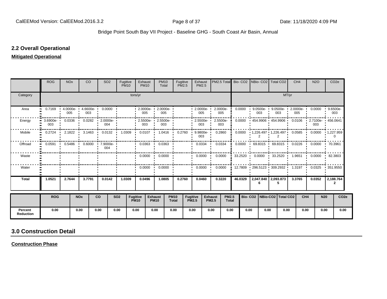#### **2.2 Overall Operational**

#### **Mitigated Operational**

|                             | <b>ROG</b> | <b>NO<sub>x</sub></b> | CO                     | SO <sub>2</sub>                                 | Fugitive<br><b>PM10</b> |                                | Exhaust<br><b>PM10</b>  | <b>PM10</b><br>Total            | Fugitive<br><b>PM2.5</b>    |                                 | Exhaust<br><b>PM2.5</b> | PM2.5 Total Bio- CO2 NBio- CO2 Total CO2                       |         |      |                      |                                        |       | CH <sub>4</sub>        | <b>N2O</b>                                        | CO <sub>2e</sub>                                                  |
|-----------------------------|------------|-----------------------|------------------------|-------------------------------------------------|-------------------------|--------------------------------|-------------------------|---------------------------------|-----------------------------|---------------------------------|-------------------------|----------------------------------------------------------------|---------|------|----------------------|----------------------------------------|-------|------------------------|---------------------------------------------------|-------------------------------------------------------------------|
| Category                    |            |                       |                        |                                                 |                         | tons/yr                        |                         |                                 |                             |                                 |                         |                                                                |         |      |                      |                                        | MT/yr |                        |                                                   |                                                                   |
| Area                        | 0.7169     | 005                   | 003                    | $4.0000e - 4.6600e - 0.0000$                    |                         |                                | $005$ $\phantom{000}$   | $2.0000e-2.0000e-$<br>005       |                             |                                 | 005                     | $-2.0000e- 2.0000e-$<br>005                                    | 0.0000  |      | $9.0500e - 1$<br>003 | 003                                    |       | 005                    | 9.0500e- 2.0000e- 0.0000 9.6500e-                 | 003                                                               |
| Energy                      | 003        |                       |                        | 0.0282 2.0000e-1 0.0336 0.0282 2.0000e-1<br>004 |                         |                                | 003                     | $2.5500e - 2.5500e -$<br>003    |                             |                                 | 003                     | $2.5500e - 2.5500e$<br>003                                     | 0.0000  |      |                      |                                        |       |                        | 454.9906 454.9906 0.0106 2.7100e- 456.0641<br>003 |                                                                   |
| Mobile                      | 0.2724     | 2.1822                | 3.1463<br>$\mathbf{r}$ | 0.0132<br>$\blacksquare$                        | 1.0309                  |                                | $0.0107$ $\blacksquare$ | 1.0416                          | 0.2760<br>- 11              |                                 | $9.9800e -$<br>003      | 0.2860                                                         | 0.0000  |      |                      |                                        |       |                        |                                                   | $1,226.497$ $1,226.497$ $0.0585$ $0.0000$ $1,227.959$<br>$\Omega$ |
| Offroad                     | 0.0591     |                       |                        | 0.5486   0.6000   7.9000e-<br>004               |                         |                                | 0.0363                  | 0.0363                          |                             |                                 | 0.0334                  | 0.0334                                                         | 0.0000  |      | 69.8315 '            | 69.8315                                |       | 0.0226<br>$\mathbf{L}$ | $0.0000$ $\cdot$ 70.3961                          |                                                                   |
| Waste                       |            |                       |                        |                                                 |                         |                                |                         | $0.0000 \cdot 0.0000$           |                             |                                 | 0.0000                  | 0.0000                                                         | 33.2520 |      |                      | $\cdot$ 0.0000 $\cdot$ 33.2520 $\cdot$ |       |                        | $1.9651$ $0.0000$ $\cdot$                         | 82.3803                                                           |
| Water                       |            |                       |                        |                                                 |                         |                                |                         | $0.0000$ $\cdot$ 0.0000 $\cdot$ |                             |                                 | 0.0000                  | 0.0000                                                         |         |      |                      |                                        |       |                        |                                                   | 12.7809 296.5123 309.2932 1.3197 0.0325 351.9550                  |
| <b>Total</b>                | 1.0521     | 2.7644                | 3.7791                 | 0.0142                                          | 1.0309                  |                                | 0.0496                  | 1.0805                          | 0.2760                      |                                 | 0.0460                  | 0.3220                                                         | 46.0329 |      | 6.                   | 2,047.840   2,093.873                  |       | 3.3765                 | 0.0352                                            | 2,188.764<br>$\mathbf{2}$                                         |
|                             | <b>ROG</b> |                       | <b>NO<sub>x</sub></b>  | <b>CO</b>                                       | <b>SO2</b>              | <b>Fugitive</b><br><b>PM10</b> |                         | <b>Exhaust</b><br><b>PM10</b>   | <b>PM10</b><br><b>Total</b> | <b>Fugitive</b><br><b>PM2.5</b> |                         | <b>PM2.5</b><br><b>Exhaust</b><br><b>PM2.5</b><br><b>Total</b> |         |      |                      | Bio- CO2   NBio-CO2   Total CO2        |       | CH <sub>4</sub>        | <b>N20</b>                                        | CO <sub>2e</sub>                                                  |
| Percent<br><b>Reduction</b> | 0.00       |                       | 0.00                   | 0.00                                            | 0.00                    | 0.00                           |                         | 0.00                            | 0.00                        | 0.00                            |                         | 0.00<br>0.00                                                   |         | 0.00 | 0.00                 |                                        | 0.00  | 0.00                   | 0.00                                              | 0.00                                                              |

# **3.0 Construction Detail**

**Construction Phase**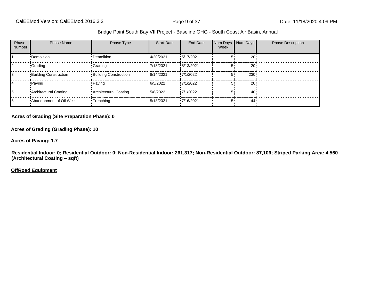| Phase<br><b>Number</b> | <b>Phase Name</b>            | Phase Type                   | <b>Start Date</b> | End Date   | Week | Num Days Num Days | <b>Phase Description</b> |
|------------------------|------------------------------|------------------------------|-------------------|------------|------|-------------------|--------------------------|
|                        | •Demolition                  | •Demolition                  | 14/20/2021        | !5/17/2021 |      | 20!               |                          |
|                        | •Grading                     | <b>Crading</b>               | 17/18/2021        | !8/13/2021 |      | 20!               |                          |
|                        | <b>Building Construction</b> | <b>Building Construction</b> | 8/14/2021         | !7/1/2022  | 5    | 230!              |                          |
|                        | • Paving                     | • Paving                     | 6/5/2022          | !7/1/2022  |      | 20!               |                          |
|                        | Architectural Coating        | • Architectural Coating      | 15/8/2022         | !7/1/2022  |      | 40                |                          |
| 6                      | .Abandonment of Oil Wells    | •Trenching                   | 15/18/2021        | 17/16/2021 | 5.   | 44 <sup>°</sup>   |                          |

#### **Acres of Grading (Site Preparation Phase): 0**

**Acres of Grading (Grading Phase): 10**

**Acres of Paving: 1.7**

**Residential Indoor: 0; Residential Outdoor: 0; Non-Residential Indoor: 261,317; Non-Residential Outdoor: 87,106; Striped Parking Area: 4,560 (Architectural Coating - sqft)** 

**OffRoad Equipment**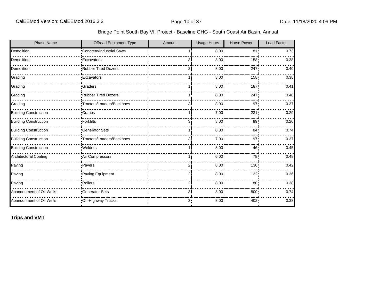| <b>Phase Name</b>            | Offroad Equipment Type    | Amount         | <b>Usage Hours</b> | <b>Horse Power</b> | <b>Load Factor</b> |
|------------------------------|---------------------------|----------------|--------------------|--------------------|--------------------|
| Demolition                   | Concrete/Industrial Saws  |                | 8.00 <sub>1</sub>  | 81'                | 0.73               |
| Demolition                   | <b>Excavators</b>         | 3              | 8.00               | 158                | 0.38               |
| Demolition                   | Rubber Tired Dozers       | 2              | 8.00               | 247                | 0.40               |
| Grading                      | <b>Excavators</b>         |                | 8.00               | 158                | 0.38               |
| Grading                      | <b>Graders</b>            |                | 8.00               | 187                | 0.41               |
| Grading                      | Rubber Tired Dozers       |                | 8.00 <sub>1</sub>  | 247!               | 0.40               |
| Grading                      | Tractors/Loaders/Backhoes | 31             | 8.00 <sub>1</sub>  | 97 <sub>1</sub>    | 0.37               |
| <b>Building Construction</b> | Cranes                    |                | 7.00               | 231                | 0.29               |
| <b>Building Construction</b> | Forklifts                 | 3              | 8.00               | 89                 | 0.20               |
| <b>Building Construction</b> | <b>Generator Sets</b>     |                | 8.00               | 84 <sub>1</sub>    | 0.74               |
| <b>Building Construction</b> | Tractors/Loaders/Backhoes | 3              | 7.00               | 97                 | 0.37               |
| <b>Building Construction</b> | · Welders                 |                | 8.00               | 46                 | 0.45               |
| Architectural Coating        | Air Compressors           |                | $6.00^{\circ}$     | 78                 | 0.48               |
| Paving                       | •Pavers                   | 2              | 8.00               | 130!               | 0.42               |
| Paving                       | Paving Equipment          | 2              | 8.00               | 132                | 0.36               |
| Paving                       | ·Rollers                  | 2              | 8.00               | 80 <sub>1</sub>    | 0.38               |
| Abandonment of Oil Wells     | Generator Sets            | 31             | 8.00               | 800                | 0.74               |
| Abandonment of Oil Wells     | Off-Highway Trucks        | 3 <sub>1</sub> | $8.00 -$           | 402                | 0.38               |

**Trips and VMT**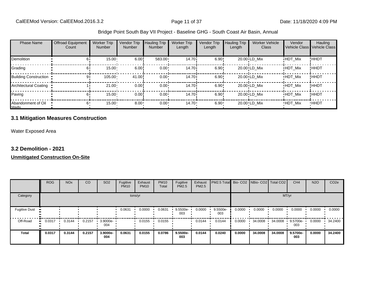| <b>Phase Name</b>              | <b>Offroad Equipment</b><br>Count | <b>Worker Trip</b><br><b>Number</b> | Vendor Trip<br><b>Number</b> | <b>Hauling Trip</b><br><b>Number</b> | <b>Worker Trip</b><br>Length | Vendor Trip<br>Length | <b>Hauling Trip</b><br>Length | <b>Worker Vehicle</b><br>Class | Vendor         | Hauling<br>Vehicle Class Vehicle Class |
|--------------------------------|-----------------------------------|-------------------------------------|------------------------------|--------------------------------------|------------------------------|-----------------------|-------------------------------|--------------------------------|----------------|----------------------------------------|
| <b>Demolition</b>              |                                   | $15.00 -$                           | 6.00                         | $583.00 \cdot$                       | 14.70i                       | 6.90!                 |                               | 20.00 LD Mix                   | <b>HDT Mix</b> | !HHDT                                  |
| Grading                        | ы                                 | 15.00                               | 6.00                         | $0.00 \cdot$                         | 14.70 <sup>i</sup>           | 6.90!                 |                               | 20.00 LD Mix                   | <b>HDT Mix</b> | ! ННDТ                                 |
| <b>Building Construction</b>   |                                   | $105.00 -$                          | 41.00                        | $0.00 \cdot$                         | 14.70 <sup>i</sup>           | 6.90!                 |                               | 20.00 LD Mix                   | <b>HDT Mix</b> | !HHDT                                  |
| Architectural Coating          |                                   | 21.00                               | 0.00                         | $0.00 \cdot$                         | 14.70 <sup>i</sup>           | 6.90!                 |                               | 20.00 LD Mix                   | <b>HDT Mix</b> | !HHDT                                  |
| Paving                         | 61                                | $15.00 -$                           | 0.00                         | $0.00 \cdot$                         | 14.70 <sup>i</sup>           | 6.90!                 |                               | 20.00 LD Mix                   | <b>HDT Mix</b> | ! ННDТ                                 |
| Abandonment of Oil<br>$M$ alle | 6'                                | $15.00 -$                           | $8.00 -$                     | $0.00 \cdot$                         | $14.70 \cdot$                | $6.90 -$              |                               | 20.00 LD Mix                   | <b>HDT Mix</b> | <b>HHDT</b>                            |

#### **3.1 Mitigation Measures Construction**

Water Exposed Area

#### **3.2 Demolition - 2021**

#### **Unmitigated Construction On-Site**

|                         | <b>ROG</b> | <b>NO<sub>x</sub></b> | CO     | SO <sub>2</sub> | Fugitive<br><b>PM10</b> | Exhaust<br><b>PM10</b> | <b>PM10</b><br>Total | Fugitive<br><b>PM2.5</b> | Exhaust<br>PM2.5 | PM2.5 Total Bio- CO2 NBio- CO2 Total CO2 |        |         |         | CH <sub>4</sub> | <b>N2O</b> | CO <sub>2e</sub> |
|-------------------------|------------|-----------------------|--------|-----------------|-------------------------|------------------------|----------------------|--------------------------|------------------|------------------------------------------|--------|---------|---------|-----------------|------------|------------------|
| Category                |            |                       |        |                 |                         | tons/yr                |                      |                          |                  |                                          |        |         | MT/yr   |                 |            |                  |
| <b>Fugitive Dust</b>    |            |                       |        |                 | 0.0631                  | 0.0000                 | 0.0631               | 9.5500e-<br>003          | 0.0000           | 9.5500e-<br>003                          | 0.0000 | 0.0000  | 0.0000  | 0.0000          | 0.0000     | 0.0000           |
| Off-Road<br>$\bullet$ . | 0.0317     | 0.3144                | 0.2157 | 3.9000e-<br>004 |                         | 0.0155                 | 0.0155               |                          | 0.0144           | 0.0144                                   | 0.0000 | 34.0008 | 34.0008 | 9.5700e-<br>003 | 0.0000     | 34.2400          |
| <b>Total</b>            | 0.0317     | 0.3144                | 0.2157 | 3.9000e-<br>004 | 0.0631                  | 0.0155                 | 0.0786               | 9.5500e-<br>003          | 0.0144           | 0.0240                                   | 0.0000 | 34.0008 | 34.0008 | 9.5700e-<br>003 | 0.0000     | 34.2400          |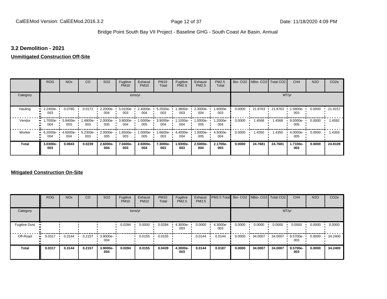#### **3.2 Demolition - 2021**

#### **Unmitigated Construction Off-Site**

|              | <b>ROG</b>                   | <b>NO<sub>x</sub></b> | CO              | SO <sub>2</sub> | Fugitive<br><b>PM10</b> | Exhaust<br><b>PM10</b> | <b>PM10</b><br>Total | Fugitive<br><b>PM2.5</b> | Exhaust<br>PM2.5 | <b>PM2.5</b><br>Total |        | Bio- CO2 NBio- CO2 Total CO2 |         | CH <sub>4</sub>    | <b>N2O</b> | CO <sub>2e</sub> |
|--------------|------------------------------|-----------------------|-----------------|-----------------|-------------------------|------------------------|----------------------|--------------------------|------------------|-----------------------|--------|------------------------------|---------|--------------------|------------|------------------|
| Category     |                              |                       |                 |                 |                         | tons/yr                |                      |                          |                  |                       |        |                              |         | MT/yr              |            |                  |
| Hauling      | 2.2400e-<br>003              | 0.0780                | 0.0172          | 2.2000e-<br>004 | 5.0100e-<br>003         | 2.4000e-<br>004        | 5.2500e-<br>003      | -.3800e<br>003           | 2.3000e-<br>004  | 1.6000e-<br>003       | 0.0000 | 21.8763                      | 21.8763 | 1.5800e-<br>003    | 0.0000     | 21.9157          |
| Vendor       | 1.7000e-<br>œ<br>004         | 5.8400e-<br>003       | .4800e-<br>003  | 2.0000e-<br>005 | 3.8000e-<br>004         | 1.0000e-<br>005        | 3.9000e-<br>004      | 1.1000e-<br>004          | --0000e<br>005   | 1.2000e-<br>004       | 0.0000 | 1.4568                       | 1.4568  | $9.0000e -$<br>005 | 0.0000     | .4592            |
| Worker       | 6.2000e-<br>$\bullet$<br>004 | 4.6000e-<br>004       | 5.2300e-<br>003 | 2.0000e-<br>005 | 1.6500e-<br>003         | 1.0000e-<br>005        | 1.6600e-<br>003      | 4.4000e-<br>004          | -.0000e<br>005   | 4.5000e-<br>004       | 0.0000 | 1.4350                       | 1.4350  | 4.0000e-<br>005    | 0.0000     | 1.4359           |
| <b>Total</b> | 3.0300e-<br>003              | 0.0843                | 0.0239          | 2.6000e-<br>004 | 7.0400e-<br>003         | 2.6000e-<br>004        | 7.3000e-<br>003      | 1.9300e-<br>003          | 2.5000e-<br>004  | 2.1700e-<br>003       | 0.0000 | 24.7681                      | 24.7681 | 1.7100e-<br>003    | 0.0000     | 24.8109          |

#### **Mitigated Construction On-Site**

|                      | <b>ROG</b> | <b>NO<sub>x</sub></b> | CO     | SO <sub>2</sub> | Fugitive<br><b>PM10</b> | Exhaust<br><b>PM10</b> | <b>PM10</b><br>Total | Fugitive<br><b>PM2.5</b> | Exhaust<br><b>PM2.5</b> | PM2.5 Total Bio- CO2 NBio- CO2 Total CO2 |        |         |         | CH <sub>4</sub> | <b>N2O</b> | CO <sub>2e</sub> |
|----------------------|------------|-----------------------|--------|-----------------|-------------------------|------------------------|----------------------|--------------------------|-------------------------|------------------------------------------|--------|---------|---------|-----------------|------------|------------------|
| Category             |            |                       |        |                 |                         | tons/yr                |                      |                          |                         |                                          |        |         |         | MT/yr           |            |                  |
| <b>Fugitive Dust</b> |            |                       |        |                 | 0.0284                  | 0.0000                 | 0.0284               | 4.3000e-<br>003          | 0.0000                  | 4.3000e-<br>003                          | 0.0000 | 0.0000  | 0.0000  | 0.0000          | 0.0000     | 0.0000           |
| Off-Road             | 0.0317<br> | 0.3144                | 0.2157 | 3.9000e-<br>004 |                         | 0.0155                 | 0.0155               |                          | 0.0144                  | 0.0144                                   | 0.0000 | 34.0007 | 34.0007 | 9.5700e-<br>003 | 0.0000     | 34.2400          |
| <b>Total</b>         | 0.0317     | 0.3144                | 0.2157 | 3.9000e-<br>004 | 0.0284                  | 0.0155                 | 0.0439               | 4.3000e-<br>003          | 0.0144                  | 0.0187                                   | 0.0000 | 34.0007 | 34.0007 | 9.5700e-<br>003 | 0.0000     | 34.2400          |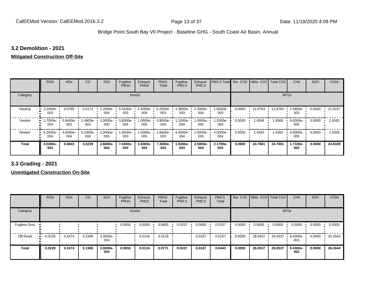#### **3.2 Demolition - 2021**

#### **Mitigated Construction Off-Site**

|              | <b>ROG</b>                   | <b>NO<sub>x</sub></b> | CO              | SO <sub>2</sub>    | Fugitive<br><b>PM10</b> | Exhaust<br><b>PM10</b> | <b>PM10</b><br>Total | Fugitive<br>PM2.5 | Exhaust<br>PM2.5 | PM2.5 Total Bio- CO2 NBio- CO2 Total CO2 |        |         |         | CH <sub>4</sub>    | <b>N2O</b> | CO <sub>2e</sub> |
|--------------|------------------------------|-----------------------|-----------------|--------------------|-------------------------|------------------------|----------------------|-------------------|------------------|------------------------------------------|--------|---------|---------|--------------------|------------|------------------|
| Category     |                              |                       |                 |                    |                         | tons/yr                |                      |                   |                  |                                          |        |         | MT/yr   |                    |            |                  |
| Hauling      | 2.2400e-<br>003              | 0.0780                | 0.0172          | $2.2000e -$<br>004 | $5.0100e -$<br>003      | 2.4000e-<br>004        | 5.2500e-<br>003      | .3800e-<br>003    | 2.3000e-<br>004  | 1.6000e-<br>003                          | 0.0000 | 21.8763 | 21.8763 | 1.5800e-<br>003    | 0.0000     | $\cdot$ 21.9157  |
| Vendor       | 1.7000e-<br>$\bullet$<br>004 | 5.8400e-<br>003       | -.4800e<br>003  | 2.0000e-<br>005    | 3.8000e-<br>004         | 1.0000e-<br>005        | 3.9000e-<br>004      | 1.1000e-<br>004   | -:0000e<br>005   | 1.2000e-<br>004                          | 0.0000 | 1.4568  | 1.4568  | $9.0000e -$<br>005 | 0.0000     | 1.4592           |
| Worker<br>œ  | 6.2000e-<br>004              | 4.6000e-<br>004       | 5.2300e-<br>003 | 2.0000e-<br>005    | 1.6500e-<br>003         | 1.0000e-<br>005        | 1.6600e-<br>003      | 4.4000e-<br>004   | -:0000e<br>005   | 4.5000e-<br>004                          | 0.0000 | 1.4350  | 1.4350  | 4.0000e-<br>005    | 0.0000     | 1.4359           |
| <b>Total</b> | 3.0300e-<br>003              | 0.0843                | 0.0239          | 2.6000e-<br>004    | 7.0400e-<br>003         | 2.6000e-<br>004        | 7.3000e-<br>003      | 1.9300e-<br>003   | 2.5000e-<br>004  | 2.1700e-<br>003                          | 0.0000 | 24.7681 | 24.7681 | 1.7100e-<br>003    | 0.0000     | 24.8109          |

**3.3 Grading - 2021**

**Unmitigated Construction On-Site**

|                      | <b>ROG</b> | <b>NO<sub>x</sub></b> | CO     | SO <sub>2</sub>    | Fugitive<br><b>PM10</b> | Exhaust<br><b>PM10</b> | <b>PM10</b><br>Total | Fugitive<br><b>PM2.5</b> | Exhaust<br><b>PM2.5</b> | PM2.5<br>Total |        | Bio- CO2   NBio- CO2   Total CO2 |         | CH <sub>4</sub> | <b>N2O</b> | CO <sub>2e</sub> |
|----------------------|------------|-----------------------|--------|--------------------|-------------------------|------------------------|----------------------|--------------------------|-------------------------|----------------|--------|----------------------------------|---------|-----------------|------------|------------------|
| Category             |            |                       |        |                    |                         | tons/yr                |                      |                          |                         |                |        |                                  | MT/yr   |                 |            |                  |
| <b>Fugitive Dust</b> |            |                       |        |                    | 0.0655                  | 0.0000                 | 0.0655               | 0.0337                   | 0.0000                  | 0.0337         | 0.0000 | 0.0000                           | 0.0000  | 0.0000          | 0.0000     | 0.0000           |
| Off-Road             | 0.0229     | 0.2474                | 0.1586 | $3.0000e -$<br>004 |                         | 0.0116                 | 0.0116               |                          | 0.0107                  | 0.0107         | 0.0000 | 26.0537                          | 26.0537 | 8.4300e-<br>003 | 0.0000     | 26.2644          |
| <b>Total</b>         | 0.0229     | 0.2474                | 0.1586 | 3.0000e-<br>004    | 0.0655                  | 0.0116                 | 0.0771               | 0.0337                   | 0.0107                  | 0.0443         | 0.0000 | 26.0537                          | 26.0537 | 8.4300e-<br>003 | 0.0000     | 26.2644          |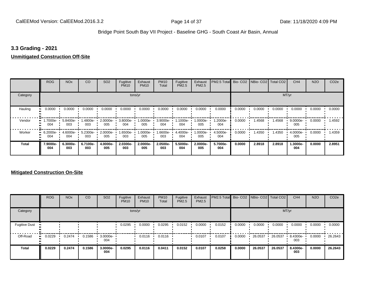#### **3.3 Grading - 2021**

#### **Unmitigated Construction Off-Site**

|               | <b>ROG</b>            | <b>NO<sub>x</sub></b> | CO              | SO <sub>2</sub> | Fugitive<br><b>PM10</b> | Exhaust<br><b>PM10</b> | <b>PM10</b><br>Total     | Fugitive<br>PM2.5 | Exhaust<br>PM2.5 | PM2.5 Total Bio- CO2 NBio- CO2 Total CO2 |        |        |        | CH <sub>4</sub>   | <b>N2O</b> | CO <sub>2e</sub> |
|---------------|-----------------------|-----------------------|-----------------|-----------------|-------------------------|------------------------|--------------------------|-------------------|------------------|------------------------------------------|--------|--------|--------|-------------------|------------|------------------|
| Category      |                       |                       |                 |                 | tons/yr                 |                        |                          |                   |                  |                                          |        |        | MT/yr  |                   |            |                  |
| Hauling<br>81 | 0.0000                | 0.0000                | 0.0000          | 0.0000          | 0.0000                  | 0.0000                 | 0.0000                   | 0.0000            | 0.0000           | 0.0000                                   | 0.0000 | 0.0000 | 0.0000 | 0.0000            | 0.0000     | 0.0000           |
| Vendor        | -7000e-<br>. .<br>004 | 5.8400e-<br>003       | 1.4800e-<br>003 | 2.0000e-<br>005 | 3.8000e-<br>004         | 005                    | 1.0000e- 3.9000e-<br>004 | 1.1000e-<br>004   | 1.0000e-<br>005  | 1.2000e-<br>004                          | 0.0000 | 1.4568 | 1.4568 | $9.0000e-$<br>005 | 0.0000     | .4592            |
| Worker        | $-6.2000e-$<br>004    | 4.6000e-<br>004       | 5.2300e-<br>003 | 2.0000e-<br>005 | 1.6500e-<br>003         | 1.0000e-<br>005        | 1.6600e-<br>003          | 4.4000e-<br>004   | 1.0000e-<br>005  | 4.5000e-<br>004                          | 0.0000 | 1.4350 | 1.4350 | 4.0000e-<br>005   | 0.0000     | 1.4359           |
| <b>Total</b>  | 7.9000e-<br>004       | 6.3000e-<br>003       | 6.7100e-<br>003 | 4.0000e-<br>005 | 2.0300e-<br>003         | 2.0000e-<br>005        | 2.0500e-<br>003          | 5.5000e-<br>004   | 2.0000e-<br>005  | 5.7000e-<br>004                          | 0.0000 | 2.8918 | 2.8918 | 1.3000e-<br>004   | 0.0000     | 2.8951           |

#### **Mitigated Construction On-Site**

|                      | <b>ROG</b>   | <b>NO<sub>x</sub></b> | CO     | SO <sub>2</sub>    | Fugitive<br><b>PM10</b> | Exhaust<br><b>PM10</b> | <b>PM10</b><br>Total | Fugitive<br><b>PM2.5</b> | Exhaust<br><b>PM2.5</b> | PM2.5 Total Bio- CO2 NBio- CO2 Total CO2 |        |         |         | CH <sub>4</sub> | <b>N2O</b> | CO <sub>2e</sub> |
|----------------------|--------------|-----------------------|--------|--------------------|-------------------------|------------------------|----------------------|--------------------------|-------------------------|------------------------------------------|--------|---------|---------|-----------------|------------|------------------|
| Category             |              |                       |        |                    |                         | tons/yr                |                      |                          |                         |                                          |        |         |         | MT/yr           |            |                  |
| <b>Fugitive Dust</b> |              |                       |        |                    | 0.0295                  | 0.0000                 | 0.0295               | 0.0152                   | 0.0000                  | 0.0152                                   | 0.0000 | 0.0000  | 0.0000  | 0.0000          | 0.0000     | 0.0000           |
| Off-Road             | 0.0229<br>ш. | 0.2474                | 0.1586 | $3.0000e -$<br>004 |                         | 0.0116                 | 0.0116               |                          | 0.0107                  | 0.0107                                   | 0.0000 | 26.0537 | 26.0537 | 8.4300e-<br>003 | 0.0000     | 26.2643          |
| <b>Total</b>         | 0.0229       | 0.2474                | 0.1586 | 3.0000e-<br>004    | 0.0295                  | 0.0116                 | 0.0411               | 0.0152                   | 0.0107                  | 0.0258                                   | 0.0000 | 26.0537 | 26.0537 | 8.4300e-<br>003 | 0.0000     | 26.2643          |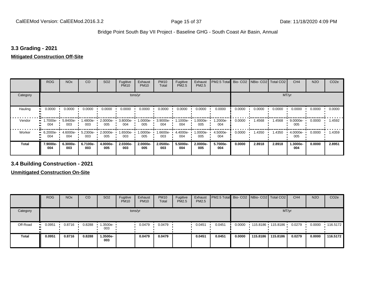#### **3.3 Grading - 2021**

#### **Mitigated Construction Off-Site**

|                     | <b>ROG</b>      | <b>NO<sub>x</sub></b> | CO              | SO <sub>2</sub> | Fugitive<br><b>PM10</b> | Exhaust<br><b>PM10</b> | <b>PM10</b><br>Total | Fugitive<br>PM2.5 | Exhaust<br>PM2.5 | PM2.5 Total     |        | Bio- CO2 NBio- CO2 Total CO2 |        | CH <sub>4</sub> | <b>N2O</b> | CO <sub>2e</sub> |
|---------------------|-----------------|-----------------------|-----------------|-----------------|-------------------------|------------------------|----------------------|-------------------|------------------|-----------------|--------|------------------------------|--------|-----------------|------------|------------------|
| Category            |                 |                       |                 |                 | tons/yr                 |                        |                      |                   |                  |                 |        |                              | MT/yr  |                 |            |                  |
| Hauling<br>81       | 0.0000          | 0.0000                | 0.0000          | 0.0000          | 0.0000                  | 0.0000                 | 0.0000               | 0.0000            | 0.0000           | 0.0000          | 0.0000 | 0.0000                       | 0.0000 | 0.0000          | 0.0000     | 0.0000           |
| Vendor              | 1.7000e-<br>004 | 5.8400e-<br>003       | 1.4800e-<br>003 | 2.0000e-<br>005 | 3.8000e-<br>004         | 1.0000e-<br>005        | 3.9000e-<br>004      | -.1000e<br>004    | $.0000e-$<br>005 | 1.2000e-<br>004 | 0.0000 | 1.4568                       | 1.4568 | 9.0000e-<br>005 | 0.0000     | 1.4592           |
| Worker<br>$\bullet$ | 6.2000e-<br>004 | $4.6000e -$<br>004    | 5.2300e-<br>003 | 2.0000e-<br>005 | 1.6500e- L<br>003       | 1.0000e-<br>005        | 1.6600e-<br>003      | 4.4000e-<br>004   | $.0000e-$<br>005 | 4.5000e-<br>004 | 0.0000 | 1.4350                       | 1.4350 | 4.0000e-<br>005 | 0.0000     | 1.4359           |
| <b>Total</b>        | 7.9000e-<br>004 | 6.3000e-<br>003       | 6.7100e-<br>003 | 4.0000e-<br>005 | 2.0300e-<br>003         | 2.0000e-<br>005        | 2.0500e-<br>003      | 5.5000e-<br>004   | 2.0000e-<br>005  | 5.7000e-<br>004 | 0.0000 | 2.8918                       | 2.8918 | 1.3000e-<br>004 | 0.0000     | 2.8951           |

**3.4 Building Construction - 2021**

**Unmitigated Construction On-Site**

|              | <b>ROG</b>   | <b>NO<sub>x</sub></b> | CO     | SO <sub>2</sub> | Fugitive<br><b>PM10</b> | Exhaust<br><b>PM10</b> | <b>PM10</b><br>Total | Fugitive<br><b>PM2.5</b> | Exhaust<br>PM2.5 | <b>PM2.5 Total</b> Bio- CO2 NBio- CO2   Total CO2 |        |                   |          | CH <sub>4</sub> | <b>N2O</b> | CO <sub>2</sub> e |
|--------------|--------------|-----------------------|--------|-----------------|-------------------------|------------------------|----------------------|--------------------------|------------------|---------------------------------------------------|--------|-------------------|----------|-----------------|------------|-------------------|
| Category     |              |                       |        |                 | tons/yr                 |                        |                      |                          |                  |                                                   |        |                   | MT/yr    |                 |            |                   |
| Off-Road     | 0.0951<br>ш. | 0.8716                | 0.8288 | 1.3500e-<br>003 |                         | 0.0479                 | 0.0479               |                          | 0.0451           | 0.0451                                            | 0.0000 | 115.8186 115.8186 |          | 0.0279          | 0.0000     | $\cdot$ 116.5172  |
| <b>Total</b> | 0.0951       | 0.8716                | 0.8288 | 1.3500e-<br>003 |                         | 0.0479                 | 0.0479               |                          | 0.0451           | 0.0451                                            | 0.0000 | 115,8186          | 115,8186 | 0.0279          | 0.0000     | 116.5172          |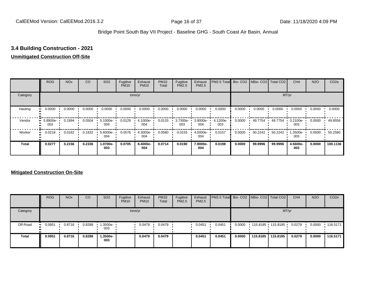#### **3.4 Building Construction - 2021**

#### **Unmitigated Construction Off-Site**

|          | <b>ROG</b>      | <b>NO<sub>x</sub></b> | CO     | SO <sub>2</sub> | Fugitive<br><b>PM10</b> | Exhaust<br><b>PM10</b> | <b>PM10</b><br>Total | Fugitive<br><b>PM2.5</b> | Exhaust<br>PM2.5 | PM2.5 Total Bio- CO2 NBio- CO2 Total CO2 |        |         |         | CH <sub>4</sub> | <b>N2O</b> | CO <sub>2e</sub> |
|----------|-----------------|-----------------------|--------|-----------------|-------------------------|------------------------|----------------------|--------------------------|------------------|------------------------------------------|--------|---------|---------|-----------------|------------|------------------|
| Category |                 |                       |        |                 |                         | tons/yr                |                      |                          |                  |                                          |        |         |         | MT/yr           |            |                  |
| Hauling  | 0.0000          | 0.0000                | 0.0000 | 0.0000          | 0.0000                  | 0.0000                 | 0.0000               | 0.0000                   | 0.0000           | 0.0000                                   | 0.0000 | 0.0000  | 0.0000  | 0.0000          | 0.0000     | 0.0000           |
| Vendor   | 5.8900e-<br>003 | 0.1994                | 0.0504 | 5.1000e-<br>004 | 0.0129                  | 4.1000e-<br>004        | 0.0133               | 3.7300e-<br>003          | 3.9000e-<br>004  | 4.1200e-<br>003                          | 0.0000 | 49.7754 | 49.7754 | 3.2100e-<br>003 | 0.0000     | 49.8556          |
| Worker   | 0.0218          | 0.0162                | 0.1832 | 5.6000e-<br>004 | 0.0576                  | 4.3000e-<br>004        | 0.0580               | 0.0153                   | 4.0000e-<br>004  | 0.0157                                   | 0.0000 | 50.2242 | 50.2242 | .3500e-<br>003  | 0.0000     | 50.2580          |
| Total    | 0.0277          | 0.2156                | 0.2336 | 1.0700e-<br>003 | 0.0705                  | 8.4000e-<br>004        | 0.0714               | 0.0190                   | 7.9000e-<br>004  | 0.0198                                   | 0.0000 | 99.9996 | 99.9996 | 4.5600e-<br>003 | 0.0000     | 100.1136         |

#### **Mitigated Construction On-Site**

|              | <b>ROG</b>    | <b>NO<sub>x</sub></b> | CO     | SO <sub>2</sub>   | Fugitive<br><b>PM10</b> | Exhaust<br><b>PM10</b> | <b>PM10</b><br>Total | Fugitive<br><b>PM2.5</b> | Exhaust<br><b>PM2.5</b> | <b>PM2.5 Total</b> Bio- CO2 NBio- CO2 Total CO2 |        |          |                   | CH <sub>4</sub> | <b>N2O</b> | CO <sub>2e</sub> |
|--------------|---------------|-----------------------|--------|-------------------|-------------------------|------------------------|----------------------|--------------------------|-------------------------|-------------------------------------------------|--------|----------|-------------------|-----------------|------------|------------------|
| Category     |               |                       |        |                   |                         | tons/yr                |                      |                          |                         |                                                 |        |          |                   | MT/yr           |            |                  |
| Off-Road     | 0.0951<br>. . | 0.8716                | 0.8288 | 1.3500e- '<br>003 |                         | 0.0479                 | 0.0479               |                          | 0.0451                  | 0.0451                                          | 0.0000 |          | 115.8185 115.8185 | 0.0279          | 0.0000     | $+116.5171$      |
| <b>Total</b> | 0.0951        | 0.8716                | 0.8288 | .3500e-<br>003    |                         | 0.0479                 | 0.0479               |                          | 0.0451                  | 0.0451                                          | 0.0000 | 115,8185 | 115,8185          | 0.0279          | 0.0000     | 116.5171         |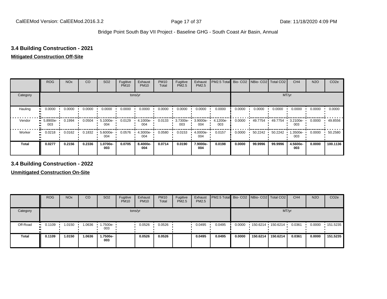#### **3.4 Building Construction - 2021**

#### **Mitigated Construction Off-Site**

|              | <b>ROG</b>      | <b>NO<sub>x</sub></b> | CO     | SO <sub>2</sub> | Fugitive<br><b>PM10</b> | Exhaust<br><b>PM10</b> | <b>PM10</b><br>Total | Fugitive<br><b>PM2.5</b> | Exhaust<br>PM2.5 | PM2.5 Total Bio- CO2 NBio- CO2 Total CO2 |        |         |         | CH <sub>4</sub> | <b>N2O</b> | CO <sub>2e</sub> |
|--------------|-----------------|-----------------------|--------|-----------------|-------------------------|------------------------|----------------------|--------------------------|------------------|------------------------------------------|--------|---------|---------|-----------------|------------|------------------|
| Category     |                 |                       |        |                 |                         | tons/yr                |                      |                          |                  |                                          |        |         |         | MT/yr           |            |                  |
| Hauling      | 0.0000          | 0.0000                | 0.0000 | 0.0000          | 0.0000                  | 0.0000                 | 0.0000               | 0.0000                   | 0.0000           | 0.0000                                   | 0.0000 | 0.0000  | 0.0000  | 0.0000          | 0.0000     | 0.0000           |
| Vendor       | 5.8900e-<br>003 | 0.1994                | 0.0504 | 5.1000e-<br>004 | 0.0129                  | 4.1000e-<br>004        | 0.0133               | 3.7300e-<br>003          | 3.9000e-<br>004  | 4.1200e-<br>003                          | 0.0000 | 49.7754 | 49.7754 | 3.2100e-<br>003 | 0.0000     | 49.8556          |
| Worker       | 0.0218          | 0.0162                | 0.1832 | 5.6000e-<br>004 | 0.0576                  | 4.3000e-<br>004        | 0.0580               | 0.0153                   | 4.0000e-<br>004  | 0.0157                                   | 0.0000 | 50.2242 | 50.2242 | .3500e-<br>003  | 0.0000     | 50.2580          |
| <b>Total</b> | 0.0277          | 0.2156                | 0.2336 | 1.0700e-<br>003 | 0.0705                  | 8.4000e-<br>004        | 0.0714               | 0.0190                   | 7.9000e-<br>004  | 0.0198                                   | 0.0000 | 99.9996 | 99.9996 | 4.5600e-<br>003 | 0.0000     | 100.1136         |

**3.4 Building Construction - 2022**

**Unmitigated Construction On-Site**

|              | <b>ROG</b>   | <b>NO<sub>x</sub></b> | CO     | SO <sub>2</sub> | Fugitive<br><b>PM10</b> | Exhaust<br><b>PM10</b> | <b>PM10</b><br>Total | Fugitive<br><b>PM2.5</b> | Exhaust<br><b>PM2.5</b> | <b>PM2.5 Total</b> Bio- CO2 NBio- CO2 Total CO2 |        |          |                     | CH <sub>4</sub> | <b>N2O</b> | CO <sub>2e</sub> |
|--------------|--------------|-----------------------|--------|-----------------|-------------------------|------------------------|----------------------|--------------------------|-------------------------|-------------------------------------------------|--------|----------|---------------------|-----------------|------------|------------------|
| Category     |              |                       |        |                 |                         | tons/yr                |                      |                          |                         |                                                 |        |          |                     | MT/yr           |            |                  |
| Off-Road     | 0.1109<br>ш. | 1.0150                | 1.0636 | 1.7500e-<br>003 |                         | 0.0526                 | 0.0526               |                          | 0.0495                  | 0.0495                                          | 0.0000 |          | 150.6214 150.6214 1 | 0.0361          | 0.0000     | 151.5235         |
| <b>Total</b> | 0.1109       | 1.0150                | 1.0636 | -.7500e<br>003  |                         | 0.0526                 | 0.0526               |                          | 0.0495                  | 0.0495                                          | 0.0000 | 150.6214 | 150.6214            | 0.0361          | 0.0000     | 151.5235         |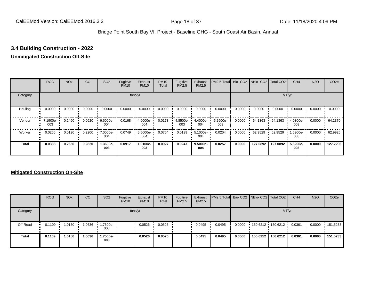#### **3.4 Building Construction - 2022**

#### **Unmitigated Construction Off-Site**

|          | <b>ROG</b>      | <b>NO<sub>x</sub></b> | CO     | SO <sub>2</sub> | Fugitive<br><b>PM10</b> | Exhaust<br><b>PM10</b> | <b>PM10</b><br>Total | Fugitive<br><b>PM2.5</b> | Exhaust<br>PM2.5 | PM2.5 Total Bio- CO2 NBio- CO2 Total CO2 |        |          |          | CH <sub>4</sub> | <b>N2O</b> | CO <sub>2e</sub> |
|----------|-----------------|-----------------------|--------|-----------------|-------------------------|------------------------|----------------------|--------------------------|------------------|------------------------------------------|--------|----------|----------|-----------------|------------|------------------|
| Category |                 |                       |        |                 |                         | tons/yr                |                      |                          |                  |                                          |        |          |          | MT/yr           |            |                  |
| Hauling  | 0.0000          | 0.0000                | 0.0000 | 0.0000          | 0.0000                  | 0.0000                 | 0.0000               | 0.0000                   | 0.0000           | 0.0000                                   | 0.0000 | 0.0000   | 0.0000   | 0.0000          | 0.0000     | 0.0000           |
| Vendor   | 7.1900e-<br>003 | 0.2460                | 0.0620 | 6.6000e-<br>004 | 0.0168                  | 4.6000e-<br>004        | 0.0173               | 4.8500e-<br>003          | 4.4000e-<br>004  | 5.2900e-<br>003                          | 0.0000 | 64.1363  | 64.1363  | 4.0300e-<br>003 | 0.0000     | 64.2370          |
| Worker   | 0.0266          | 0.0190                | 0.2200 | 7.0000e-<br>004 | 0.0749                  | 5.5000e-<br>004        | 0.0754               | 0.0199                   | 5.1000e-<br>004  | 0.0204                                   | 0.0000 | 62.9529  | 62.9529  | 1.5900e-<br>003 | 0.0000     | 62.9926          |
| Total    | 0.0338          | 0.2650                | 0.2820 | 1.3600e-<br>003 | 0.0917                  | 1.0100e-<br>003        | 0.0927               | 0.0247                   | 9.5000e-<br>004  | 0.0257                                   | 0.0000 | 127.0892 | 127.0892 | 5.6200e-<br>003 | 0.0000     | 127.2296         |

#### **Mitigated Construction On-Site**

|              | <b>ROG</b>            | <b>NO<sub>x</sub></b> | CO     | SO <sub>2</sub>   | Fugitive<br><b>PM10</b> | Exhaust<br><b>PM10</b> | <b>PM10</b><br>Total | Fugitive<br><b>PM2.5</b> | Exhaust<br><b>PM2.5</b> | <b>PM2.5 Total</b> Bio- CO2 NBio- CO2 Total CO2 |        |          |                     | CH <sub>4</sub> | <b>N2O</b> | CO <sub>2e</sub> |
|--------------|-----------------------|-----------------------|--------|-------------------|-------------------------|------------------------|----------------------|--------------------------|-------------------------|-------------------------------------------------|--------|----------|---------------------|-----------------|------------|------------------|
| Category     |                       |                       |        |                   |                         | tons/yr                |                      |                          |                         |                                                 |        |          |                     | MT/yr           |            |                  |
| Off-Road     | $\blacksquare$ 0.1109 | 1.0150                | 1.0636 | 1.7500e- 1<br>003 |                         | 0.0526                 | 0.0526               |                          | 0.0495                  | 0.0495                                          | 0.0000 |          | $150.6212$ 150.6212 | 0.0361          | 0.0000     | $\cdot$ 151.5233 |
| <b>Total</b> | 0.1109                | 1.0150                | 1.0636 | 1.7500e-<br>003   |                         | 0.0526                 | 0.0526               |                          | 0.0495                  | 0.0495                                          | 0.0000 | 150.6212 | 150.6212            | 0.0361          | 0.0000     | 151.5233         |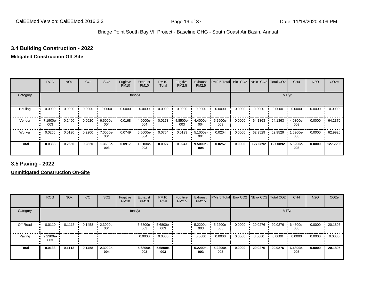#### **3.4 Building Construction - 2022**

#### **Mitigated Construction Off-Site**

|              | <b>ROG</b>      | <b>NO<sub>x</sub></b> | CO     | SO <sub>2</sub> | Fugitive<br><b>PM10</b> | Exhaust<br><b>PM10</b> | <b>PM10</b><br>Total | Fugitive<br><b>PM2.5</b> | Exhaust<br>PM2.5 | PM2.5 Total Bio- CO2 NBio- CO2 Total CO2 |        |          |          | CH <sub>4</sub> | <b>N2O</b> | CO <sub>2e</sub> |
|--------------|-----------------|-----------------------|--------|-----------------|-------------------------|------------------------|----------------------|--------------------------|------------------|------------------------------------------|--------|----------|----------|-----------------|------------|------------------|
| Category     |                 |                       |        |                 |                         | tons/yr                |                      |                          |                  |                                          |        |          |          | MT/yr           |            |                  |
| Hauling      | 0.0000          | 0.0000                | 0.0000 | 0.0000          | 0.0000                  | 0.0000                 | 0.0000               | 0.0000                   | 0.0000           | 0.0000                                   | 0.0000 | 0.0000   | 0.0000   | 0.0000          | 0.0000     | 0.0000           |
| Vendor       | 7.1900e-<br>003 | 0.2460                | 0.0620 | 6.6000e-<br>004 | 0.0168                  | 4.6000e-<br>004        | 0.0173               | 4.8500e-<br>003          | 4.4000e-<br>004  | 5.2900e-<br>003                          | 0.0000 | 64.1363  | 64.1363  | 4.0300e-<br>003 | 0.0000     | 64.2370          |
| Worker       | 0.0266          | 0.0190                | 0.2200 | 7.0000e-<br>004 | 0.0749                  | 5.5000e-<br>004        | 0.0754               | 0.0199                   | 5.1000e-<br>004  | 0.0204                                   | 0.0000 | 62.9529  | 62.9529  | 1.5900e-<br>003 | 0.0000     | 62.9926          |
| <b>Total</b> | 0.0338          | 0.2650                | 0.2820 | 1.3600e-<br>003 | 0.0917                  | 1.0100e-<br>003        | 0.0927               | 0.0247                   | 9.5000e-<br>004  | 0.0257                                   | 0.0000 | 127.0892 | 127.0892 | 5.6200e-<br>003 | 0.0000     | 127.2296         |

**3.5 Paving - 2022**

**Unmitigated Construction On-Site**

|          | <b>ROG</b>                     | <b>NO<sub>x</sub></b> | CO     | SO <sub>2</sub> | Fugitive<br><b>PM10</b> | Exhaust<br><b>PM10</b> | <b>PM10</b><br>Total | Fugitive<br>PM2.5 | Exhaust<br><b>PM2.5</b> | PM2.5 Total Bio- CO2 NBio- CO2 Total CO2 |        |         |         | CH <sub>4</sub> | <b>N2O</b> | CO <sub>2e</sub> |
|----------|--------------------------------|-----------------------|--------|-----------------|-------------------------|------------------------|----------------------|-------------------|-------------------------|------------------------------------------|--------|---------|---------|-----------------|------------|------------------|
| Category |                                |                       |        |                 |                         | tons/yr                |                      |                   |                         |                                          |        |         |         | MT/yr           |            |                  |
| Off-Road | 0.0110                         | 0.1113                | 0.1458 | 2.3000e-<br>004 |                         | $5.6800e-$<br>003      | 5.6800e-<br>003      |                   | 5.2200e-<br>003         | 5.2200e-<br>003                          | 0.0000 | 20.0276 | 20.0276 | 6.4800e-<br>003 | 0.0000     | 20.1895          |
| Paving   | $\blacksquare$ 2.2300e-<br>003 |                       |        |                 |                         | 0.0000                 | 0.0000               |                   | 0.0000                  | 0.0000                                   | 0.0000 | 0.0000  | 0.0000  | 0.0000          | 0.0000     | 0.0000           |
| Total    | 0.0133                         | 0.1113                | 0.1458 | 2.3000e-<br>004 |                         | 5.6800e-<br>003        | 5.6800e-<br>003      |                   | 5.2200e-<br>003         | 5.2200e-<br>003                          | 0.0000 | 20.0276 | 20.0276 | 6.4800e-<br>003 | 0.0000     | 20.1895          |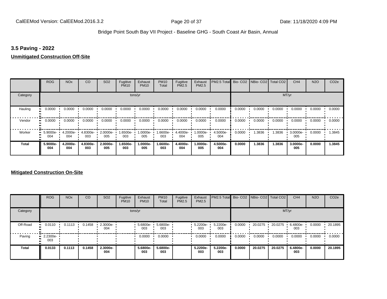#### **3.5 Paving - 2022**

#### **Unmitigated Construction Off-Site**

|              | <b>ROG</b>                   | <b>NO<sub>x</sub></b> | CO              | SO <sub>2</sub> | Fugitive<br><b>PM10</b> | Exhaust<br><b>PM10</b> | <b>PM10</b><br>Total | Fugitive<br><b>PM2.5</b> | Exhaust<br>PM2.5 | PM2.5 Total     |        | Bio- CO2   NBio- CO2   Total CO2 |        | CH <sub>4</sub> | <b>N2O</b> | CO <sub>2e</sub> |
|--------------|------------------------------|-----------------------|-----------------|-----------------|-------------------------|------------------------|----------------------|--------------------------|------------------|-----------------|--------|----------------------------------|--------|-----------------|------------|------------------|
| Category     |                              |                       |                 |                 |                         | tons/yr                |                      |                          |                  |                 |        |                                  |        | MT/yr           |            |                  |
| Hauling      | 0.0000                       | 0.0000                | 0.0000          | 0.0000          | 0.0000                  | 0.0000                 | 0.0000               | 0.0000                   | 0.0000           | 0.0000          | 0.0000 | 0.0000                           | 0.0000 | 0.0000          | 0.0000     | 0.0000           |
| Vendor       | 0.0000<br>$\bullet$          | 0.0000                | 0.0000          | 0.0000          | 0.0000                  | 0.0000                 | 0.0000               | 0.0000                   | 0.0000           | 0.0000          | 0.0000 | 0.0000                           | 0.0000 | 0.0000          | 0.0000     | 0.0000           |
| Worker       | 5.9000e-<br>$\bullet$<br>004 | 4.2000e-<br>004       | 4.8300e-<br>003 | 2.0000e-<br>005 | 1.6500e-<br>003         | 1.0000e-<br>005        | 1.6600e-<br>003      | 4.4000e-<br>004          | -.0000e<br>005   | 4.5000e-<br>004 | 0.0000 | 1.3836                           | 1.3836 | 3.0000e-<br>005 | 0.0000     | 1.3845           |
| <b>Total</b> | 5.9000e-<br>004              | 4.2000e-<br>004       | 4.8300e-<br>003 | 2.0000e-<br>005 | 1.6500e-<br>003         | 1.0000e-<br>005        | 1.6600e-<br>003      | 4.4000e-<br>004          | 1.0000e-<br>005  | 4.5000e-<br>004 | 0.0000 | 1.3836                           | 1.3836 | 3.0000e-<br>005 | 0.0000     | 1.3845           |

#### **Mitigated Construction On-Site**

|          | <b>ROG</b>                     | <b>NO<sub>x</sub></b> | CO     | SO <sub>2</sub> | Fugitive<br><b>PM10</b> | Exhaust<br><b>PM10</b> | <b>PM10</b><br>Total | Fugitive<br><b>PM2.5</b> | Exhaust<br><b>PM2.5</b> | PM2.5 Total Bio-CO2 NBio-CO2 Total CO2 |        |         |         | CH <sub>4</sub> | <b>N2O</b> | CO <sub>2e</sub> |
|----------|--------------------------------|-----------------------|--------|-----------------|-------------------------|------------------------|----------------------|--------------------------|-------------------------|----------------------------------------|--------|---------|---------|-----------------|------------|------------------|
| Category |                                |                       |        |                 |                         | tons/yr                |                      |                          |                         |                                        |        |         | MT/yr   |                 |            |                  |
| Off-Road | 0.0110                         | 0.1113                | 0.1458 | 2.3000e-<br>004 |                         | 5.6800e-<br>003        | 5.6800e-<br>003      |                          | 5.2200e-<br>003         | 5.2200e-<br>003                        | 0.0000 | 20.0275 | 20.0275 | 6.4800e-<br>003 | 0.0000     | 20.1895          |
| Paving   | $\blacksquare$ 2.2300e-<br>003 |                       |        |                 |                         | 0.0000                 | 0.0000               |                          | 0.0000                  | 0.0000                                 | 0.0000 | 0.0000  | 0.0000  | 0.0000          | 0.0000     | 0.0000           |
| Total    | 0.0133                         | 0.1113                | 0.1458 | 2.3000e-<br>004 |                         | 5.6800e-<br>003        | 5.6800e-<br>003      |                          | 5.2200e-<br>003         | 5.2200e-<br>003                        | 0.0000 | 20.0275 | 20.0275 | 6.4800e-<br>003 | 0.0000     | 20.1895          |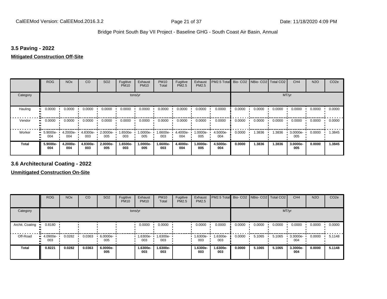#### **3.5 Paving - 2022**

#### **Mitigated Construction Off-Site**

|                     | <b>ROG</b>      | <b>NO<sub>x</sub></b> | CO              | SO <sub>2</sub>    | Fugitive<br><b>PM10</b> | Exhaust<br><b>PM10</b> | <b>PM10</b><br>Total | Fugitive<br>PM2.5 | Exhaust<br>PM2.5 | PM2.5 Total Bio- CO2 NBio- CO2 Total CO2 |        |        |        | CH <sub>4</sub> | <b>N2O</b> | CO <sub>2e</sub> |
|---------------------|-----------------|-----------------------|-----------------|--------------------|-------------------------|------------------------|----------------------|-------------------|------------------|------------------------------------------|--------|--------|--------|-----------------|------------|------------------|
| Category            |                 |                       |                 |                    | tons/yr                 |                        |                      |                   |                  |                                          |        |        | MT/yr  |                 |            |                  |
| Hauling<br>œ        | 0.0000          | 0.0000                | 0.0000          | 0.0000             | 0.0000                  | 0.0000                 | 0.0000               | 0.0000            | 0.0000           | 0.0000                                   | 0.0000 | 0.0000 | 0.0000 | 0.0000          | 0.0000     | 0.0000           |
| Vendor<br>$\bullet$ | 0.0000          | 0.0000                | 0.0000          | 0.0000             | 0.0000                  | 0.0000                 | 0.0000               | 0.0000            | 0.0000           | 0.0000                                   | 0.0000 | 0.0000 | 0.0000 | 0.0000          | 0.0000     | 0.0000           |
| Worker              | 5.9000e-<br>004 | 4.2000e-<br>004       | 4.8300e-<br>003 | $2.0000e -$<br>005 | 1.6500e-<br>003         | 1.0000e-<br>005        | 1.6600e-<br>003      | 4.4000e-<br>004   | 1.0000e-<br>005  | 4.5000e-<br>004                          | 0.0000 | 1.3836 | 1.3836 | 3.0000e-<br>005 | 0.0000     | 1.3845           |
| <b>Total</b>        | 5.9000e-<br>004 | 4.2000e-<br>004       | 4.8300e-<br>003 | 2.0000e-<br>005    | 1.6500e-<br>003         | 1.0000e-<br>005        | 1.6600e-<br>003      | 4.4000e-<br>004   | -.0000e<br>005   | 4.5000e-<br>004                          | 0.0000 | 1.3836 | 1.3836 | 3.0000e-<br>005 | 0.0000     | 1.3845           |

**3.6 Architectural Coating - 2022**

**Unmitigated Construction On-Site**

|                         | <b>ROG</b>          | <b>NO<sub>x</sub></b> | CO     | SO <sub>2</sub> | Fugitive<br><b>PM10</b> | Exhaust<br><b>PM10</b> | <b>PM10</b><br>Total | Fugitive<br><b>PM2.5</b> | Exhaust<br><b>PM2.5</b> | PM2.5 Total Bio- CO2 NBio- CO2 |        |        | Total CO <sub>2</sub> | CH <sub>4</sub> | <b>N2O</b> | CO <sub>2e</sub> |
|-------------------------|---------------------|-----------------------|--------|-----------------|-------------------------|------------------------|----------------------|--------------------------|-------------------------|--------------------------------|--------|--------|-----------------------|-----------------|------------|------------------|
| Category                |                     |                       |        |                 |                         | tons/yr                |                      |                          |                         |                                |        |        | MT/yr                 |                 |            |                  |
| Archit. Coating<br>- 11 | 0.8180              |                       |        |                 |                         | 0.0000                 | 0.0000               |                          | 0.0000                  | 0.0000                         | 0.0000 | 0.0000 | 0.0000                | 0.0000          | 0.0000     | 0.0000           |
| Off-Road                | 4.0900e-<br><br>003 | 0.0282                | 0.0363 | 6.0000e-<br>005 |                         | 1.6300e-<br>003        | 1.6300e-<br>003      |                          | -.6300e<br>003          | 1.6300e-<br>003                | 0.0000 | 5.1065 | 5.1065                | 3.3000e-<br>004 | 0.0000     | 5.1148           |
| <b>Total</b>            | 0.8221              | 0.0282                | 0.0363 | 6.0000e-<br>005 |                         | 1.6300e-<br>003        | 1.6300e-<br>003      |                          | 1.6300e-<br>003         | 1.6300e-<br>003                | 0.0000 | 5.1065 | 5.1065                | 3.3000e-<br>004 | 0.0000     | 5.1148           |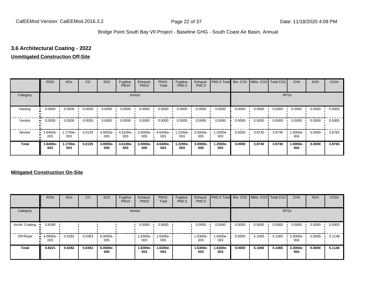# **3.6 Architectural Coating - 2022**

#### **Unmitigated Construction Off-Site**

|          | <b>ROG</b>      | <b>NO<sub>x</sub></b> | CO     | SO <sub>2</sub> | Fugitive<br><b>PM10</b> | Exhaust<br><b>PM10</b> | <b>PM10</b><br>Total | Fugitive<br><b>PM2.5</b> | Exhaust<br>PM2.5 | PM2.5 Total Bio- CO2 NBio- CO2 Total CO2 |        |        |        | CH <sub>4</sub> | <b>N2O</b> | CO <sub>2e</sub> |
|----------|-----------------|-----------------------|--------|-----------------|-------------------------|------------------------|----------------------|--------------------------|------------------|------------------------------------------|--------|--------|--------|-----------------|------------|------------------|
| Category |                 |                       |        |                 |                         | tons/yr                |                      |                          |                  |                                          |        |        |        | MT/yr           |            |                  |
| Hauling  | 0.0000          | 0.0000                | 0.0000 | 0.0000          | 0.0000                  | 0.0000                 | 0.0000               | 0.0000                   | 0.0000           | 0.0000                                   | 0.0000 | 0.0000 | 0.0000 | 0.0000          | 0.0000     | 0.0000           |
| Vendor   | 0.0000          | 0.0000                | 0.0000 | 0.0000          | 0.0000                  | 0.0000                 | 0.0000               | 0.0000                   | 0.0000           | 0.0000                                   | 0.0000 | 0.0000 | 0.0000 | 0.0000          | 0.0000     | 0.0000           |
| Worker   | 1.6400e-<br>003 | 1.1700e-<br>003       | 0.0135 | 4.0000e-<br>005 | 4.6100e-<br>003         | 3.0000e-<br>005        | 4.6400e-<br>003      | 1.2200e-<br>003          | 3.0000e-<br>005  | 1.2500e-<br>003                          | 0.0000 | 3.8740 | 3.8740 | 1.0000e-<br>004 | 0.0000     | 3.8765           |
| Total    | 1.6400e-<br>003 | 1.1700e-<br>003       | 0.0135 | 4.0000e-<br>005 | 4.6100e-<br>003         | 3.0000e-<br>005        | 4.6400e-<br>003      | 1.2200e-<br>003          | 3.0000e-<br>005  | 1.2500e-<br>003                          | 0.0000 | 3.8740 | 3.8740 | 1.0000e-<br>004 | 0.0000     | 3.8765           |

#### **Mitigated Construction On-Site**

|                 | <b>ROG</b>         | <b>NO<sub>x</sub></b> | CO     | SO <sub>2</sub> | Fugitive<br><b>PM10</b> | Exhaust<br><b>PM10</b> | <b>PM10</b><br>Total | Fugitive<br><b>PM2.5</b> | Exhaust<br><b>PM2.5</b> | PM2.5 Total Bio- CO2 NBio- CO2 Total CO2 |        |        |        | CH <sub>4</sub> | <b>N2O</b> | CO <sub>2e</sub> |
|-----------------|--------------------|-----------------------|--------|-----------------|-------------------------|------------------------|----------------------|--------------------------|-------------------------|------------------------------------------|--------|--------|--------|-----------------|------------|------------------|
| Category        |                    |                       |        |                 |                         | tons/yr                |                      |                          |                         |                                          |        |        |        | MT/yr           |            |                  |
| Archit. Coating | 0.8180             |                       |        |                 |                         | 0.0000                 | 0.0000               |                          | 0.0000                  | 0.0000                                   | 0.0000 | 0.0000 | 0.0000 | 0.0000          | 0.0000     | 0.0000           |
| Off-Road        | $-4.0900e-$<br>003 | 0.0282                | 0.0363 | 6.0000e-<br>005 |                         | 1.6300e-<br>003        | 1.6300e-<br>003      |                          | 1.6300e-<br>003         | -6300e-<br>003                           | 0.0000 | 5.1065 | 5.1065 | 3.3000e-<br>004 | 0.0000     | 5.1148           |
| <b>Total</b>    | 0.8221             | 0.0282                | 0.0363 | 6.0000e-<br>005 |                         | 1.6300e-<br>003        | 1.6300e-<br>003      |                          | 1.6300e-<br>003         | 1.6300e-<br>003                          | 0.0000 | 5.1065 | 5.1065 | 3.3000e-<br>004 | 0.0000     | 5.1148           |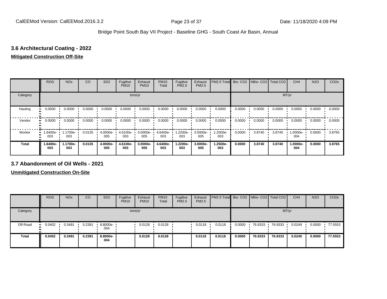# **3.6 Architectural Coating - 2022**

#### **Mitigated Construction Off-Site**

|              | <b>ROG</b>             | <b>NO<sub>x</sub></b> | CO     | SO <sub>2</sub> | Fugitive<br><b>PM10</b> | Exhaust<br><b>PM10</b> | <b>PM10</b><br>Total | Fugitive<br><b>PM2.5</b> | Exhaust<br>PM2.5 | PM2.5 Total Bio- CO2 NBio- CO2 Total CO2 |        |        |        | CH <sub>4</sub> | <b>N2O</b> | CO <sub>2e</sub> |
|--------------|------------------------|-----------------------|--------|-----------------|-------------------------|------------------------|----------------------|--------------------------|------------------|------------------------------------------|--------|--------|--------|-----------------|------------|------------------|
| Category     |                        |                       |        |                 |                         | tons/yr                |                      |                          |                  |                                          |        |        | MT/yr  |                 |            |                  |
| Hauling      | 0.0000                 | $0.0000$ $\cdot$      | 0.0000 | 0.0000          | 0.0000                  | 0.0000                 | 0.0000               | 0.0000                   | 0.0000           | 0.0000                                   | 0.0000 | 0.0000 | 0.0000 | 0.0000          | 0.0000     | 0.0000           |
| Vendor       | 0.0000<br>             | 0.0000                | 0.0000 | 0.0000          | 0.0000                  | 0.0000                 | 0.0000               | 0.0000                   | 0.0000           | 0.0000                                   | 0.0000 | 0.0000 | 0.0000 | 0.0000          | 0.0000     | 0.0000           |
| Worker       | 1.6400e-<br>. .<br>003 | 1.1700e-<br>003       | 0.0135 | 4.0000e-<br>005 | 4.6100e-<br>003         | 3.0000e-<br>005        | 4.6400e-<br>003      | 1.2200e-<br>003          | 3.0000e-<br>005  | 1.2500e-<br>003                          | 0.0000 | 3.8740 | 3.8740 | 1.0000e-<br>004 | 0.0000     | 3.8765           |
| <b>Total</b> | -6400e.<br>003         | 1.1700e-<br>003       | 0.0135 | 4.0000e-<br>005 | 4.6100e-<br>003         | 3.0000e-<br>005        | 4.6400e-<br>003      | 1.2200e-<br>003          | 3.0000e-<br>005  | 1.2500e-<br>003                          | 0.0000 | 3.8740 | 3.8740 | 1.0000e-<br>004 | 0.0000     | 3.8765           |

#### **3.7 Abandonment of Oil Wells - 2021**

**Unmitigated Construction On-Site**

|              | <b>ROG</b>            | <b>NO<sub>x</sub></b> | CO     | SO <sub>2</sub>   | Fugitive<br><b>PM10</b> | Exhaust<br><b>PM10</b> | <b>PM10</b><br>Total | Fugitive<br><b>PM2.5</b> | Exhaust<br>PM2.5 | <b>PM2.5 Total Bio-CO2 NBio-CO2 Total CO2</b> |        |         |         | CH <sub>4</sub> | <b>N2O</b> | CO <sub>2</sub> e |
|--------------|-----------------------|-----------------------|--------|-------------------|-------------------------|------------------------|----------------------|--------------------------|------------------|-----------------------------------------------|--------|---------|---------|-----------------|------------|-------------------|
| Category     |                       |                       |        |                   | tons/yr                 |                        |                      |                          |                  |                                               |        |         |         | MT/yr           |            |                   |
| Off-Road     | 0.0402<br>$\bullet$ : | 0.3491                | 0.2391 | $.8000e -$<br>004 |                         | 0.0128                 | 0.0128               |                          | 0.0118           | 0.0118                                        | 0.0000 | 76.9333 | 76.9333 | 0.0249          | 0.0000     | 77.5553           |
| <b>Total</b> | 0.0402                | 0.3491                | 0.2391 | 8.8000e-<br>004   |                         | 0.0128                 | 0.0128               |                          | 0.0118           | 0.0118                                        | 0.0000 | 76.9333 | 76.9333 | 0.0249          | 0.0000     | 77.5553           |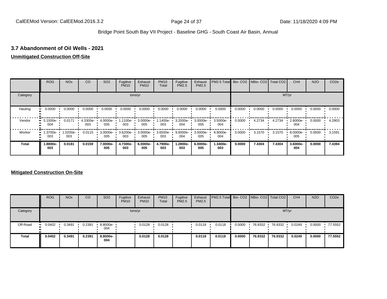#### **3.7 Abandonment of Oil Wells - 2021**

#### **Unmitigated Construction Off-Site**

|          | <b>ROG</b>      | <b>NO<sub>x</sub></b> | CO              | SO <sub>2</sub> | Fugitive<br><b>PM10</b> | Exhaust<br><b>PM10</b> | <b>PM10</b><br>Total | Fugitive<br><b>PM2.5</b> | Exhaust<br>PM2.5 | PM2.5 Total Bio- CO2 NBio- CO2 Total CO2 |        |        |        | CH <sub>4</sub> | <b>N2O</b> | CO <sub>2e</sub> |
|----------|-----------------|-----------------------|-----------------|-----------------|-------------------------|------------------------|----------------------|--------------------------|------------------|------------------------------------------|--------|--------|--------|-----------------|------------|------------------|
| Category |                 |                       |                 |                 |                         | tons/yr                |                      |                          |                  |                                          |        |        |        | MT/yr           |            |                  |
| Hauling  | 0.0000          | 0.0000                | 0.0000          | 0.0000          | 0.0000                  | 0.0000                 | 0.0000               | 0.0000                   | 0.0000           | 0.0000                                   | 0.0000 | 0.0000 | 0.0000 | 0.0000          | 0.0000     | 0.0000           |
| Vendor   | 5.1000e-<br>004 | 0.0171                | 4.3300e-<br>003 | 4.0000e-<br>005 | 1.1100e-<br>003         | 3.0000e-<br>005        | 1.1400e-<br>003      | 3.2000e-<br>004          | 3.0000e-<br>005  | 3.5000e-<br>004                          | 0.0000 | 4.2734 | 4.2734 | 2.8000e-<br>004 | 0.0000     | 4.2803           |
| Worker   | 1.3700e-<br>003 | 1.0200e-<br>003       | 0.0115          | 3.0000e-<br>005 | 3.6200e-<br>003         | 3.0000e-<br>005        | 3.6500e-<br>003      | 9.6000e-<br>004          | 3.0000e-<br>005  | 9.9000e-<br>004                          | 0.0000 | 3.1570 | 3.1570 | 8.0000e-<br>005 | 0.0000     | 3.1591           |
| Total    | 1.8800e-<br>003 | 0.0181                | 0.0159          | 7.0000e-<br>005 | 4.7300e-<br>003         | 6.0000e-<br>005        | 4.7900e-<br>003      | 1.2800e-<br>003          | 6.0000e-<br>005  | 1.3400e-<br>003                          | 0.0000 | 7.4304 | 7.4304 | 3.6000e-<br>004 | 0.0000     | 7.4394           |

#### **Mitigated Construction On-Site**

|              | <b>ROG</b>           | <b>NO<sub>x</sub></b> | CO     | SO <sub>2</sub> | Fugitive<br><b>PM10</b> | Exhaust<br><b>PM10</b> | <b>PM10</b><br><b>Total</b> | Fugitive<br>PM2.5 | Exhaust<br><b>PM2.5</b> | PM2.5 Total Bio- CO2   NBio- CO2   Total CO2 |        |         |         | CH <sub>4</sub> | <b>N2O</b> | CO <sub>2e</sub> |
|--------------|----------------------|-----------------------|--------|-----------------|-------------------------|------------------------|-----------------------------|-------------------|-------------------------|----------------------------------------------|--------|---------|---------|-----------------|------------|------------------|
| Category     |                      |                       |        |                 |                         | tons/yr                |                             |                   |                         |                                              |        |         |         | MT/yr           |            |                  |
| Off-Road     | 0.0402<br><b>ALC</b> | 0.3491                | 0.2391 | 8.8000e-<br>004 |                         | 0.0128                 | 0.0128                      |                   | 0.0118                  | 0.0118                                       | 0.0000 | 76.9332 | 76.9332 | 0.0249          | 0.0000     | 77.5552          |
| <b>Total</b> | 0.0402               | 0.3491                | 0.2391 | 8.8000e-<br>004 |                         | 0.0128                 | 0.0128                      |                   | 0.0118                  | 0.0118                                       | 0.0000 | 76.9332 | 76.9332 | 0.0249          | 0.0000     | 77.5552          |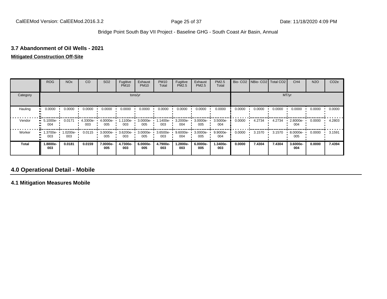#### **3.7 Abandonment of Oil Wells - 2021**

#### **Mitigated Construction Off-Site**

|              | <b>ROG</b>      | <b>NO<sub>x</sub></b> | CO              | SO <sub>2</sub> | Fugitive<br><b>PM10</b> | Exhaust<br><b>PM10</b> | <b>PM10</b><br>Total | Fugitive<br>PM2.5 | Exhaust<br>PM2.5 | <b>PM2.5</b><br>Total | Bio-CO <sub>2</sub> | NBio-CO2   Total CO2 |        | CH <sub>4</sub> | <b>N2O</b> | CO <sub>2e</sub> |
|--------------|-----------------|-----------------------|-----------------|-----------------|-------------------------|------------------------|----------------------|-------------------|------------------|-----------------------|---------------------|----------------------|--------|-----------------|------------|------------------|
| Category     |                 |                       |                 |                 |                         | tons/yr                |                      |                   |                  |                       |                     |                      | MT/yr  |                 |            |                  |
| Hauling      | 0.0000          | 0.0000                | 0.0000          | 0.0000          | 0.0000                  | 0.0000                 | 0.0000               | 0.0000            | 0.0000           | 0.0000                | 0.0000              | 0.0000               | 0.0000 | 0.0000          | 0.0000     | 0.0000           |
| Vendor       | 5.1000e-<br>004 | 0.0171                | 4.3300e-<br>003 | 4.0000e-<br>005 | 1.1100e-<br>003         | 3.0000e-<br>005        | 1.1400e-<br>003      | 3.2000e-<br>004   | 3.0000e-<br>005  | 3.5000e-<br>004       | 0.0000              | 4.2734               | 4.2734 | 2.8000e-<br>004 | 0.0000     | 4.2803           |
| Worker       | 1.3700e-<br>003 | 1.0200e-<br>003       | 0.0115          | 3.0000e-<br>005 | 3.6200e-<br>003         | 3.0000e-<br>005        | 3.6500e-<br>003      | 9.6000e-<br>004   | 3.0000e-<br>005  | 9.9000e-<br>004       | 0.0000              | 3.1570               | 3.1570 | 8.0000e-<br>005 | 0.0000     | 3.1591           |
| <b>Total</b> | 1.8800e-<br>003 | 0.0181                | 0.0159          | 7.0000e-<br>005 | 4.7300e-<br>003         | 6.0000e-<br>005        | 4.7900e-<br>003      | 1.2800e-<br>003   | 6.0000e-<br>005  | 1.3400e-<br>003       | 0.0000              | 7.4304               | 7.4304 | 3.6000e-<br>004 | 0.0000     | 7.4394           |

# **4.0 Operational Detail - Mobile**

**4.1 Mitigation Measures Mobile**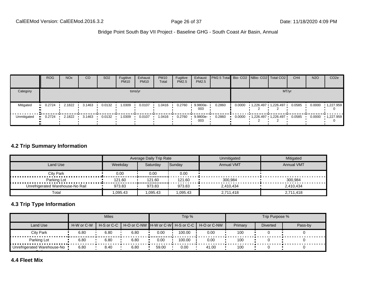|             | <b>ROG</b> | <b>NO<sub>x</sub></b> | CO     | <b>SO2</b> | Fugitive<br><b>PM10</b> | Exhaust<br><b>PM10</b> | <b>PM10</b><br>Total | Fugitive<br>PM2.5 | Exhaust<br>PM2.5 | PM2.5 Total Bio- CO2   NBio- CO2   Total CO2 |        |                     | CH <sub>4</sub> | <b>N2O</b> | CO <sub>2e</sub>  |
|-------------|------------|-----------------------|--------|------------|-------------------------|------------------------|----------------------|-------------------|------------------|----------------------------------------------|--------|---------------------|-----------------|------------|-------------------|
| Category    |            |                       |        |            |                         | tons/yr                |                      |                   |                  |                                              |        | MT/yr               |                 |            |                   |
| Mitigated   | 0.2724     | 2.1822                | 3.1463 | 0.0132     | 1.0309                  | 0.0107                 | .0416                | 0.2760            | 9.9800e-<br>003  | 0.2860                                       | 0.0000 | 1,226.497 1,226.497 | 0.0585          | 0.0000     | $\cdot$ 1,227.959 |
| Unmitigated | 0.2724     | 2.1822                | 3.1463 | 0.0132     | 1.0309                  | 0.0107                 | 0416.                | 0.2760            | 9.9800e-<br>003  | 0.2860                                       | 0.0000 | 1,226.497 1,226.497 | 0.0585          | 0.0000     | $\cdot$ 1,227.959 |

#### **4.2 Trip Summary Information**

|                                  |          | Average Daily Trip Rate |          | Unmitigated       | Mitigated         |
|----------------------------------|----------|-------------------------|----------|-------------------|-------------------|
| Land Use                         | Weekday  | Saturdav                | Sunday   | <b>Annual VMT</b> | <b>Annual VMT</b> |
| <b>City Park</b><br>             | 0.00     | 0.00                    | 0.00     |                   |                   |
| Parking Lot                      | 121.60   | 121.60                  | 121.60   | 300,984           | 300.984           |
| Unrefrigerated Warehouse-No Rail | 973.83   | 973.83                  | 973.83   | 2,410,434         | 2,410,434         |
| Total                            | 1,095.43 | 1,095.43                | 1,095.43 | 2,711,418         | 2,711,418         |

# **4.3 Trip Type Information**

|                               |            | <b>Miles</b> |      |       | Trip % |                                                     |         | Trip Purpose %  |         |
|-------------------------------|------------|--------------|------|-------|--------|-----------------------------------------------------|---------|-----------------|---------|
| Land Use                      | H-W or C-W | H-S or C-C   |      |       |        | │ H-O or C-NW ┃H-W or C-W┃ H-S or C-C ┃ H-O or C-NW | Primary | <b>Diverted</b> | Pass-by |
| <b>City Park</b>              | 6.80       | 6.80         | 6.80 | 0.00  | 100.00 | 0.00                                                | 100     |                 |         |
| Parking Lot                   | 6.80       | 6.80         | 6.80 | 0.00  | 100.00 | 0.00                                                | 100     |                 |         |
| Unrefrigerated Warehouse-No . | 6.80       | 8.40         | 6.80 | 59.00 | 0.00   | 41.00                                               | 100     |                 |         |

#### **4.4 Fleet Mix**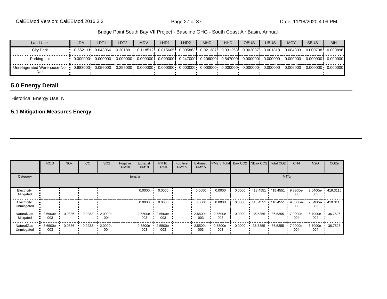| Land Use                            | <b>LDA</b> | LDT1 | LDT <sub>2</sub> | <b>MDV</b> | LHD1 | LHD2 | <b>MHD</b> | <b>HHD</b> | OBUS | <b>UBUS</b> | <b>MCY</b> | <b>SBUS</b>                                                                                                                                    | MH       |
|-------------------------------------|------------|------|------------------|------------|------|------|------------|------------|------|-------------|------------|------------------------------------------------------------------------------------------------------------------------------------------------|----------|
| <b>City Park</b>                    |            |      |                  |            |      |      |            |            |      |             |            | 0.552111 0.043066i 0.201891i 0.118512i 0.015605i 0.005863i 0.021387i 0.031253i 0.002087i 0.001818i 0.004803i 0.000708i                         | 0.000896 |
| Parking Lot                         |            |      |                  |            |      |      |            |            |      |             |            | $0.000000$ $0.000000$ $0.000000$ $0.000000$ $0.000000$ $0.247000$ $0.206000$ $0.547000$ $0.000000$ $0.000000$ $0.000000$ $0.000000$ $0.000000$ |          |
| Unrefrigerated Warehouse-No<br>Rail |            |      |                  |            |      |      |            |            |      |             |            |                                                                                                                                                |          |

# **5.0 Energy Detail**

Historical Energy Use: N

#### **5.1 Mitigation Measures Energy**

|                                  | ROG                | <b>NO<sub>x</sub></b> | CO     | SO <sub>2</sub> | Fugitive<br><b>PM10</b> | Exhaust<br><b>PM10</b> | <b>PM10</b><br>Total | Fugitive<br><b>PM2.5</b> | Exhaust<br>PM2.5 | PM2.5 Total Bio- CO2 NBio- CO2 Total CO2 |        |          |           | CH <sub>4</sub> | <b>N2O</b>         | CO <sub>2e</sub> |
|----------------------------------|--------------------|-----------------------|--------|-----------------|-------------------------|------------------------|----------------------|--------------------------|------------------|------------------------------------------|--------|----------|-----------|-----------------|--------------------|------------------|
| Category                         |                    |                       |        |                 |                         | tons/yr                |                      |                          |                  |                                          |        |          | MT/yr     |                 |                    |                  |
| Electricity<br>Mitigated         |                    |                       |        |                 |                         | 0.0000                 | 0.0000               |                          | 0.0000           | 0.0000                                   | 0.0000 | 418.4551 | 418.4551  | 9.8800e-<br>003 | 2.0400e-<br>003    | 419.3115         |
| Electricity<br>Unmitigated       |                    |                       |        |                 |                         | 0.0000                 | 0.0000               |                          | 0.0000           | 0.0000                                   | 0.0000 | 418.4551 | .418.4551 | 9.8800e-<br>003 | $2.0400e -$<br>003 | 419.3115         |
| <b>NaturalGas</b><br>Mitigated   | $-3.6900e-$<br>003 | 0.0336                | 0.0282 | 2.0000e-<br>004 |                         | 2.5500e-<br>003        | 2.5500e-<br>003      |                          | 2.5500e-<br>003  | 2.5500e-<br>003                          | 0.0000 | 36.5355  | 36.5355   | 7.0000e-<br>004 | 6.7000e-<br>004    | 36.7526          |
| <b>NaturalGas</b><br>Unmitigated | $-3.6900e-$<br>003 | 0.0336                | 0.0282 | 2.0000e-<br>004 |                         | 2.5500e-<br>003        | 2.5500e-<br>003      |                          | 2.5500e-<br>003  | 2.5500e-<br>003                          | 0.0000 | 36.5355  | 36.5355   | 7.0000e-<br>004 | 6.7000e-<br>004    | 36.7526          |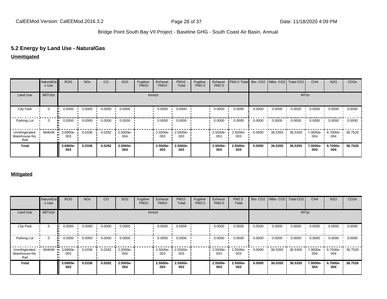# **5.2 Energy by Land Use - NaturalGas**

#### **Unmitigated**

|                                        | NaturalGa<br>s Use | <b>ROG</b>      | <b>NO<sub>x</sub></b> | CO     | SO <sub>2</sub> | Fugitive<br><b>PM10</b> | Exhaust<br><b>PM10</b> | <b>PM10</b><br>Total | Fugitive<br>PM2.5 | Exhaust<br>PM2.5 | PM2.5 Total Bio- CO2 NBio- CO2 Total CO2 |        |         |         | CH <sub>4</sub> | <b>N2O</b>      | CO <sub>2e</sub> |
|----------------------------------------|--------------------|-----------------|-----------------------|--------|-----------------|-------------------------|------------------------|----------------------|-------------------|------------------|------------------------------------------|--------|---------|---------|-----------------|-----------------|------------------|
| Land Use                               | kBTU/yr            |                 |                       |        |                 |                         | tons/yr                |                      |                   |                  |                                          |        |         | MT/yr   |                 |                 |                  |
| <b>City Park</b>                       | $\mathbf 0$        | 0.0000          | 0.0000                | 0.0000 | 0.0000          |                         | 0.0000                 | 0.0000               |                   | 0.0000           | 0.0000                                   | 0.0000 | 0.0000  | 0.0000  | 0.0000          | 0.0000          | 0.0000           |
| Parking Lot                            | 0                  | 0.0000          | 0.0000                | 0.0000 | 0.0000          |                         | 0.0000                 | 0.0000               |                   | 0.0000           | 0.0000                                   | 0.0000 | 0.0000  | 0.0000  | 0.0000          | 0.0000          | 0.0000           |
| Unrefrigerated<br>Warehouse-No<br>Rail | 684649             | 3.6900e-<br>003 | 0.0336                | 0.0282 | 2.0000e-<br>004 |                         | 2.5500e-<br>003        | 2.5500e-<br>003      |                   | 2.5500e-<br>003  | 2.5500e-<br>003                          | 0.0000 | 36.5355 | 36.5355 | 7.0000e-<br>004 | 6.7000e-<br>004 | 36.7526          |
| <b>Total</b>                           |                    | 3.6900e-<br>003 | 0.0336                | 0.0282 | 2.0000e-<br>004 |                         | 2.5500e-<br>003        | 2.5500e-<br>003      |                   | 2.5500e-<br>003  | 2.5500e-<br>003                          | 0.0000 | 36.5355 | 36.5355 | 7.0000e-<br>004 | 6.7000e-<br>004 | 36.7526          |

#### **Mitigated**

|                                        | NaturalGa<br>s Use | <b>ROG</b>      | <b>NO<sub>x</sub></b> | CO     | SO <sub>2</sub> | Fugitive<br><b>PM10</b> | Exhaust<br><b>PM10</b> | <b>PM10</b><br>Total | Fugitive<br>PM2.5 | Exhaust<br>PM2.5 | PM2.5<br>Total  |        | Bio- CO2 NBio- CO2 Total CO2 |         | CH <sub>4</sub> | <b>N2O</b>      | CO <sub>2e</sub> |
|----------------------------------------|--------------------|-----------------|-----------------------|--------|-----------------|-------------------------|------------------------|----------------------|-------------------|------------------|-----------------|--------|------------------------------|---------|-----------------|-----------------|------------------|
| Land Use                               | kBTU/yr            |                 |                       |        |                 |                         | tons/yr                |                      |                   |                  |                 |        |                              | MT/yr   |                 |                 |                  |
| <b>City Park</b>                       | $\mathbf{0}$       | 0.0000          | 0.0000                | 0.0000 | 0.0000          |                         | 0.0000                 | 0.0000               |                   | 0.0000           | 0.0000          | 0.0000 | 0.0000                       | 0.0000  | 0.0000          | 0.0000          | 0.0000           |
| Parking Lot                            | $\Omega$           | 0.0000          | 0.0000                | 0.0000 | 0.0000          |                         | 0.0000                 | 0.0000               |                   | 0.0000           | 0.0000          | 0.0000 | 0.0000                       | 0.0000  | 0.0000          | 0.0000          | 0.0000           |
| Unrefrigerated<br>Warehouse-No<br>Rail | 684649             | 3.6900e-<br>003 | 0.0336                | 0.0282 | 2.0000e-<br>004 |                         | 2.5500e-<br>003        | 2.5500e-<br>003      |                   | 2.5500e-<br>003  | 2.5500e-<br>003 | 0.0000 | 36.5355                      | 36.5355 | 7.0000e-<br>004 | 6.7000e-<br>004 | 36.7526          |
| <b>Total</b>                           |                    | 3.6900e-<br>003 | 0.0336                | 0.0282 | 2.0000e-<br>004 |                         | 2.5500e-<br>003        | 2.5500e-<br>003      |                   | 2.5500e-<br>003  | 2.5500e-<br>003 | 0.0000 | 36.5355                      | 36.5355 | 7.0000e-<br>004 | 6.7000e-<br>004 | 36.7526          |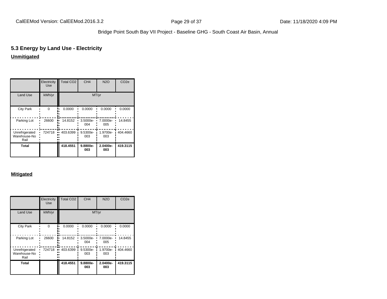# **5.3 Energy by Land Use - Electricity**

# **Unmitigated**

|                                        | Electricity<br><b>Use</b> | <b>Total CO2</b> | CH <sub>4</sub> | <b>N2O</b>      | CO <sub>2e</sub> |
|----------------------------------------|---------------------------|------------------|-----------------|-----------------|------------------|
| <b>Land Use</b>                        | kWh/yr                    |                  | MT/yr           |                 |                  |
| <b>City Park</b>                       | $\Omega$                  | 0.0000           | 0.0000          | 0.0000          | 0.0000           |
| Parking Lot                            | 26600                     | 14.8152          | 3.5000e-<br>004 | 7.0000e-<br>005 | 14.8455          |
| Unrefrigerated<br>Warehouse-No<br>Rail | 724718                    | 403.6399         | 9.5300e-<br>003 | 1.9700e-<br>003 | 404.4660         |
| Total                                  |                           | 418.4551         | 9.8800e-<br>003 | 2.0400e-<br>003 | 419.3115         |

#### **Mitigated**

|                                        | Electricity<br><b>Use</b> | <b>Total CO2</b> | CH <sub>4</sub> | <b>N2O</b>      | CO <sub>2e</sub> |
|----------------------------------------|---------------------------|------------------|-----------------|-----------------|------------------|
| <b>Land Use</b>                        | kWh/yr                    |                  |                 | MT/yr           |                  |
| <b>City Park</b>                       | $\Omega$                  | 0.0000           | 0.0000          | 0.0000          | 0.0000           |
| Parking Lot                            | 26600                     | 14.8152          | 3.5000e-<br>004 | 7.0000e-<br>005 | 14.8455          |
| Unrefrigerated<br>Warehouse-No<br>Rail | 724718                    | 403.6399         | 9.5300e-<br>003 | 1.9700e-<br>003 | 404.4660         |
| Total                                  |                           | 418.4551         | 9.8800e-<br>003 | 2.0400e-<br>003 | 419.3115         |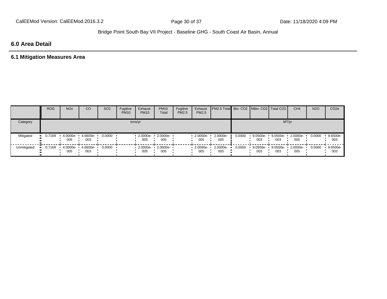# **6.0 Area Detail**

# **6.1 Mitigation Measures Area**

|             | <b>ROG</b> | <b>NO<sub>x</sub></b> | CO              | SO <sub>2</sub> | Fugitive<br><b>PM10</b> | Exhaust<br><b>PM10</b> | <b>PM10</b><br>Total | Fugitive<br><b>PM2.5</b> | Exhaust<br>PM2.5 | <b>PM2.5 Total Bio- CO2 NBio- CO2   Total CO2  </b> |        |                 |                 | CH <sub>4</sub> | <b>N2O</b> | CO <sub>2e</sub> |
|-------------|------------|-----------------------|-----------------|-----------------|-------------------------|------------------------|----------------------|--------------------------|------------------|-----------------------------------------------------|--------|-----------------|-----------------|-----------------|------------|------------------|
| Category    |            |                       |                 |                 | tons/yr                 |                        |                      |                          |                  |                                                     |        |                 |                 | MT/yr           |            |                  |
| Mitigated   | 0.7169     | 4.0000e-<br>005       | 4.6600e-<br>003 | 0.0000          |                         | $2.0000e -$<br>005     | 2.0000e-<br>005      |                          | 2.0000e-<br>005  | 2.0000e-<br>005                                     | 0.0000 | 9.0500e-<br>003 | 9.0500e-<br>003 | 2.0000e-<br>005 | 0.0000     | 9.6500e-<br>003  |
| Unmitigated | 0.7169     | 4.0000e-<br>005       | 4.6600e-<br>003 | 0.0000          |                         | $2.0000e -$<br>005     | 2.0000e-<br>005      |                          | 2.0000e-<br>005  | 2.0000e-<br>005                                     | 0.0000 | 9.0500e-<br>003 | 9.0500e-<br>003 | 2.0000e-<br>005 | 0.0000     | 9.6500e-<br>003  |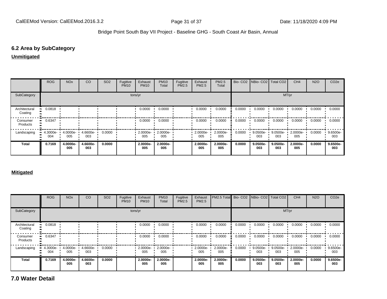#### **6.2 Area by SubCategory**

#### **Unmitigated**

|                          | <b>ROG</b>      | <b>NO<sub>x</sub></b> | CO              | SO <sub>2</sub> | Fugitive<br><b>PM10</b> | Exhaust<br><b>PM10</b> | <b>PM10</b><br>Total | Fugitive<br>PM2.5 | Exhaust<br><b>PM2.5</b> | PM2.5<br>Total  | Bio-CO <sub>2</sub> | NBio- CO2   Total CO2 |                 | CH <sub>4</sub> | <b>N2O</b> | CO <sub>2e</sub> |
|--------------------------|-----------------|-----------------------|-----------------|-----------------|-------------------------|------------------------|----------------------|-------------------|-------------------------|-----------------|---------------------|-----------------------|-----------------|-----------------|------------|------------------|
| SubCategory              |                 |                       |                 |                 | tons/yr                 |                        |                      |                   |                         |                 |                     |                       |                 | MT/yr           |            |                  |
| Architectural<br>Coating | 0.0818          |                       |                 |                 |                         | 0.0000                 | 0.0000               |                   | 0.0000                  | 0.0000          | 0.0000              | 0.0000                | 0.0000          | 0.0000          | 0.0000     | 0.0000           |
| Consumer<br>Products     | 0.6347          |                       |                 |                 |                         | 0.0000                 | 0.0000               |                   | 0.0000                  | 0.0000          | 0.0000              | 0.0000                | 0.0000          | 0.0000          | 0.0000     | 0.0000           |
| Landscaping              | 4.3000e-<br>004 | 4.0000e-<br>005       | 4.6600e-<br>003 | 0.0000          |                         | $2.0000e -$<br>005     | 2.0000e-<br>005      |                   | $-2.0000e-$<br>005      | 2.0000e-<br>005 | 0.0000              | 9.0500e-<br>003       | 9.0500e-<br>003 | 2.0000e-<br>005 | 0.0000     | 9.6500e-<br>003  |
| <b>Total</b>             | 0.7169          | 4.0000e-<br>005       | 4.6600e-<br>003 | 0.0000          |                         | 2.0000e-<br>005        | 2.0000e-<br>005      |                   | 2.0000e-<br>005         | 2.0000e-<br>005 | 0.0000              | 9.0500e-<br>003       | 9.0500e-<br>003 | 2.0000e-<br>005 | 0.0000     | 9.6500e-<br>003  |

#### **Mitigated**

|                          | <b>ROG</b>           | <b>NO<sub>x</sub></b> | CO              | SO <sub>2</sub> | Fugitive<br><b>PM10</b> | Exhaust<br><b>PM10</b> | <b>PM10</b><br>Total | Fugitive<br><b>PM2.5</b> | Exhaust<br>PM2.5   | <b>PM2.5 Total Bio- CO2 NBio- CO2 Total CO2</b> |        |                    |                 | CH <sub>4</sub> | <b>N2O</b> | CO <sub>2e</sub> |
|--------------------------|----------------------|-----------------------|-----------------|-----------------|-------------------------|------------------------|----------------------|--------------------------|--------------------|-------------------------------------------------|--------|--------------------|-----------------|-----------------|------------|------------------|
| SubCategory              |                      |                       |                 |                 |                         | tons/yr                |                      |                          |                    |                                                 |        |                    |                 | MT/yr           |            |                  |
| Architectural<br>Coating | 0.0818               |                       |                 |                 |                         | 0.0000                 | 0.0000               |                          | 0.0000             | 0.0000                                          | 0.0000 | 0.0000             | 0.0000          | 0.0000          | 0.0000     | 0.0000           |
| Consumer<br>Products     | 0.6347               |                       |                 |                 |                         | 0.0000                 | 0.0000               |                          | 0.0000             | 0.0000                                          | 0.0000 | 0.0000             | 0.0000          | 0.0000          | 0.0000     | 0.0000           |
| Landscaping              | $4.3000e - 1$<br>004 | 4.0000e-<br>005       | 4.6600e-<br>003 | 0.0000          |                         | $2.0000e -$<br>005     | 2.0000e-<br>005      |                          | $2.0000e -$<br>005 | 2.0000e-<br>005                                 | 0.0000 | $9.0500e -$<br>003 | 9.0500e-<br>003 | 2.0000e-<br>005 | 0.0000     | 9.6500e-<br>003  |
| <b>Total</b>             | 0.7169               | 4.0000e-<br>005       | 4.6600e-<br>003 | 0.0000          |                         | 2.0000e-<br>005        | 2.0000e-<br>005      |                          | 2.0000e-<br>005    | 2.0000e-<br>005                                 | 0.0000 | 9.0500e-<br>003    | 9.0500e-<br>003 | 2.0000e-<br>005 | 0.0000     | 9.6500e-<br>003  |

**7.0 Water Detail**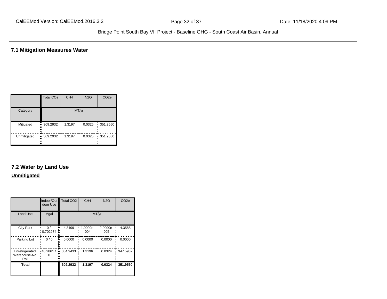**7.1 Mitigation Measures Water**

|             | Total CO <sub>2</sub>                 | CH <sub>4</sub> | <b>N2O</b> | CO <sub>2e</sub> |
|-------------|---------------------------------------|-----------------|------------|------------------|
| Category    |                                       |                 | MT/yr      |                  |
| Mitigated   | • 309.2932 •<br><br>                  | 1.3197          | 0.0325     | 351.9550         |
| Unmitigated | $\blacksquare$ 309.2932 ·<br><br><br> | 1.3197          | 0.0325     | 351.9550         |

# **7.2 Water by Land Use**

#### **Unmitigated**

|                                        | Indoor/Out<br>door Use | Total CO <sub>2</sub> | CH <sub>4</sub> | <b>N2O</b>      | CO <sub>2e</sub> |
|----------------------------------------|------------------------|-----------------------|-----------------|-----------------|------------------|
| <b>Land Use</b>                        | Mgal                   |                       |                 | MT/yr           |                  |
| <b>City Park</b>                       | 0/<br>0.702974         | 4.3499                | 1.0000e-<br>004 | 2.0000e-<br>005 | 4.3588           |
| Parking Lot                            | 0/0                    | 0.0000                | 0.0000          | 0.0000          | 0.0000           |
| Unrefrigerated<br>Warehouse-No<br>Rail | 40.2861 /              | 304.9433<br>ш.        | 1.3196          | 0.0324          | 347.5962         |
| <b>Total</b>                           |                        | 309.2932              | 1.3197          | 0.0324          | 351.9550         |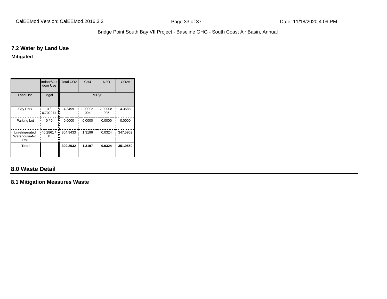#### **7.2 Water by Land Use**

#### **Mitigated**

|                                        | Indoor/Out<br>door Use | Total CO <sub>2</sub> | CH <sub>4</sub> | <b>N2O</b>      | CO <sub>2e</sub> |
|----------------------------------------|------------------------|-----------------------|-----------------|-----------------|------------------|
| <b>Land Use</b>                        | Mgal                   |                       | MT/yr           |                 |                  |
| <b>City Park</b>                       | $\Omega$ /<br>0.702974 | 4.3499                | 1.0000e-<br>004 | 2.0000e-<br>005 | 4.3588           |
| Parking Lot                            | 0/0                    | 0.0000                | 0.0000          | 0.0000          | 0.0000           |
| Unrefrigerated<br>Warehouse-No<br>Rail | 40.2861 /<br>          | 304.9433              | 1.3196          | 0.0324          | 347.5962         |
| Total                                  |                        | 309.2932              | 1.3197          | 0.0324          | 351.9550         |

# **8.0 Waste Detail**

**8.1 Mitigation Measures Waste**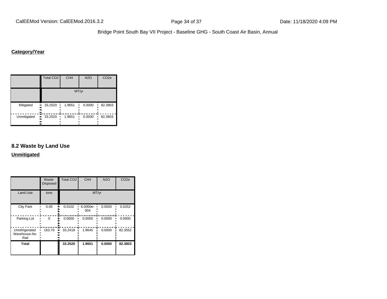# **Category/Year**

|                       | <b>Total CO2</b>   | CH <sub>4</sub> | <b>N2O</b> | CO <sub>2e</sub> |
|-----------------------|--------------------|-----------------|------------|------------------|
|                       |                    |                 | MT/yr      |                  |
| Mitigated<br><br><br> | 33.2520            | 1.9651          | 0.0000     | 82.3803          |
| Unmitigated<br><br>   | 33.2520<br>ш<br>., | 1.9651          | 0.0000     | 82.3803          |

#### **8.2 Waste by Land Use**

**Unmitigated**

|                                        | Waste<br><b>Disposed</b> | <b>Total CO2</b> | CH <sub>4</sub> | <b>N2O</b> | CO <sub>2e</sub> |
|----------------------------------------|--------------------------|------------------|-----------------|------------|------------------|
| <b>Land Use</b>                        | tons                     |                  | MT/yr           |            |                  |
| <b>City Park</b>                       | 0.05                     | 0.0102           | 6.0000e-<br>004 | 0.0000     | 0.0252           |
| Parking Lot                            | $\Omega$                 | 0.0000           | 0.0000          | 0.0000     | 0.0000           |
| Unrefrigerated<br>Warehouse-No<br>Rail | 163.76                   | 33.2418          | 1.9645          | 0.0000     | 82.3552          |
| <b>Total</b>                           |                          | 33.2520          | 1.9651          | 0.0000     | 82.3803          |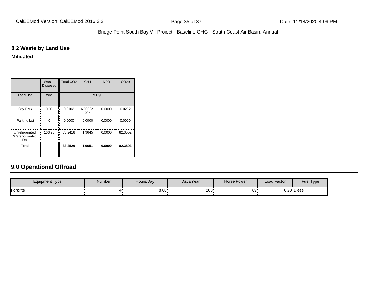#### **8.2 Waste by Land Use**

**Mitigated**

|                                        | Waste<br><b>Disposed</b> | <b>Total CO2</b> | CH <sub>4</sub> | <b>N2O</b> | CO <sub>2e</sub> |  |  |
|----------------------------------------|--------------------------|------------------|-----------------|------------|------------------|--|--|
| <b>Land Use</b>                        | tons                     | MT/yr            |                 |            |                  |  |  |
| <b>City Park</b>                       | 0.05                     | 0.0102           | 6.0000e-<br>004 | 0.0000     | 0.0252           |  |  |
| Parking Lot                            | $\Omega$                 | 0.0000           | 0.0000          | 0.0000     | 0.0000           |  |  |
| Unrefrigerated<br>Warehouse-No<br>Rail | 163.76                   | 33.2418          | 1.9645          | 0.0000     | 82.3552          |  |  |
| Total                                  |                          | 33.2520          | 1.9651          | 0.0000     | 82.3803          |  |  |

# **9.0 Operational Offroad**

| <b>Equipment Type</b> | Number | Hours/Day | Days/Year | <b>Horse Power</b> | Load Factor | Fuel Type   |
|-----------------------|--------|-----------|-----------|--------------------|-------------|-------------|
| Forklifts             |        | 8.00      | 260       | 89                 |             | 0.20 Diesel |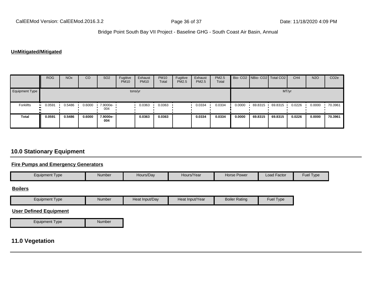#### **UnMitigated/Mitigated**

|                | <b>ROG</b>          | <b>NO<sub>x</sub></b> | CO     | SO <sub>2</sub> | Fugitive<br><b>PM10</b> | Exhaust<br><b>PM10</b> | <b>PM10</b><br>Total | Fugitive<br><b>PM2.5</b> | Exhaust<br><b>PM2.5</b> | PM2.5<br>Total |        | Bio- CO2   NBio- CO2   Total CO2 |         | CH <sub>4</sub> | <b>N2O</b> | CO <sub>2</sub> e |
|----------------|---------------------|-----------------------|--------|-----------------|-------------------------|------------------------|----------------------|--------------------------|-------------------------|----------------|--------|----------------------------------|---------|-----------------|------------|-------------------|
| Equipment Type |                     |                       |        |                 |                         | tons/yr                |                      |                          |                         |                |        |                                  | MT/yr   |                 |            |                   |
| Forklifts      | 0.0591<br>$\bullet$ | 0.5486                | 0.6000 | 7.9000e-<br>004 |                         | 0.0363                 | 0.0363               |                          | 0.0334                  | 0.0334         | 0.0000 | 69.8315                          | 69.8315 | 0.0226          | 0.0000     | 70.3961           |
| <b>Total</b>   | 0.0591              | 0.5486                | 0.6000 | 7.9000e-<br>004 |                         | 0.0363                 | 0.0363               |                          | 0.0334                  | 0.0334         | 0.0000 | 69.8315                          | 69.8315 | 0.0226          | 0.0000     | 70.3961           |

# **10.0 Stationary Equipment**

### **Fire Pumps and Emergency Generators**

| <b>Equipment Type</b>         | <b>Number</b> | Hours/Day      | Hours/Year      | <b>Horse Power</b>   | Load Factor | Fuel Type |  |
|-------------------------------|---------------|----------------|-----------------|----------------------|-------------|-----------|--|
| <b>Boilers</b>                |               |                |                 |                      |             |           |  |
| <b>Equipment Type</b>         | <b>Number</b> | Heat Input/Day | Heat Input/Year | <b>Boiler Rating</b> | Fuel Type   |           |  |
| <b>User Defined Equipment</b> |               |                |                 |                      |             |           |  |
| <b>Equipment Type</b>         | Number        |                |                 |                      |             |           |  |

# **11.0 Vegetation**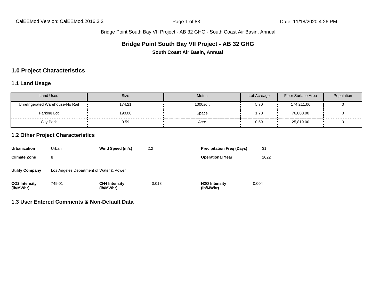## **Bridge Point South Bay VII Project - AB 32 GHG**

**South Coast Air Basin, Annual**

# **1.0 Project Characteristics**

### **1.1 Land Usage**

| Land Uses                        | Size   | Metric   | Lot Acreage | Floor Surface Area | Population |
|----------------------------------|--------|----------|-------------|--------------------|------------|
| Unrefrigerated Warehouse-No Rail | 174.21 | 1000sqft | 5.70        | 174,211.00         |            |
| Parking Lot                      | 190.00 | Space    | 1.70        | 76,000.00          |            |
| City Park                        | 0.59   | Acre     | 0.59        | 25,819.00          |            |

## **1.2 Other Project Characteristics**

| Urbanization                      | Urban                                   | Wind Speed (m/s)                  | 2.2   | <b>Precipitation Freg (Days)</b>        | 31    |
|-----------------------------------|-----------------------------------------|-----------------------------------|-------|-----------------------------------------|-------|
| <b>Climate Zone</b>               | 8                                       |                                   |       | <b>Operational Year</b>                 | 2022  |
| <b>Utility Company</b>            | Los Angeles Department of Water & Power |                                   |       |                                         |       |
| <b>CO2 Intensity</b><br>(lb/MWhr) | 749.01                                  | <b>CH4 Intensity</b><br>(lb/MWhr) | 0.018 | N <sub>2</sub> O Intensity<br>(lb/MWhr) | 0.004 |

**1.3 User Entered Comments & Non-Default Data**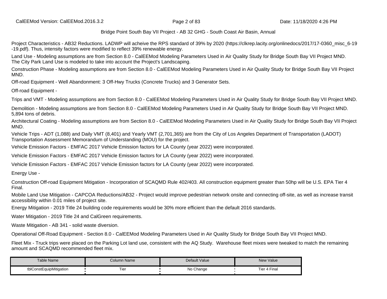CalEEMod Version: CalEEMod.2016.3.2 **Page 2 of 83** Page 2 of 83 Date: 11/18/2020 4:26 PM

Bridge Point South Bay VII Project - AB 32 GHG - South Coast Air Basin, Annual

Project Characteristics - AB32 Reductions. LADWP will acheive the RPS standard of 39% by 2020 (https://clkrep.lacity.org/onlinedocs/2017/17-0360 misc 6-19 -19.pdf). Thus, intensity factors were modified to reflect 39% renewable energy.

Land Use - Modeling assumptions are from Section 8.0 - CalEEMod Modeling Parameters Used in Air Quality Study for Bridge South Bay VII Project MND. The City Park Land Use is modeled to take into account the Project's Landscaping.

Construction Phase - Modeling assumptions are from Section 8.0 - CalEEMod Modeling Parameters Used in Air Quality Study for Bridge South Bay VII Project MND.

Off-road Equipment - Well Abandonment: 3 Off-Hwy Trucks (Concrete Trucks) and 3 Generator Sets.

Off-road Equipment -

Trips and VMT - Modeling assumptions are from Section 8.0 - CalEEMod Modeling Parameters Used in Air Quality Study for Bridge South Bay VII Project MND.

Demolition - Modeling assumptions are from Section 8.0 - CalEEMod Modeling Parameters Used in Air Quality Study for Bridge South Bay VII Project MND. 5,894 tons of debris.

Architectural Coating - Modeling assumptions are from Section 8.0 - CalEEMod Modeling Parameters Used in Air Quality Study for Bridge South Bay VII Project MND.

Vehicle Trips - ADT (1,088) and Daily VMT (8,401) and Yearly VMT (2,701,365) are from the City of Los Angeles Department of Transportation (LADOT) Transportation Assessment Memorandum of Understanding (MOU) for the project.

Vehicle Emission Factors - EMFAC 2017 Vehicle Emission factors for LA County (year 2022) were incorporated.

Vehicle Emission Factors - EMFAC 2017 Vehicle Emission factors for LA County (year 2022) were incorporated.

Vehicle Emission Factors - EMFAC 2017 Vehicle Emission factors for LA County (year 2022) were incorporated.

Energy Use -

Construction Off-road Equipment Mitigation - Incorporation of SCAQMD Rule 402/403. All construction equipment greater than 50hp will be U.S. EPA Tier 4 Final.

Mobile Land Use Mitigation - CAPCOA Reductions/AB32 - Project would improve pedestrian network onsite and connecting off-site, as well as increase transit accessibility within 0.01 miles of project site.

Energy Mitigation - 2019 Title 24 building code requirements would be 30% more efficient than the default 2016 standards.

Water Mitigation - 2019 Title 24 and CalGreen requirements.

Waste Mitigation - AB 341 - solid waste diversion.

Operational Off-Road Equipment - Section 8.0 - CalEEMod Modeling Parameters Used in Air Quality Study for Bridge South Bay VII Project MND.

Fleet Mix - Truck trips were placed on the Parking Lot land use, consistent with the AQ Study. Warehouse fleet mixes were tweaked to match the remaining amount and SCAQMD recommended fleet mix.

| <b>Table Name</b>       | Column Name | Default Value | <b>New Value</b>     |
|-------------------------|-------------|---------------|----------------------|
| tblConstEquipMitigation | j<br>Гіеі   | No Change     | Final<br>⊺i≙r<br>ושו |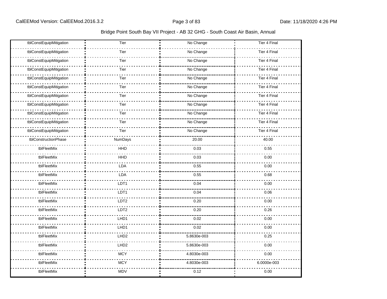| tblConstEquipMitigation | Tier             | No Change   | Tier 4 Final        |
|-------------------------|------------------|-------------|---------------------|
| tblConstEquipMitigation | Tier             | No Change   | <b>Tier 4 Final</b> |
| tblConstEquipMitigation | Tier             | No Change   | Tier 4 Final        |
| tblConstEquipMitigation | Tier             | No Change   | Tier 4 Final        |
| tblConstEquipMitigation | Tier             | No Change   | Tier 4 Final        |
| tblConstEquipMitigation | Tier             | No Change   | Tier 4 Final        |
| tblConstEquipMitigation | Tier             | No Change   | <b>Tier 4 Final</b> |
| tblConstEquipMitigation | Tier             | No Change   | Tier 4 Final        |
| tblConstEquipMitigation | Tier             | No Change   | Tier 4 Final        |
| tblConstEquipMitigation | Tier             | No Change   | Tier 4 Final        |
| tblConstEquipMitigation | Tier             | No Change   | <b>Tier 4 Final</b> |
| tblConstructionPhase    | NumDays          | 20.00       | 40.00               |
| tblFleetMix             | <b>HHD</b>       | 0.03        | 0.55                |
| tblFleetMix             | HHD              | 0.03        | 0.00                |
| tblFleetMix             | LDA              | 0.55        | 0.00                |
| tblFleetMix             | LDA              | 0.55        | 0.68                |
| tblFleetMix             | LDT1             | 0.04        | 0.00                |
| tblFleetMix             | LDT1             | 0.04        | 0.06                |
| tblFleetMix             | LDT <sub>2</sub> | 0.20        | 0.00                |
| tblFleetMix             | LDT2             | 0.20        | 0.26                |
| tblFleetMix             | LHD1             | 0.02        | 0.00                |
| tblFleetMix             | LHD1             | 0.02        | 0.00                |
| tblFleetMix             | LHD <sub>2</sub> | 5.8630e-003 | 0.25                |
| tblFleetMix             | LHD <sub>2</sub> | 5.8630e-003 | 0.00                |
| tblFleetMix             | <b>MCY</b>       | 4.8030e-003 | 0.00                |
| tblFleetMix             | <b>MCY</b>       | 4.8030e-003 | 6.0000e-003         |
| tblFleetMix             | <b>MDV</b>       | 0.12        | 0.00                |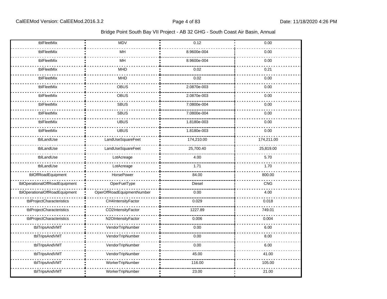| tblFleetMix                    | MDV                        | 0.12        | 0.00       |
|--------------------------------|----------------------------|-------------|------------|
| tblFleetMix                    | MH                         | 8.9600e-004 | 0.00       |
| tblFleetMix                    | MH                         | 8.9600e-004 | 0.00       |
| tblFleetMix                    | <b>MHD</b>                 | 0.02        | 0.21       |
| tblFleetMix                    | <b>MHD</b>                 | 0.02        | 0.00       |
| tblFleetMix                    | <b>OBUS</b>                | 2.0870e-003 | 0.00       |
| tblFleetMix                    | OBUS                       | 2.0870e-003 | 0.00       |
| tblFleetMix                    | <b>SBUS</b>                | 7.0800e-004 | 0.00       |
| tblFleetMix                    | <b>SBUS</b>                | 7.0800e-004 | 0.00       |
| tblFleetMix                    | <b>UBUS</b>                | 1.8180e-003 | 0.00       |
| tblFleetMix                    | <b>UBUS</b>                | 1.8180e-003 | 0.00       |
| tblLandUse                     | LandUseSquareFeet          | 174,210.00  | 174,211.00 |
| tblLandUse                     | LandUseSquareFeet          | 25,700.40   | 25,819.00  |
| tblLandUse                     | LotAcreage                 | 4.00        | 5.70       |
| tblLandUse                     | LotAcreage                 | 1.71        | 1.70       |
| tblOffRoadEquipment            | HorsePower                 | 84.00       | 800.00     |
| tblOperationalOffRoadEquipment | OperFuelType               | Diesel      | CNG        |
| tblOperationalOffRoadEquipment | OperOffRoadEquipmentNumber | 0.00        | 4.00       |
| tblProjectCharacteristics      | CH4IntensityFactor         | 0.029       | 0.018      |
| tblProjectCharacteristics      | CO2IntensityFactor         | 1227.89     | 749.01     |
| tblProjectCharacteristics      | N2OIntensityFactor         | 0.006       | 0.004      |
| tblTripsAndVMT                 | VendorTripNumber           | 0.00        | 6.00       |
| tblTripsAndVMT                 | VendorTripNumber           | 0.00        | 8.00       |
| tblTripsAndVMT                 | VendorTripNumber           | 0.00        | 6.00       |
| tblTripsAndVMT                 | VendorTripNumber           | 45.00       | 41.00      |
| tblTripsAndVMT                 | WorkerTripNumber           | 116.00      | 105.00     |
| tblTripsAndVMT                 | WorkerTripNumber           | 23.00       | 21.00      |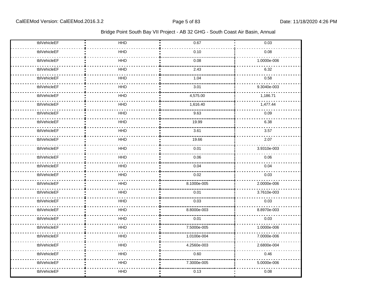| tblVehicleEF | HHD        | 0.67        | 0.03        |
|--------------|------------|-------------|-------------|
| tblVehicleEF | HHD        | 0.10        | 0.08        |
| tblVehicleEF | <b>HHD</b> | 0.08        | 1.0000e-006 |
| tblVehicleEF | <b>HHD</b> | 2.43        | 6.32        |
| tblVehicleEF | <b>HHD</b> | 1.04        | 0.58        |
| tblVehicleEF | <b>HHD</b> | 3.01        | 9.3040e-003 |
| tblVehicleEF | <b>HHD</b> | 4,575.00    | 1,186.71    |
| tblVehicleEF | <b>HHD</b> | 1,616.40    | 1,477.44    |
| tblVehicleEF | <b>HHD</b> | 9.63        | 0.09        |
| tblVehicleEF | <b>HHD</b> | 19.99       | 6.38        |
| tblVehicleEF | <b>HHD</b> | 3.61        | 3.57        |
| tblVehicleEF | <b>HHD</b> | 19.66       | 2.07        |
| tblVehicleEF | HHD        | 0.01        | 3.9310e-003 |
| tblVehicleEF | <b>HHD</b> | 0.06        | 0.06        |
| tblVehicleEF | <b>HHD</b> | 0.04        | 0.04        |
| tblVehicleEF | <b>HHD</b> | 0.02        | 0.03        |
| tblVehicleEF | <b>HHD</b> | 8.1000e-005 | 2.0000e-006 |
| tblVehicleEF | HHD        | 0.01        | 3.7610e-003 |
| tblVehicleEF | <b>HHD</b> | 0.03        | 0.03        |
| tblVehicleEF | <b>HHD</b> | 8.8000e-003 | 8.8970e-003 |
| tblVehicleEF | <b>HHD</b> | 0.01        | 0.03        |
| tblVehicleEF | <b>HHD</b> | 7.5000e-005 | 1.0000e-006 |
| tblVehicleEF | HHD        | 1.0100e-004 | 7.0000e-006 |
| tblVehicleEF | HHD        | 4.2560e-003 | 2.6800e-004 |
| tblVehicleEF | <b>HHD</b> | 0.60        | 0.46        |
| tblVehicleEF | <b>HHD</b> | 7.3000e-005 | 5.0000e-006 |
| tblVehicleEF | <b>HHD</b> | 0.13        | 0.08        |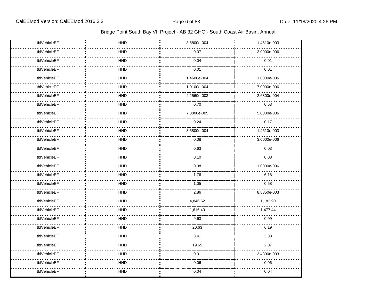| tblVehicleEF | HHD        | 3.5800e-004 | 1.4610e-003 |
|--------------|------------|-------------|-------------|
| tblVehicleEF | HHD        | 0.07        | 3.0000e-006 |
| tblVehicleEF | HHD        | 0.04        | 0.01        |
| tblVehicleEF | HHD        | 0.01        | 0.01        |
| tblVehicleEF | HHD        | 1.4600e-004 | 1.0000e-006 |
| tblVehicleEF | <b>HHD</b> | 1.0100e-004 | 7.0000e-006 |
| tblVehicleEF | <b>HHD</b> | 4.2560e-003 | 2.6800e-004 |
| tblVehicleEF | <b>HHD</b> | 0.70        | 0.53        |
| tblVehicleEF | <b>HHD</b> | 7.3000e-005 | 5.0000e-006 |
| tblVehicleEF | <b>HHD</b> | 0.24        | 0.17        |
| tblVehicleEF | <b>HHD</b> | 3.5800e-004 | 1.4610e-003 |
| tblVehicleEF | <b>HHD</b> | 0.08        | 3.0000e-006 |
| tblVehicleEF | HHD        | 0.63        | 0.03        |
| tblVehicleEF | <b>HHD</b> | 0.10        | 0.08        |
| tblVehicleEF | <b>HHD</b> | 0.08        | 1.0000e-006 |
| tblVehicleEF | <b>HHD</b> | 1.76        | 6.18        |
| tblVehicleEF | HHD        | 1.05        | 0.58        |
| tblVehicleEF | HHD        | 2.86        | 8.8350e-003 |
| tblVehicleEF | <b>HHD</b> | 4,846.62    | 1,182.90    |
| tblVehicleEF | <b>HHD</b> | 1,616.40    | 1,477.44    |
| tblVehicleEF | <b>HHD</b> | 9.63        | 0.09        |
| tblVehicleEF | HHD        | 20.63       | 6.19        |
| tblVehicleEF | HHD        | 3.41        | 3.38        |
| tblVehicleEF | <b>HHD</b> | 19.65       | 2.07        |
| tblVehicleEF | HHD        | 0.01        | 3.4390e-003 |
| tblVehicleEF | HHD        | 0.06        | 0.06        |
| tblVehicleEF | HHD        | 0.04        | 0.04        |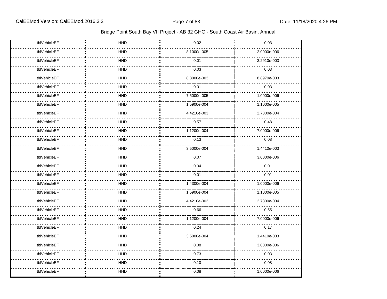| tblVehicleEF | HHD        | 0.02        | 0.03        |
|--------------|------------|-------------|-------------|
| tblVehicleEF | HHD        | 8.1000e-005 | 2.0000e-006 |
| tblVehicleEF | HHD        | 0.01        | 3.2910e-003 |
| tblVehicleEF | <b>HHD</b> | 0.03        | 0.03        |
| tblVehicleEF | HHD        | 8.8000e-003 | 8.8970e-003 |
| tblVehicleEF | <b>HHD</b> | 0.01        | 0.03        |
| tblVehicleEF | HHD        | 7.5000e-005 | 1.0000e-006 |
| tblVehicleEF | HHD        | 1.5900e-004 | 1.1000e-005 |
| tblVehicleEF | HHD        | 4.4210e-003 | 2.7300e-004 |
| tblVehicleEF | HHD        | 0.57        | 0.48        |
| tblVehicleEF | <b>HHD</b> | 1.1200e-004 | 7.0000e-006 |
| tblVehicleEF | HHD        | 0.13        | 0.08        |
| tblVehicleEF | HHD        | 3.5000e-004 | 1.4410e-003 |
| tblVehicleEF | HHD        | 0.07        | 3.0000e-006 |
| tblVehicleEF | HHD        | 0.04        | 0.01        |
| tblVehicleEF | HHD        | 0.01        | 0.01        |
| tblVehicleEF | HHD        | 1.4300e-004 | 1.0000e-006 |
| tblVehicleEF | HHD        | 1.5900e-004 | 1.1000e-005 |
| tblVehicleEF | HHD        | 4.4210e-003 | 2.7300e-004 |
| tblVehicleEF | HHD        | 0.66        | 0.55        |
| tblVehicleEF | HHD        | 1.1200e-004 | 7.0000e-006 |
| tblVehicleEF | HHD        | 0.24        | 0.17        |
| tblVehicleEF | HHD        | 3.5000e-004 | 1.4410e-003 |
| tblVehicleEF | <b>HHD</b> | 0.08        | 3.0000e-006 |
| tblVehicleEF | HHD        | 0.73        | 0.03        |
| tblVehicleEF | HHD        | 0.10        | 0.08        |
| tblVehicleEF | HHD        | 0.08        | 1.0000e-006 |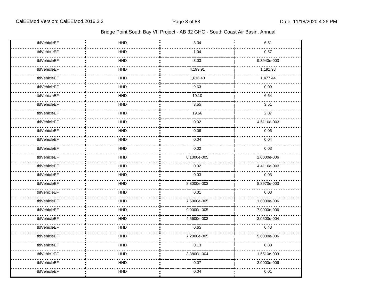| tblVehicleEF | HHD        | 3.34        | 6.51        |
|--------------|------------|-------------|-------------|
| tblVehicleEF | HHD        | 1.04        | 0.57        |
| tblVehicleEF | HHD        | 3.03        | 9.3940e-003 |
| tblVehicleEF | HHD        | 4,199.91    | 1,191.98    |
| tblVehicleEF | HHD        | 1,616.40    | 1,477.44    |
| tblVehicleEF | <b>HHD</b> | 9.63        | 0.09        |
| tblVehicleEF | <b>HHD</b> | 19.10       | 6.64        |
| tblVehicleEF | <b>HHD</b> | 3.55        | 3.51        |
| tblVehicleEF | HHD        | 19.66       | 2.07        |
| tblVehicleEF | HHD        | 0.02        | 4.6110e-003 |
| tblVehicleEF | HHD        | 0.06        | 0.06        |
| tblVehicleEF | HHD        | 0.04        | 0.04        |
| tblVehicleEF | HHD        | 0.02        | 0.03        |
| tblVehicleEF | HHD        | 8.1000e-005 | 2.0000e-006 |
| tblVehicleEF | <b>HHD</b> | 0.02        | 4.4110e-003 |
| tblVehicleEF | <b>HHD</b> | 0.03        | 0.03        |
| tblVehicleEF | HHD        | 8.8000e-003 | 8.8970e-003 |
| tblVehicleEF | <b>HHD</b> | 0.01        | 0.03        |
| tblVehicleEF | <b>HHD</b> | 7.5000e-005 | 1.0000e-006 |
| tblVehicleEF | HHD        | 9.9000e-005 | 7.0000e-006 |
| tblVehicleEF | <b>HHD</b> | 4.5600e-003 | 3.0500e-004 |
| tblVehicleEF | HHD        | 0.65        | 0.43        |
| tblVehicleEF | HHD        | 7.2000e-005 | 5.0000e-006 |
| tblVehicleEF | <b>HHD</b> | 0.13        | 0.08        |
| tblVehicleEF | HHD        | 3.8800e-004 | 1.5510e-003 |
| tblVehicleEF | HHD        | 0.07        | 3.0000e-006 |
| tblVehicleEF | HHD        | 0.04        | 0.01        |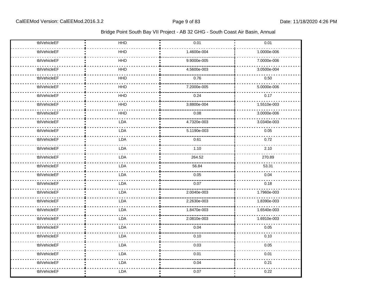| tblVehicleEF | HHD        | 0.01        | 0.01        |
|--------------|------------|-------------|-------------|
| tblVehicleEF | HHD        | 1.4600e-004 | 1.0000e-006 |
| tblVehicleEF | HHD        | 9.9000e-005 | 7.0000e-006 |
| tblVehicleEF | HHD        | 4.5600e-003 | 3.0500e-004 |
| tblVehicleEF | HHD        | 0.76        | 0.50        |
| tblVehicleEF | <b>HHD</b> | 7.2000e-005 | 5.0000e-006 |
| tblVehicleEF | HHD        | 0.24        | 0.17        |
| tblVehicleEF | HHD        | 3.8800e-004 | 1.5510e-003 |
| tblVehicleEF | HHD        | 0.08        | 3.0000e-006 |
| tblVehicleEF | LDA        | 4.7320e-003 | 3.0340e-003 |
| tblVehicleEF | LDA        | 5.1190e-003 | 0.05        |
| tblVehicleEF | <b>LDA</b> | 0.61        | 0.72        |
| tblVehicleEF | <b>LDA</b> | 1.10        | 2.10        |
| tblVehicleEF | <b>LDA</b> | 264.52      | 270.89      |
| tblVehicleEF | <b>LDA</b> | 56.84       | 53.31       |
| tblVehicleEF | LDA        | 0.05        | 0.04        |
| tblVehicleEF | <b>LDA</b> | 0.07        | 0.18        |
| tblVehicleEF | LDA        | 2.0040e-003 | 1.7960e-003 |
| tblVehicleEF | LDA        | 2.2630e-003 | 1.8390e-003 |
| tblVehicleEF | <b>LDA</b> | 1.8470e-003 | 1.6540e-003 |
| tblVehicleEF | <b>LDA</b> | 2.0810e-003 | 1.6910e-003 |
| tblVehicleEF | LDA        | 0.04        | 0.05        |
| tblVehicleEF | <b>LDA</b> | 0.10        | 0.10        |
| tblVehicleEF | <b>LDA</b> | 0.03        | 0.05        |
| tblVehicleEF | <b>LDA</b> | 0.01        | 0.01        |
| tblVehicleEF | LDA        | 0.04        | 0.21        |
| tblVehicleEF | <b>LDA</b> | 0.07        | 0.22        |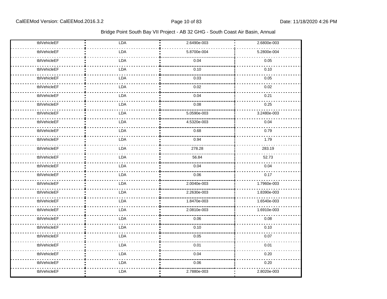| tblVehicleEF | LDA        | 2.6490e-003 | 2.6800e-003 |
|--------------|------------|-------------|-------------|
| tblVehicleEF | LDA        | 5.8700e-004 | 5.2800e-004 |
| tblVehicleEF | LDA        | 0.04        | 0.05        |
| tblVehicleEF | <b>LDA</b> | 0.10        | 0.10        |
| tblVehicleEF | <b>LDA</b> | 0.03        | 0.05        |
| tblVehicleEF | <b>LDA</b> | 0.02        | 0.02        |
| tblVehicleEF | LDA        | 0.04        | 0.21        |
| tblVehicleEF | <b>LDA</b> | 0.08        | 0.25        |
| tblVehicleEF | <b>LDA</b> | 5.0590e-003 | 3.2480e-003 |
| tblVehicleEF | <b>LDA</b> | 4.5320e-003 | 0.04        |
| tblVehicleEF | LDA        | 0.68        | 0.79        |
| tblVehicleEF | <b>LDA</b> | 0.94        | 1.79        |
| tblVehicleEF | <b>LDA</b> | 278.28      | 283.19      |
| tblVehicleEF | LDA        | 56.84       | 52.73       |
| tblVehicleEF | <b>LDA</b> | 0.04        | 0.04        |
| tblVehicleEF | LDA        | 0.06        | 0.17        |
| tblVehicleEF | LDA        | 2.0040e-003 | 1.7960e-003 |
| tblVehicleEF | LDA        | 2.2630e-003 | 1.8390e-003 |
| tblVehicleEF | LDA        | 1.8470e-003 | 1.6540e-003 |
| tblVehicleEF | LDA        | 2.0810e-003 | 1.6910e-003 |
| tblVehicleEF | <b>LDA</b> | 0.06        | 0.08        |
| tblVehicleEF | LDA        | 0.10        | 0.10        |
| tblVehicleEF | <b>LDA</b> | 0.05        | 0.07        |
| tblVehicleEF | LDA        | 0.01        | 0.01        |
| tblVehicleEF | <b>LDA</b> | 0.04        | 0.20        |
| tblVehicleEF | <b>LDA</b> | 0.06        | 0.20        |
| tblVehicleEF | <b>LDA</b> | 2.7880e-003 | 2.8020e-003 |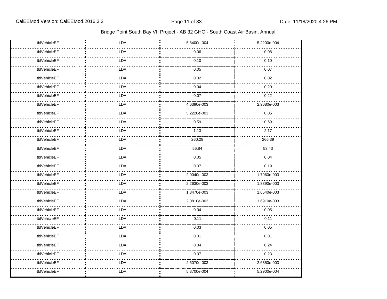| tblVehicleEF | LDA        | 5.8400e-004 | 5.2200e-004 |
|--------------|------------|-------------|-------------|
| tblVehicleEF | LDA        | 0.06        | 0.08        |
| tblVehicleEF | LDA        | 0.10        | 0.10        |
| tblVehicleEF | LDA        | 0.05        | 0.07        |
| tblVehicleEF | <b>LDA</b> | 0.02        | 0.02        |
| tblVehicleEF | LDA        | 0.04        | 0.20        |
| tblVehicleEF | LDA        | 0.07        | 0.22        |
| tblVehicleEF | LDA        | 4.6390e-003 | 2.9680e-003 |
| tblVehicleEF | <b>LDA</b> | 5.2220e-003 | 0.05        |
| tblVehicleEF | <b>LDA</b> | 0.59        | 0.69        |
| tblVehicleEF | <b>LDA</b> | 1.13        | 2.17        |
| tblVehicleEF | <b>LDA</b> | 260.28      | 266.39      |
| tblVehicleEF | LDA        | 56.84       | 53.43       |
| tblVehicleEF | <b>LDA</b> | 0.05        | 0.04        |
| tblVehicleEF | LDA        | 0.07        | 0.19        |
| tblVehicleEF | LDA        | 2.0040e-003 | 1.7960e-003 |
| tblVehicleEF | LDA        | 2.2630e-003 | 1.8390e-003 |
| tblVehicleEF | <b>LDA</b> | 1.8470e-003 | 1.6540e-003 |
| tblVehicleEF | LDA        | 2.0810e-003 | 1.6910e-003 |
| tblVehicleEF | LDA        | 0.04        | 0.05        |
| tblVehicleEF | LDA        | 0.11        | 0.11        |
| tblVehicleEF | <b>LDA</b> | 0.03        | 0.05        |
| tblVehicleEF | <b>LDA</b> | 0.01        | 0.01        |
| tblVehicleEF | <b>LDA</b> | 0.04        | 0.24        |
| tblVehicleEF | LDA        | 0.07        | 0.23        |
| tblVehicleEF | LDA        | 2.6070e-003 | 2.6350e-003 |
| tblVehicleEF | <b>LDA</b> | 5.8700e-004 | 5.2900e-004 |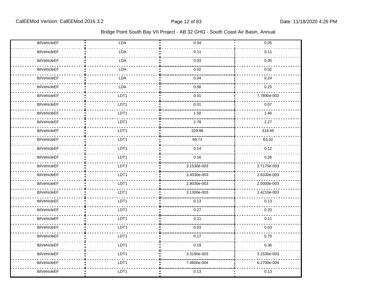| tblVehicleEF | LDA        | 0.04        | 0.05        |
|--------------|------------|-------------|-------------|
| tblVehicleEF | LDA        | 0.11        | 0.11        |
| tblVehicleEF | LDA        | 0.03        | 0.05        |
| tblVehicleEF | LDA        | 0.02        | 0.02        |
| tblVehicleEF | <b>LDA</b> | 0.04        | 0.24        |
| tblVehicleEF | LDA        | 0.08        | 0.25        |
| tblVehicleEF | LDT1       | 0.01        | 7.7890e-003 |
| tblVehicleEF | LDT1       | 0.01        | 0.07        |
| tblVehicleEF | LDT1       | 1.50        | 1.46        |
| tblVehicleEF | LDT1       | 2.78        | 2.27        |
| tblVehicleEF | LDT1       | 329.98      | 318.65      |
| tblVehicleEF | LDT1       | 69.73       | 63.32       |
| tblVehicleEF | LDT1       | 0.14        | 0.12        |
| tblVehicleEF | LDT1       | 0.16        | 0.26        |
| tblVehicleEF | LDT1       | 3.1530e-003 | 2.7170e-003 |
| tblVehicleEF | LDT1       | 3.4030e-003 | 2.6330e-003 |
| tblVehicleEF | LDT1       | 2.9030e-003 | 2.5000e-003 |
| tblVehicleEF | LDT1       | 3.1300e-003 | 2.4210e-003 |
| tblVehicleEF | LDT1       | 0.13        | 0.13        |
| tblVehicleEF | LDT1       | 0.27        | 0.20        |
| tblVehicleEF | LDT1       | 0.11        | 0.11        |
| tblVehicleEF | LDT1       | 0.03        | 0.03        |
| tblVehicleEF | LDT1       | 0.17        | 0.70        |
| tblVehicleEF | LDT1       | 0.19        | 0.36        |
| tblVehicleEF | LDT1       | 3.3190e-003 | 3.1530e-003 |
| tblVehicleEF | LDT1       | 7.4600e-004 | 6.2700e-004 |
| tblVehicleEF | LDT1       | 0.13        | 0.13        |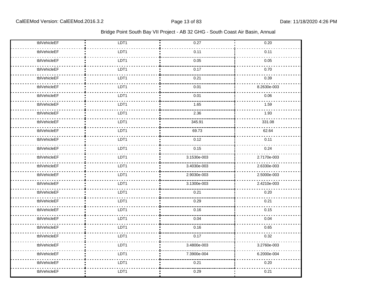| tblVehicleEF | LDT1 | 0.27        | 0.20        |
|--------------|------|-------------|-------------|
| tblVehicleEF | LDT1 | 0.11        | 0.11        |
| tblVehicleEF | LDT1 | 0.05        | 0.05        |
| tblVehicleEF | LDT1 | 0.17        | 0.70        |
| tblVehicleEF | LDT1 | 0.21        | 0.39        |
| tblVehicleEF | LDT1 | 0.01        | 8.2630e-003 |
| tblVehicleEF | LDT1 | 0.01        | 0.06        |
| tblVehicleEF | LDT1 | 1.65        | 1.59        |
| tblVehicleEF | LDT1 | 2.36        | 1.93        |
| tblVehicleEF | LDT1 | 345.91      | 331.08      |
| tblVehicleEF | LDT1 | 69.73       | 62.64       |
| tblVehicleEF | LDT1 | 0.12        | 0.11        |
| tblVehicleEF | LDT1 | 0.15        | 0.24        |
| tblVehicleEF | LDT1 | 3.1530e-003 | 2.7170e-003 |
| tblVehicleEF | LDT1 | 3.4030e-003 | 2.6330e-003 |
| tblVehicleEF | LDT1 | 2.9030e-003 | 2.5000e-003 |
| tblVehicleEF | LDT1 | 3.1300e-003 | 2.4210e-003 |
| tblVehicleEF | LDT1 | 0.21        | 0.20        |
| tblVehicleEF | LDT1 | 0.29        | 0.21        |
| tblVehicleEF | LDT1 | 0.16        | 0.15        |
| tblVehicleEF | LDT1 | 0.04        | 0.04        |
| tblVehicleEF | LDT1 | 0.16        | 0.65        |
| tblVehicleEF | LDT1 | 0.17        | 0.32        |
| tblVehicleEF | LDT1 | 3.4800e-003 | 3.2760e-003 |
| tblVehicleEF | LDT1 | 7.3900e-004 | 6.2000e-004 |
| tblVehicleEF | LDT1 | 0.21        | 0.20        |
| tblVehicleEF | LDT1 | 0.29        | 0.21        |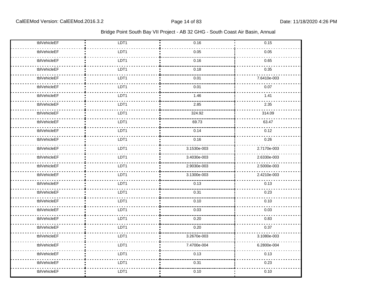| tblVehicleEF | LDT1 | 0.16        | 0.15        |
|--------------|------|-------------|-------------|
|              |      |             |             |
| tblVehicleEF | LDT1 | 0.05        | 0.05        |
| tblVehicleEF | LDT1 | 0.16        | 0.65        |
| tblVehicleEF | LDT1 | 0.18        | 0.35        |
| tblVehicleEF | LDT1 | 0.01        | 7.6410e-003 |
| tblVehicleEF | LDT1 | 0.01        | 0.07        |
| tblVehicleEF | LDT1 | 1.46        | 1.41        |
| tblVehicleEF | LDT1 | 2.85        | 2.35        |
| tblVehicleEF | LDT1 | 324.92      | 314.09      |
| tblVehicleEF | LDT1 | 69.73       | 63.47       |
| tblVehicleEF | LDT1 | 0.14        | 0.12        |
| tblVehicleEF | LDT1 | 0.16        | 0.26        |
| tblVehicleEF | LDT1 | 3.1530e-003 | 2.7170e-003 |
| tblVehicleEF | LDT1 | 3.4030e-003 | 2.6330e-003 |
| tblVehicleEF | LDT1 | 2.9030e-003 | 2.5000e-003 |
| tblVehicleEF | LDT1 | 3.1300e-003 | 2.4210e-003 |
| tblVehicleEF | LDT1 | 0.13        | 0.13        |
| tblVehicleEF | LDT1 | 0.31        | 0.23        |
| tblVehicleEF | LDT1 | 0.10        | 0.10        |
| tblVehicleEF | LDT1 | 0.03        | 0.03        |
| tblVehicleEF | LDT1 | 0.20        | 0.83        |
| tblVehicleEF | LDT1 | 0.20        | 0.37        |
| tblVehicleEF | LDT1 | 3.2670e-003 | 3.1080e-003 |
| tblVehicleEF | LDT1 | 7.4700e-004 | 6.2800e-004 |
| tblVehicleEF | LDT1 | 0.13        | 0.13        |
| tblVehicleEF | LDT1 | 0.31        | 0.23        |
| tblVehicleEF | LDT1 | 0.10        | 0.10        |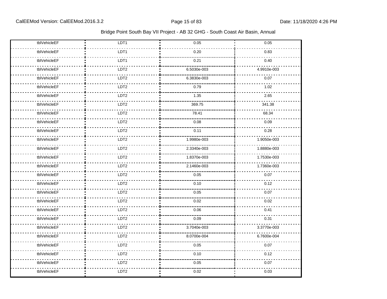| tblVehicleEF | LDT1             | 0.05        | 0.05        |
|--------------|------------------|-------------|-------------|
| tblVehicleEF | LDT1             | 0.20        | 0.83        |
| tblVehicleEF | LDT1             | 0.21        | 0.40        |
| tblVehicleEF | LDT2             | 6.5030e-003 | 4.9910e-003 |
| tblVehicleEF | LDT2             | 6.3830e-003 | 0.07        |
| tblVehicleEF | LDT <sub>2</sub> | 0.79        | 1.02        |
| tblVehicleEF | LDT <sub>2</sub> | 1.35        | 2.65        |
| tblVehicleEF | LDT <sub>2</sub> | 369.75      | 341.38      |
| tblVehicleEF | LDT <sub>2</sub> | 78.41       | 68.34       |
| tblVehicleEF | LDT <sub>2</sub> | 0.08        | 0.09        |
| tblVehicleEF | LDT <sub>2</sub> | 0.11        | 0.28        |
| tblVehicleEF | LDT2             | 1.9980e-003 | 1.9050e-003 |
| tblVehicleEF | LDT2             | 2.3340e-003 | 1.8880e-003 |
| tblVehicleEF | LDT2             | 1.8370e-003 | 1.7530e-003 |
| tblVehicleEF | LDT <sub>2</sub> | 2.1460e-003 | 1.7360e-003 |
| tblVehicleEF | LDT2             | 0.05        | 0.07        |
| tblVehicleEF | LDT2             | 0.10        | 0.12        |
| tblVehicleEF | LDT <sub>2</sub> | 0.05        | 0.07        |
| tblVehicleEF | LDT <sub>2</sub> | 0.02        | 0.02        |
| tblVehicleEF | LDT2             | 0.06        | 0.41        |
| tblVehicleEF | LDT <sub>2</sub> | 0.09        | 0.31        |
| tblVehicleEF | LDT <sub>2</sub> | 3.7040e-003 | 3.3770e-003 |
| tblVehicleEF | LDT2             | 8.0700e-004 | 6.7600e-004 |
| tblVehicleEF | LDT2             | 0.05        | 0.07        |
| tblVehicleEF | LDT <sub>2</sub> | 0.10        | 0.12        |
| tblVehicleEF | LDT <sub>2</sub> | 0.05        | 0.07        |
| tblVehicleEF | LDT <sub>2</sub> | 0.02        | 0.03        |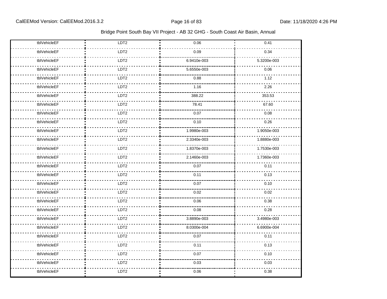| tblVehicleEF | LDT <sub>2</sub> | 0.06        | 0.41        |
|--------------|------------------|-------------|-------------|
| tblVehicleEF | LDT <sub>2</sub> | 0.09        | 0.34        |
| tblVehicleEF | LDT <sub>2</sub> | 6.9410e-003 | 5.3200e-003 |
| tblVehicleEF | LDT2             | 5.6550e-003 | 0.06        |
| tblVehicleEF | LDT <sub>2</sub> | 0.88        | 1.12        |
| tblVehicleEF | LDT2             | 1.16        | 2.26        |
| tblVehicleEF | LDT2             | 388.22      | 353.53      |
| tblVehicleEF | LDT2             | 78.41       | 67.60       |
| tblVehicleEF | LDT <sub>2</sub> | 0.07        | 0.08        |
| tblVehicleEF | LDT <sub>2</sub> | 0.10        | 0.26        |
| tblVehicleEF | LDT2             | 1.9980e-003 | 1.9050e-003 |
| tblVehicleEF | LDT2             | 2.3340e-003 | 1.8880e-003 |
| tblVehicleEF | LDT2             | 1.8370e-003 | 1.7530e-003 |
| tblVehicleEF | LDT2             | 2.1460e-003 | 1.7360e-003 |
| tblVehicleEF | LDT2             | 0.07        | 0.11        |
| tblVehicleEF | LDT2             | 0.11        | 0.13        |
| tblVehicleEF | LDT2             | 0.07        | 0.10        |
| tblVehicleEF | LDT2             | 0.02        | 0.02        |
| tblVehicleEF | LDT2             | 0.06        | 0.38        |
| tblVehicleEF | LDT2             | 0.08        | 0.28        |
| tblVehicleEF | LDT2             | 3.8890e-003 | 3.4980e-003 |
| tblVehicleEF | LDT <sub>2</sub> | 8.0300e-004 | 6.6900e-004 |
| tblVehicleEF | LDT <sub>2</sub> | 0.07        | 0.11        |
| tblVehicleEF | LDT2             | 0.11        | 0.13        |
| tblVehicleEF | LDT <sub>2</sub> | 0.07        | 0.10        |
| tblVehicleEF | LDT <sub>2</sub> | 0.03        | 0.03        |
| tblVehicleEF | LDT <sub>2</sub> | 0.06        | 0.38        |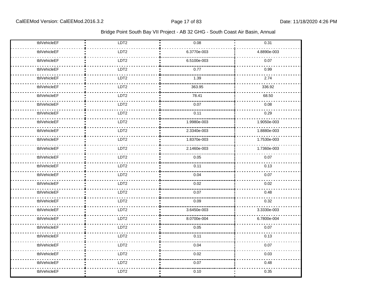| tblVehicleEF | LDT <sub>2</sub> | 0.08        | 0.31        |
|--------------|------------------|-------------|-------------|
| tblVehicleEF | LDT <sub>2</sub> | 6.3770e-003 | 4.8890e-003 |
| tblVehicleEF | LDT2             | 6.5100e-003 | 0.07        |
| tblVehicleEF | LDT2             | 0.77        | 0.99        |
| tblVehicleEF | LDT2             | 1.39        | 2.74        |
| tblVehicleEF | LDT2             | 363.95      | 336.92      |
| tblVehicleEF | LDT <sub>2</sub> | 78.41       | 68.50       |
| tblVehicleEF | LDT2             | 0.07        | 0.08        |
| tblVehicleEF | LDT <sub>2</sub> | 0.11        | 0.29        |
| tblVehicleEF | LDT <sub>2</sub> | 1.9980e-003 | 1.9050e-003 |
| tblVehicleEF | LDT2             | 2.3340e-003 | 1.8880e-003 |
| tblVehicleEF | LDT2             | 1.8370e-003 | 1.7530e-003 |
| tblVehicleEF | LDT <sub>2</sub> | 2.1460e-003 | 1.7360e-003 |
| tblVehicleEF | LDT2             | 0.05        | 0.07        |
| tblVehicleEF | LDT <sub>2</sub> | 0.11        | 0.13        |
| tblVehicleEF | LDT2             | 0.04        | 0.07        |
| tblVehicleEF | LDT2             | 0.02        | 0.02        |
| tblVehicleEF | LDT2             | 0.07        | 0.48        |
| tblVehicleEF | LDT2             | 0.09        | 0.32        |
| tblVehicleEF | LDT2             | 3.6450e-003 | 3.3330e-003 |
| tblVehicleEF | LDT2             | 8.0700e-004 | 6.7800e-004 |
| tblVehicleEF | LDT <sub>2</sub> | 0.05        | 0.07        |
| tblVehicleEF | LDT <sub>2</sub> | 0.11        | 0.13        |
| tblVehicleEF | LDT2             | 0.04        | 0.07        |
| tblVehicleEF | LDT <sub>2</sub> | 0.02        | 0.03        |
| tblVehicleEF | LDT <sub>2</sub> | 0.07        | 0.48        |
| tblVehicleEF | LDT2             | 0.10        | 0.35        |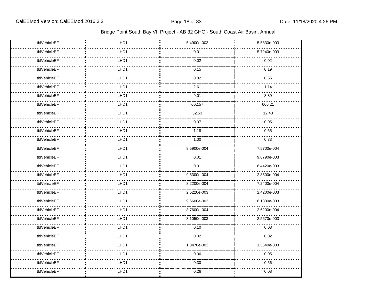| tblVehicleEF | LHD1             | 5.4900e-003 | 5.5830e-003 |
|--------------|------------------|-------------|-------------|
| tblVehicleEF | LHD1             | 0.01        | 5.7240e-003 |
| tblVehicleEF | LHD1             | 0.02        | 0.02        |
| tblVehicleEF | LHD1             | 0.15        | 0.19        |
| tblVehicleEF | LHD1             | 0.82        | 0.65        |
| tblVehicleEF | LHD1             | 2.61        | 1.14        |
| tblVehicleEF | LHD <sub>1</sub> | 9.01        | 8.89        |
| tblVehicleEF | LHD1             | 602.57      | 666.21      |
| tblVehicleEF | LHD1             | 32.53       | 12.43       |
| tblVehicleEF | LHD1             | 0.07        | 0.05        |
| tblVehicleEF | LHD1             | 1.18        | 0.65        |
| tblVehicleEF | LHD1             | 1.00        | 0.33        |
| tblVehicleEF | LHD1             | 8.5900e-004 | 7.5700e-004 |
| tblVehicleEF | LHD1             | 0.01        | 9.6790e-003 |
| tblVehicleEF | LHD1             | 0.01        | 6.4420e-003 |
| tblVehicleEF | LHD1             | 9.5300e-004 | 2.8500e-004 |
| tblVehicleEF | LHD1             | 8.2200e-004 | 7.2400e-004 |
| tblVehicleEF | LHD1             | 2.5220e-003 | 2.4200e-003 |
| tblVehicleEF | LHD1             | 9.6600e-003 | 6.1330e-003 |
| tblVehicleEF | LHD1             | 8.7600e-004 | 2.6200e-004 |
| tblVehicleEF | LHD1             | 3.1050e-003 | 2.5670e-003 |
| tblVehicleEF | LHD1             | 0.10        | 0.08        |
| tblVehicleEF | LHD1             | 0.02        | 0.02        |
| tblVehicleEF | LHD1             | 1.8470e-003 | 1.5640e-003 |
| tblVehicleEF | LHD1             | 0.06        | 0.05        |
| tblVehicleEF | LHD1             | 0.30        | 0.56        |
| tblVehicleEF | LHD1             | 0.26        | 0.08        |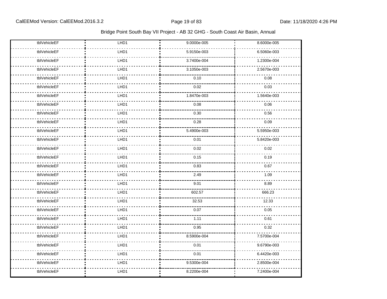| tblVehicleEF | LHD1 | 9.0000e-005 | 8.6000e-005 |
|--------------|------|-------------|-------------|
| tblVehicleEF | LHD1 | 5.9150e-003 | 6.5060e-003 |
| tblVehicleEF | LHD1 | 3.7400e-004 | 1.2300e-004 |
| tblVehicleEF | LHD1 | 3.1050e-003 | 2.5670e-003 |
| tblVehicleEF | LHD1 | 0.10        | 0.08        |
| tblVehicleEF | LHD1 | 0.02        | 0.03        |
| tblVehicleEF | LHD1 | 1.8470e-003 | 1.5640e-003 |
| tblVehicleEF | LHD1 | 0.08        | 0.06        |
| tblVehicleEF | LHD1 | 0.30        | 0.56        |
| tblVehicleEF | LHD1 | 0.28        | 0.09        |
| tblVehicleEF | LHD1 | 5.4900e-003 | 5.5950e-003 |
| tblVehicleEF | LHD1 | 0.01        | 5.8420e-003 |
| tblVehicleEF | LHD1 | 0.02        | 0.02        |
| tblVehicleEF | LHD1 | 0.15        | 0.19        |
| tblVehicleEF | LHD1 | 0.83        | 0.67        |
| tblVehicleEF | LHD1 | 2.49        | 1.09        |
| tblVehicleEF | LHD1 | 9.01        | 8.89        |
| tblVehicleEF | LHD1 | 602.57      | 666.23      |
| tblVehicleEF | LHD1 | 32.53       | 12.33       |
| tblVehicleEF | LHD1 | 0.07        | 0.05        |
| tblVehicleEF | LHD1 | 1.11        | 0.61        |
| tblVehicleEF | LHD1 | 0.95        | 0.32        |
| tblVehicleEF | LHD1 | 8.5900e-004 | 7.5700e-004 |
| tblVehicleEF | LHD1 | 0.01        | 9.6790e-003 |
| tblVehicleEF | LHD1 | 0.01        | 6.4420e-003 |
| tblVehicleEF | LHD1 | 9.5300e-004 | 2.8500e-004 |
| tblVehicleEF | LHD1 | 8.2200e-004 | 7.2400e-004 |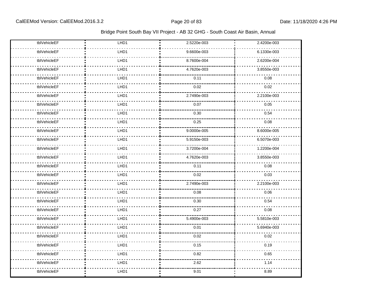| tblVehicleEF | LHD1 | 2.5220e-003 | 2.4200e-003 |
|--------------|------|-------------|-------------|
| tblVehicleEF | LHD1 | 9.6600e-003 | 6.1330e-003 |
| tblVehicleEF | LHD1 | 8.7600e-004 | 2.6200e-004 |
| tblVehicleEF | LHD1 | 4.7620e-003 | 3.8550e-003 |
| tblVehicleEF | LHD1 | 0.11        | 0.08        |
| tblVehicleEF | LHD1 | 0.02        | 0.02        |
| tblVehicleEF | LHD1 | 2.7490e-003 | 2.2100e-003 |
| tblVehicleEF | LHD1 | 0.07        | 0.05        |
| tblVehicleEF | LHD1 | 0.30        | 0.54        |
| tblVehicleEF | LHD1 | 0.25        | 0.08        |
| tblVehicleEF | LHD1 | 9.0000e-005 | 8.6000e-005 |
| tblVehicleEF | LHD1 | 5.9150e-003 | 6.5070e-003 |
| tblVehicleEF | LHD1 | 3.7200e-004 | 1.2200e-004 |
| tblVehicleEF | LHD1 | 4.7620e-003 | 3.8550e-003 |
| tblVehicleEF | LHD1 | 0.11        | 0.08        |
| tblVehicleEF | LHD1 | 0.02        | 0.03        |
| tblVehicleEF | LHD1 | 2.7490e-003 | 2.2100e-003 |
| tblVehicleEF | LHD1 | 0.08        | 0.06        |
| tblVehicleEF | LHD1 | 0.30        | 0.54        |
| tblVehicleEF | LHD1 | 0.27        | 0.08        |
| tblVehicleEF | LHD1 | 5.4900e-003 | 5.5810e-003 |
| tblVehicleEF | LHD1 | 0.01        | 5.6940e-003 |
| tblVehicleEF | LHD1 | 0.02        | 0.02        |
| tblVehicleEF | LHD1 | 0.15        | 0.19        |
| tblVehicleEF | LHD1 | 0.82        | 0.65        |
| tblVehicleEF | LHD1 | 2.62        | 1.14        |
| tblVehicleEF | LHD1 | 9.01        | 8.89        |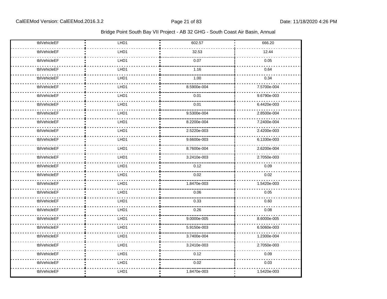| tblVehicleEF | LHD1 | 602.57      | 666.20      |
|--------------|------|-------------|-------------|
| tblVehicleEF | LHD1 | 32.53       | 12.44       |
| tblVehicleEF | LHD1 | 0.07        | 0.05        |
| tblVehicleEF | LHD1 | 1.16        | 0.64        |
| tblVehicleEF | LHD1 | 1.00        | 0.34        |
| tblVehicleEF | LHD1 | 8.5900e-004 | 7.5700e-004 |
| tblVehicleEF | LHD1 | 0.01        | 9.6790e-003 |
| tblVehicleEF | LHD1 | 0.01        | 6.4420e-003 |
| tblVehicleEF | LHD1 | 9.5300e-004 | 2.8500e-004 |
| tblVehicleEF | LHD1 | 8.2200e-004 | 7.2400e-004 |
| tblVehicleEF | LHD1 | 2.5220e-003 | 2.4200e-003 |
| tblVehicleEF | LHD1 | 9.6600e-003 | 6.1330e-003 |
| tblVehicleEF | LHD1 | 8.7600e-004 | 2.6200e-004 |
| tblVehicleEF | LHD1 | 3.2410e-003 | 2.7050e-003 |
| tblVehicleEF | LHD1 | 0.12        | 0.09        |
| tblVehicleEF | LHD1 | 0.02        | 0.02        |
| tblVehicleEF | LHD1 | 1.8470e-003 | 1.5420e-003 |
| tblVehicleEF | LHD1 | 0.06        | 0.05        |
| tblVehicleEF | LHD1 | 0.33        | 0.60        |
| tblVehicleEF | LHD1 | 0.26        | 0.08        |
| tblVehicleEF | LHD1 | 9.0000e-005 | 8.6000e-005 |
| tblVehicleEF | LHD1 | 5.9150e-003 | 6.5060e-003 |
| tblVehicleEF | LHD1 | 3.7400e-004 | 1.2300e-004 |
| tblVehicleEF | LHD1 | 3.2410e-003 | 2.7050e-003 |
| tblVehicleEF | LHD1 | 0.12        | 0.09        |
| tblVehicleEF | LHD1 | 0.02        | 0.03        |
| tblVehicleEF | LHD1 | 1.8470e-003 | 1.5420e-003 |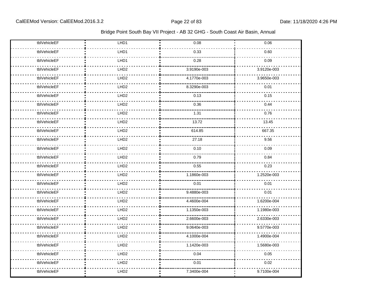| tblVehicleEF | LHD1             | 0.08        | 0.06        |
|--------------|------------------|-------------|-------------|
| tblVehicleEF | LHD1             | 0.33        | 0.60        |
| tblVehicleEF | LHD1             | 0.28        | 0.09        |
| tblVehicleEF | LHD <sub>2</sub> | 3.9190e-003 | 3.9120e-003 |
| tblVehicleEF | LHD <sub>2</sub> | 4.1770e-003 | 3.9650e-003 |
| tblVehicleEF | LHD <sub>2</sub> | 8.3290e-003 | 0.01        |
| tblVehicleEF | LHD <sub>2</sub> | 0.13        | 0.15        |
| tblVehicleEF | LHD <sub>2</sub> | 0.36        | 0.44        |
| tblVehicleEF | LHD <sub>2</sub> | 1.31        | 0.76        |
| tblVehicleEF | LHD <sub>2</sub> | 13.72       | 13.45       |
| tblVehicleEF | LHD <sub>2</sub> | 614.85      | 667.35      |
| tblVehicleEF | LHD <sub>2</sub> | 27.18       | 9.56        |
| tblVehicleEF | LHD <sub>2</sub> | 0.10        | 0.09        |
| tblVehicleEF | LHD <sub>2</sub> | 0.79        | 0.84        |
| tblVehicleEF | LHD <sub>2</sub> | 0.55        | 0.23        |
| tblVehicleEF | LHD <sub>2</sub> | 1.1860e-003 | 1.2520e-003 |
| tblVehicleEF | LHD <sub>2</sub> | 0.01        | 0.01        |
| tblVehicleEF | LHD <sub>2</sub> | 9.4880e-003 | 0.01        |
| tblVehicleEF | LHD <sub>2</sub> | 4.4600e-004 | 1.6200e-004 |
| tblVehicleEF | LHD <sub>2</sub> | 1.1350e-003 | 1.1980e-003 |
| tblVehicleEF | LHD <sub>2</sub> | 2.6600e-003 | 2.6330e-003 |
| tblVehicleEF | LHD <sub>2</sub> | 9.0640e-003 | 9.5770e-003 |
| tblVehicleEF | LHD <sub>2</sub> | 4.1000e-004 | 1.4900e-004 |
| tblVehicleEF | LHD <sub>2</sub> | 1.1420e-003 | 1.5680e-003 |
| tblVehicleEF | LHD <sub>2</sub> | 0.04        | 0.05        |
| tblVehicleEF | LHD <sub>2</sub> | 0.01        | 0.02        |
| tblVehicleEF | LHD <sub>2</sub> | 7.3400e-004 | 9.7100e-004 |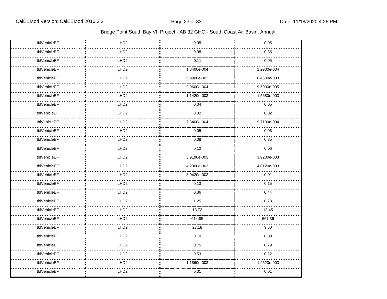| tblVehicleEF | LHD <sub>2</sub> | 0.05        | 0.05        |
|--------------|------------------|-------------|-------------|
| tblVehicleEF | LHD <sub>2</sub> | 0.08        | 0.35        |
| tblVehicleEF | LHD <sub>2</sub> | 0.11        | 0.05        |
| tblVehicleEF | LHD <sub>2</sub> | 1.3400e-004 | 1.2900e-004 |
| tblVehicleEF | LHD <sub>2</sub> | 5.9900e-003 | 6.4600e-003 |
| tblVehicleEF | LHD <sub>2</sub> | 2.9600e-004 | 9.5000e-005 |
| tblVehicleEF | LHD <sub>2</sub> | 1.1420e-003 | 1.5680e-003 |
| tblVehicleEF | LHD <sub>2</sub> | 0.04        | 0.05        |
| tblVehicleEF | LHD <sub>2</sub> | 0.02        | 0.02        |
| tblVehicleEF | LHD <sub>2</sub> | 7.3400e-004 | 9.7100e-004 |
| tblVehicleEF | LHD2             | 0.05        | 0.06        |
| tblVehicleEF | LHD <sub>2</sub> | 0.08        | 0.35        |
| tblVehicleEF | LHD <sub>2</sub> | 0.12        | 0.06        |
| tblVehicleEF | LHD <sub>2</sub> | 3.9190e-003 | 3.9200e-003 |
| tblVehicleEF | LHD <sub>2</sub> | 4.2300e-003 | 4.0120e-003 |
| tblVehicleEF | LHD <sub>2</sub> | 8.0420e-003 | 0.01        |
| tblVehicleEF | LHD <sub>2</sub> | 0.13        | 0.15        |
| tblVehicleEF | LHD <sub>2</sub> | 0.36        | 0.44        |
| tblVehicleEF | LHD <sub>2</sub> | 1.25        | 0.73        |
| tblVehicleEF | LHD <sub>2</sub> | 13.72       | 13.45       |
| tblVehicleEF | LHD <sub>2</sub> | 614.85      | 667.36      |
| tblVehicleEF | LHD <sub>2</sub> | 27.18       | 9.50        |
| tblVehicleEF | LHD <sub>2</sub> | 0.10        | 0.09        |
| tblVehicleEF | LHD <sub>2</sub> | 0.75        | 0.79        |
| tblVehicleEF | LHD2             | 0.53        | 0.22        |
| tblVehicleEF | LHD <sub>2</sub> | 1.1860e-003 | 1.2520e-003 |
| tblVehicleEF | LHD <sub>2</sub> | 0.01        | 0.01        |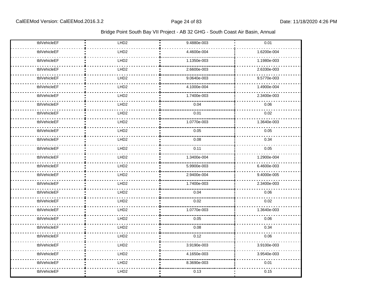| tblVehicleEF | LHD <sub>2</sub> | 9.4880e-003 | 0.01        |
|--------------|------------------|-------------|-------------|
| tblVehicleEF | LHD <sub>2</sub> | 4.4600e-004 | 1.6200e-004 |
| tblVehicleEF | LHD <sub>2</sub> | 1.1350e-003 | 1.1980e-003 |
| tblVehicleEF | LHD <sub>2</sub> | 2.6600e-003 | 2.6330e-003 |
| tblVehicleEF | LHD <sub>2</sub> | 9.0640e-003 | 9.5770e-003 |
| tblVehicleEF | LHD <sub>2</sub> | 4.1000e-004 | 1.4900e-004 |
| tblVehicleEF | LHD <sub>2</sub> | 1.7400e-003 | 2.3400e-003 |
| tblVehicleEF | LHD <sub>2</sub> | 0.04        | 0.06        |
| tblVehicleEF | LHD <sub>2</sub> | 0.01        | 0.02        |
| tblVehicleEF | LHD <sub>2</sub> | 1.0770e-003 | 1.3640e-003 |
| tblVehicleEF | LHD <sub>2</sub> | 0.05        | 0.05        |
| tblVehicleEF | LHD <sub>2</sub> | 0.08        | 0.34        |
| tblVehicleEF | LHD <sub>2</sub> | 0.11        | 0.05        |
| tblVehicleEF | LHD <sub>2</sub> | 1.3400e-004 | 1.2900e-004 |
| tblVehicleEF | LHD <sub>2</sub> | 5.9900e-003 | 6.4600e-003 |
| tblVehicleEF | LHD <sub>2</sub> | 2.9400e-004 | 9.4000e-005 |
| tblVehicleEF | LHD <sub>2</sub> | 1.7400e-003 | 2.3400e-003 |
| tblVehicleEF | LHD <sub>2</sub> | 0.04        | 0.06        |
| tblVehicleEF | LHD <sub>2</sub> | 0.02        | 0.02        |
| tblVehicleEF | LHD <sub>2</sub> | 1.0770e-003 | 1.3640e-003 |
| tblVehicleEF | LHD <sub>2</sub> | 0.05        | 0.06        |
| tblVehicleEF | LHD <sub>2</sub> | 0.08        | 0.34        |
| tblVehicleEF | LHD <sub>2</sub> | 0.12        | 0.06        |
| tblVehicleEF | LHD <sub>2</sub> | 3.9190e-003 | 3.9100e-003 |
| tblVehicleEF | LHD <sub>2</sub> | 4.1650e-003 | 3.9540e-003 |
| tblVehicleEF | LHD <sub>2</sub> | 8.3690e-003 | 0.01        |
| tblVehicleEF | LHD <sub>2</sub> | 0.13        | 0.15        |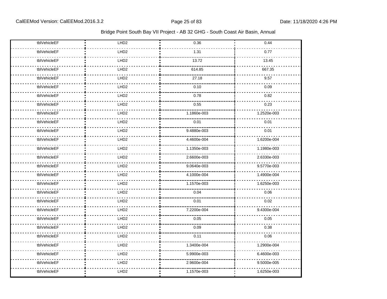| tblVehicleEF | LHD <sub>2</sub> | 0.36        | 0.44        |
|--------------|------------------|-------------|-------------|
| tblVehicleEF | LHD <sub>2</sub> | 1.31        | 0.77        |
| tblVehicleEF | LHD <sub>2</sub> | 13.72       | 13.45       |
| tblVehicleEF | LHD <sub>2</sub> | 614.85      | 667.35      |
| tblVehicleEF | LHD <sub>2</sub> | 27.18       | 9.57        |
| tblVehicleEF | LHD <sub>2</sub> | 0.10        | 0.09        |
| tblVehicleEF | LHD <sub>2</sub> | 0.78        | 0.82        |
| tblVehicleEF | LHD <sub>2</sub> | 0.55        | 0.23        |
| tblVehicleEF | LHD <sub>2</sub> | 1.1860e-003 | 1.2520e-003 |
| tblVehicleEF | LHD <sub>2</sub> | 0.01        | 0.01        |
| tblVehicleEF | LHD <sub>2</sub> | 9.4880e-003 | 0.01        |
| tblVehicleEF | LHD <sub>2</sub> | 4.4600e-004 | 1.6200e-004 |
| tblVehicleEF | LHD <sub>2</sub> | 1.1350e-003 | 1.1980e-003 |
| tblVehicleEF | LHD <sub>2</sub> | 2.6600e-003 | 2.6330e-003 |
| tblVehicleEF | LHD <sub>2</sub> | 9.0640e-003 | 9.5770e-003 |
| tblVehicleEF | LHD <sub>2</sub> | 4.1000e-004 | 1.4900e-004 |
| tblVehicleEF | LHD <sub>2</sub> | 1.1570e-003 | 1.6250e-003 |
| tblVehicleEF | LHD <sub>2</sub> | 0.04        | 0.06        |
| tblVehicleEF | LHD <sub>2</sub> | 0.01        | 0.02        |
| tblVehicleEF | LHD <sub>2</sub> | 7.2200e-004 | 9.4300e-004 |
| tblVehicleEF | LHD <sub>2</sub> | 0.05        | 0.05        |
| tblVehicleEF | LHD <sub>2</sub> | 0.09        | 0.38        |
| tblVehicleEF | LHD <sub>2</sub> | 0.11        | 0.06        |
| tblVehicleEF | LHD <sub>2</sub> | 1.3400e-004 | 1.2900e-004 |
| tblVehicleEF | LHD <sub>2</sub> | 5.9900e-003 | 6.4600e-003 |
| tblVehicleEF | LHD <sub>2</sub> | 2.9600e-004 | 9.5000e-005 |
| tblVehicleEF | LHD <sub>2</sub> | 1.1570e-003 | 1.6250e-003 |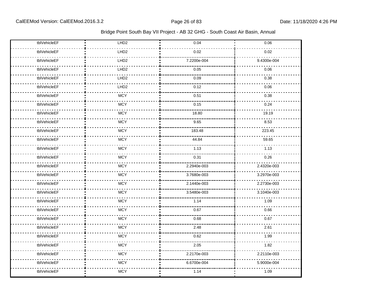| tblVehicleEF | LHD <sub>2</sub> | 0.04        | 0.06        |
|--------------|------------------|-------------|-------------|
| tblVehicleEF | LHD <sub>2</sub> | 0.02        | 0.02        |
| tblVehicleEF | LHD <sub>2</sub> | 7.2200e-004 | 9.4300e-004 |
| tblVehicleEF | LHD <sub>2</sub> | 0.05        | 0.06        |
| tblVehicleEF | LHD <sub>2</sub> | 0.09        | 0.38        |
| tblVehicleEF | LHD <sub>2</sub> | 0.12        | 0.06        |
| tblVehicleEF | <b>MCY</b>       | 0.51        | 0.38        |
| tblVehicleEF | <b>MCY</b>       | 0.15        | 0.24        |
| tblVehicleEF | <b>MCY</b>       | 18.80       | 19.19       |
| tblVehicleEF | <b>MCY</b>       | 9.65        | 8.53        |
| tblVehicleEF | <b>MCY</b>       | 183.48      | 223.45      |
| tblVehicleEF | <b>MCY</b>       | 44.84       | 59.65       |
| tblVehicleEF | <b>MCY</b>       | 1.13        | 1.13        |
| tblVehicleEF | <b>MCY</b>       | 0.31        | 0.26        |
| tblVehicleEF | <b>MCY</b>       | 2.2940e-003 | 2.4320e-003 |
| tblVehicleEF | <b>MCY</b>       | 3.7680e-003 | 3.2970e-003 |
| tblVehicleEF | <b>MCY</b>       | 2.1440e-003 | 2.2730e-003 |
| tblVehicleEF | <b>MCY</b>       | 3.5480e-003 | 3.1040e-003 |
| tblVehicleEF | <b>MCY</b>       | 1.14        | 1.09        |
| tblVehicleEF | <b>MCY</b>       | 0.67        | 0.66        |
| tblVehicleEF | <b>MCY</b>       | 0.68        | 0.67        |
| tblVehicleEF | <b>MCY</b>       | 2.48        | 2.61        |
| tblVehicleEF | <b>MCY</b>       | 0.62        | 1.99        |
| tblVehicleEF | <b>MCY</b>       | 2.05        | 1.82        |
| tblVehicleEF | <b>MCY</b>       | 2.2170e-003 | 2.2110e-003 |
| tblVehicleEF | <b>MCY</b>       | 6.6700e-004 | 5.9000e-004 |
| tblVehicleEF | <b>MCY</b>       | 1.14        | 1.09        |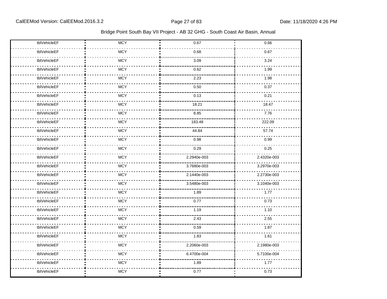| tblVehicleEF | <b>MCY</b> | 0.67        | 0.66        |
|--------------|------------|-------------|-------------|
| tblVehicleEF | <b>MCY</b> | 0.68        | 0.67        |
| tblVehicleEF | <b>MCY</b> | 3.09        | 3.24        |
| tblVehicleEF | <b>MCY</b> | 0.62        | 1.99        |
| tblVehicleEF | <b>MCY</b> | 2.23        | 1.98        |
| tblVehicleEF | <b>MCY</b> | 0.50        | 0.37        |
| tblVehicleEF | <b>MCY</b> | 0.13        | 0.21        |
| tblVehicleEF | <b>MCY</b> | 18.21       | 18.47       |
| tblVehicleEF | <b>MCY</b> | 8.85        | 7.76        |
| tblVehicleEF | <b>MCY</b> | 183.48      | 222.09      |
| tblVehicleEF | <b>MCY</b> | 44.84       | 57.74       |
| tblVehicleEF | <b>MCY</b> | 0.98        | 0.99        |
| tblVehicleEF | <b>MCY</b> | 0.29        | 0.25        |
| tblVehicleEF | <b>MCY</b> | 2.2940e-003 | 2.4320e-003 |
| tblVehicleEF | <b>MCY</b> | 3.7680e-003 | 3.2970e-003 |
| tblVehicleEF | <b>MCY</b> | 2.1440e-003 | 2.2730e-003 |
| tblVehicleEF | <b>MCY</b> | 3.5480e-003 | 3.1040e-003 |
| tblVehicleEF | <b>MCY</b> | 1.89        | 1.77        |
| tblVehicleEF | <b>MCY</b> | 0.77        | 0.73        |
| tblVehicleEF | <b>MCY</b> | 1.19        | 1.10        |
| tblVehicleEF | <b>MCY</b> | 2.43        | 2.55        |
| tblVehicleEF | <b>MCY</b> | 0.59        | 1.87        |
| tblVehicleEF | <b>MCY</b> | 1.83        | 1.61        |
| tblVehicleEF | <b>MCY</b> | 2.2060e-003 | 2.1980e-003 |
| tblVehicleEF | <b>MCY</b> | 6.4700e-004 | 5.7100e-004 |
| tblVehicleEF | <b>MCY</b> | 1.89        | 1.77        |
| tblVehicleEF | <b>MCY</b> | 0.77        | 0.73        |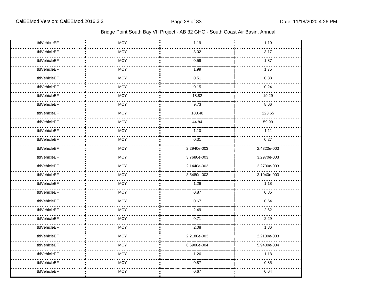| tblVehicleEF | <b>MCY</b> | 1.19        | 1.10        |
|--------------|------------|-------------|-------------|
| tblVehicleEF | <b>MCY</b> | 3.02        | 3.17        |
| tblVehicleEF | <b>MCY</b> | 0.59        | 1.87        |
| tblVehicleEF | <b>MCY</b> | 1.99        | 1.75        |
| tblVehicleEF | <b>MCY</b> | 0.51        | 0.38        |
| tblVehicleEF | <b>MCY</b> | 0.15        | 0.24        |
| tblVehicleEF | <b>MCY</b> | 18.82       | 19.29       |
| tblVehicleEF | <b>MCY</b> | 9.73        | 8.66        |
| tblVehicleEF | <b>MCY</b> | 183.48      | 223.65      |
| tblVehicleEF | <b>MCY</b> | 44.84       | 59.99       |
| tblVehicleEF | <b>MCY</b> | 1.10        | 1.11        |
| tblVehicleEF | <b>MCY</b> | 0.31        | 0.27        |
| tblVehicleEF | <b>MCY</b> | 2.2940e-003 | 2.4320e-003 |
| tblVehicleEF | <b>MCY</b> | 3.7680e-003 | 3.2970e-003 |
| tblVehicleEF | <b>MCY</b> | 2.1440e-003 | 2.2730e-003 |
| tblVehicleEF | <b>MCY</b> | 3.5480e-003 | 3.1040e-003 |
| tblVehicleEF | <b>MCY</b> | 1.26        | 1.18        |
| tblVehicleEF | <b>MCY</b> | 0.87        | 0.85        |
| tblVehicleEF | <b>MCY</b> | 0.67        | 0.64        |
| tblVehicleEF | <b>MCY</b> | 2.49        | 2.62        |
| tblVehicleEF | <b>MCY</b> | 0.71        | 2.29        |
| tblVehicleEF | <b>MCY</b> | 2.08        | 1.86        |
| tblVehicleEF | <b>MCY</b> | 2.2180e-003 | 2.2130e-003 |
| tblVehicleEF | <b>MCY</b> | 6.6900e-004 | 5.9400e-004 |
| tblVehicleEF | <b>MCY</b> | 1.26        | 1.18        |
| tblVehicleEF | <b>MCY</b> | 0.87        | 0.85        |
| tblVehicleEF | <b>MCY</b> | 0.67        | 0.64        |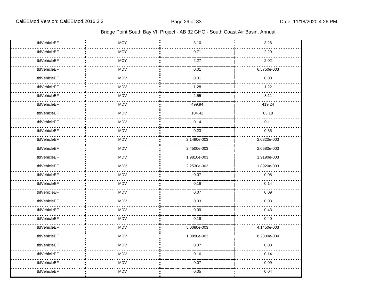| tblVehicleEF | <b>MCY</b> | 3.10        | 3.26        |
|--------------|------------|-------------|-------------|
| tblVehicleEF | <b>MCY</b> | 0.71        | 2.29        |
| tblVehicleEF | <b>MCY</b> | 2.27        | 2.02        |
| tblVehicleEF | <b>MDV</b> | 0.01        | 6.5750e-003 |
| tblVehicleEF | MDV        | 0.01        | 0.08        |
| tblVehicleEF | <b>MDV</b> | 1.28        | 1.22        |
| tblVehicleEF | MDV        | 2.55        | 3.11        |
| tblVehicleEF | <b>MDV</b> | 499.94      | 419.24      |
| tblVehicleEF | MDV        | 104.42      | 83.18       |
| tblVehicleEF | <b>MDV</b> | 0.14        | 0.11        |
| tblVehicleEF | <b>MDV</b> | 0.23        | 0.35        |
| tblVehicleEF | MDV        | 2.1490e-003 | 2.0820e-003 |
| tblVehicleEF | MDV        | 2.4500e-003 | 2.0580e-003 |
| tblVehicleEF | MDV        | 1.9810e-003 | 1.9190e-003 |
| tblVehicleEF | <b>MDV</b> | 2.2530e-003 | 1.8920e-003 |
| tblVehicleEF | <b>MDV</b> | 0.07        | 0.08        |
| tblVehicleEF | <b>MDV</b> | 0.16        | 0.14        |
| tblVehicleEF | <b>MDV</b> | 0.07        | 0.09        |
| tblVehicleEF | <b>MDV</b> | 0.03        | 0.03        |
| tblVehicleEF | <b>MDV</b> | 0.09        | 0.43        |
| tblVehicleEF | <b>MDV</b> | 0.19        | 0.40        |
| tblVehicleEF | MDV        | 5.0080e-003 | 4.1450e-003 |
| tblVehicleEF | <b>MDV</b> | 1.0890e-003 | 8.2300e-004 |
| tblVehicleEF | <b>MDV</b> | 0.07        | 0.08        |
| tblVehicleEF | MDV        | 0.16        | 0.14        |
| tblVehicleEF | <b>MDV</b> | 0.07        | 0.09        |
| tblVehicleEF | <b>MDV</b> | 0.05        | 0.04        |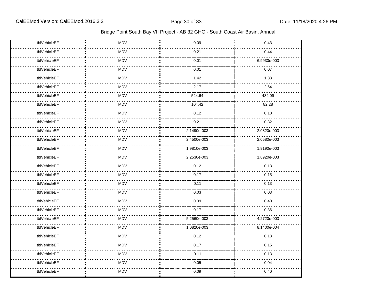| tblVehicleEF | <b>MDV</b> | 0.09        | 0.43        |
|--------------|------------|-------------|-------------|
| tblVehicleEF | MDV        | 0.21        | 0.44        |
| tblVehicleEF | <b>MDV</b> | 0.01        | 6.9930e-003 |
| tblVehicleEF | <b>MDV</b> | 0.01        | 0.07        |
| tblVehicleEF | <b>MDV</b> | 1.42        | 1.33        |
| tblVehicleEF | <b>MDV</b> | 2.17        | 2.64        |
| tblVehicleEF | <b>MDV</b> | 524.64      | 432.09      |
| tblVehicleEF | <b>MDV</b> | 104.42      | 82.28       |
| tblVehicleEF | MDV        | 0.12        | 0.10        |
| tblVehicleEF | MDV        | 0.21        | 0.32        |
| tblVehicleEF | <b>MDV</b> | 2.1490e-003 | 2.0820e-003 |
| tblVehicleEF | <b>MDV</b> | 2.4500e-003 | 2.0580e-003 |
| tblVehicleEF | MDV        | 1.9810e-003 | 1.9190e-003 |
| tblVehicleEF | MDV        | 2.2530e-003 | 1.8920e-003 |
| tblVehicleEF | MDV        | 0.12        | 0.13        |
| tblVehicleEF | <b>MDV</b> | 0.17        | 0.15        |
| tblVehicleEF | <b>MDV</b> | 0.11        | 0.13        |
| tblVehicleEF | <b>MDV</b> | 0.03        | 0.03        |
| tblVehicleEF | <b>MDV</b> | 0.09        | 0.40        |
| tblVehicleEF | <b>MDV</b> | 0.17        | 0.36        |
| tblVehicleEF | <b>MDV</b> | 5.2560e-003 | 4.2720e-003 |
| tblVehicleEF | MDV        | 1.0820e-003 | 8.1400e-004 |
| tblVehicleEF | MDV        | 0.12        | 0.13        |
| tblVehicleEF | <b>MDV</b> | 0.17        | 0.15        |
| tblVehicleEF | <b>MDV</b> | 0.11        | 0.13        |
| tblVehicleEF | <b>MDV</b> | 0.05        | 0.04        |
| tblVehicleEF | MDV        | 0.09        | 0.40        |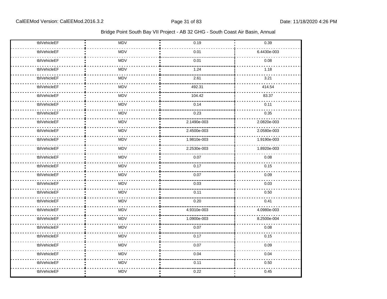| tblVehicleEF | <b>MDV</b> | 0.19        | 0.39        |
|--------------|------------|-------------|-------------|
| tblVehicleEF | MDV        | 0.01        | 6.4430e-003 |
| tblVehicleEF | <b>MDV</b> | 0.01        | 0.08        |
| tblVehicleEF | <b>MDV</b> | 1.24        | 1.18        |
| tblVehicleEF | <b>MDV</b> | 2.61        | 3.21        |
| tblVehicleEF | <b>MDV</b> | 492.31      | 414.54      |
| tblVehicleEF | MDV        | 104.42      | 83.37       |
| tblVehicleEF | <b>MDV</b> | 0.14        | 0.11        |
| tblVehicleEF | MDV        | 0.23        | 0.35        |
| tblVehicleEF | MDV        | 2.1490e-003 | 2.0820e-003 |
| tblVehicleEF | <b>MDV</b> | 2.4500e-003 | 2.0580e-003 |
| tblVehicleEF | <b>MDV</b> | 1.9810e-003 | 1.9190e-003 |
| tblVehicleEF | MDV        | 2.2530e-003 | 1.8920e-003 |
| tblVehicleEF | MDV        | 0.07        | 0.08        |
| tblVehicleEF | MDV        | 0.17        | 0.15        |
| tblVehicleEF | <b>MDV</b> | 0.07        | 0.09        |
| tblVehicleEF | <b>MDV</b> | 0.03        | 0.03        |
| tblVehicleEF | <b>MDV</b> | 0.11        | 0.50        |
| tblVehicleEF | <b>MDV</b> | 0.20        | 0.41        |
| tblVehicleEF | <b>MDV</b> | 4.9310e-003 | 4.0980e-003 |
| tblVehicleEF | <b>MDV</b> | 1.0900e-003 | 8.2500e-004 |
| tblVehicleEF | MDV        | 0.07        | 0.08        |
| tblVehicleEF | MDV        | 0.17        | 0.15        |
| tblVehicleEF | <b>MDV</b> | 0.07        | 0.09        |
| tblVehicleEF | <b>MDV</b> | 0.04        | 0.04        |
| tblVehicleEF | <b>MDV</b> | 0.11        | 0.50        |
| tblVehicleEF | MDV        | 0.22        | 0.45        |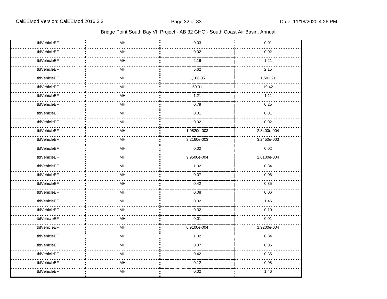| tblVehicleEF | MH            | 0.03        | 0.01        |
|--------------|---------------|-------------|-------------|
| tblVehicleEF | MH            | 0.02        | 0.02        |
| tblVehicleEF | $\mathsf{MH}$ | 2.16        | 1.21        |
| tblVehicleEF | MH            | 5.62        | 2.15        |
| tblVehicleEF | MH            | 1,106.35    | 1,501.21    |
| tblVehicleEF | MH            | 59.31       | 19.42       |
| tblVehicleEF | MH            | 1.21        | 1.11        |
| tblVehicleEF | MH            | 0.79        | 0.25        |
| tblVehicleEF | MH            | 0.01        | 0.01        |
| tblVehicleEF | MH            | 0.02        | 0.02        |
| tblVehicleEF | MH            | 1.0820e-003 | 2.8400e-004 |
| tblVehicleEF | MH            | 3.2160e-003 | 3.2450e-003 |
| tblVehicleEF | MH            | 0.02        | 0.02        |
| tblVehicleEF | MH            | 9.9500e-004 | 2.6100e-004 |
| tblVehicleEF | MH            | 1.02        | 0.84        |
| tblVehicleEF | MH            | 0.07        | 0.06        |
| tblVehicleEF | MH            | 0.42        | 0.35        |
| tblVehicleEF | MH            | 0.08        | 0.06        |
| tblVehicleEF | MH            | 0.02        | 1.46        |
| tblVehicleEF | MH            | 0.32        | 0.10        |
| tblVehicleEF | MH            | 0.01        | 0.01        |
| tblVehicleEF | MH            | 6.9100e-004 | 1.9200e-004 |
| tblVehicleEF | MH            | 1.02        | 0.84        |
| tblVehicleEF | MH            | 0.07        | 0.06        |
| tblVehicleEF | $\mathsf{MH}$ | 0.42        | 0.35        |
| tblVehicleEF | MH            | 0.12        | 0.08        |
| tblVehicleEF | MH            | 0.02        | 1.46        |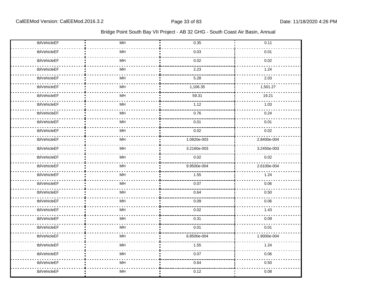| tblVehicleEF | MH | 0.35        | 0.11        |
|--------------|----|-------------|-------------|
| tblVehicleEF | MH | 0.03        | 0.01        |
| tblVehicleEF | MH | 0.02        | 0.02        |
| tblVehicleEF | MH | 2.23        | 1.24        |
| tblVehicleEF | MH | 5.28        | 2.03        |
| tblVehicleEF | MH | 1,106.35    | 1,501.27    |
| tblVehicleEF | MH | 59.31       | 19.21       |
| tblVehicleEF | MH | 1.12        | 1.03        |
| tblVehicleEF | MH | 0.76        | 0.24        |
| tblVehicleEF | MH | 0.01        | 0.01        |
| tblVehicleEF | MH | 0.02        | 0.02        |
| tblVehicleEF | MH | 1.0820e-003 | 2.8400e-004 |
| tblVehicleEF | MH | 3.2160e-003 | 3.2450e-003 |
| tblVehicleEF | MH | 0.02        | 0.02        |
| tblVehicleEF | MH | 9.9500e-004 | 2.6100e-004 |
| tblVehicleEF | MH | 1.55        | 1.24        |
| tblVehicleEF | MH | 0.07        | 0.06        |
| tblVehicleEF | MH | 0.64        | 0.50        |
| tblVehicleEF | MH | 0.09        | 0.06        |
| tblVehicleEF | MH | 0.02        | 1.43        |
| tblVehicleEF | MH | 0.31        | 0.09        |
| tblVehicleEF | MH | 0.01        | 0.01        |
| tblVehicleEF | MH | 6.8500e-004 | 1.9000e-004 |
| tblVehicleEF | MH | 1.55        | 1.24        |
| tblVehicleEF | MH | 0.07        | 0.06        |
| tblVehicleEF | MH | 0.64        | 0.50        |
| tblVehicleEF | MH | 0.12        | 0.08        |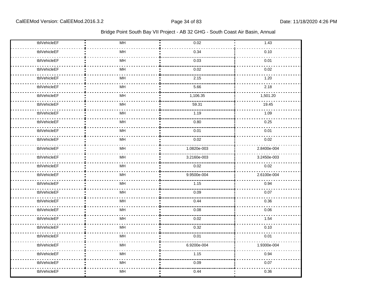| tblVehicleEF | $\mathsf{MH}$ | 0.02        | 1.43        |
|--------------|---------------|-------------|-------------|
| tblVehicleEF | MH            | 0.34        | 0.10        |
| tblVehicleEF | MH            | 0.03        | 0.01        |
| tblVehicleEF | MH            | 0.02        | 0.02        |
| tblVehicleEF | MH            | 2.15        | 1.20        |
| tblVehicleEF | MH            | 5.66        | 2.18        |
| tblVehicleEF | MH            | 1,106.35    | 1,501.20    |
| tblVehicleEF | MH            | 59.31       | 19.45       |
| tblVehicleEF | MH            | 1.19        | 1.09        |
| tblVehicleEF | MH            | 0.80        | 0.25        |
| tblVehicleEF | MH            | 0.01        | 0.01        |
| tblVehicleEF | MH            | 0.02        | 0.02        |
| tblVehicleEF | MH            | 1.0820e-003 | 2.8400e-004 |
| tblVehicleEF | MH            | 3.2160e-003 | 3.2450e-003 |
| tblVehicleEF | MH            | 0.02        | 0.02        |
| tblVehicleEF | MH            | 9.9500e-004 | 2.6100e-004 |
| tblVehicleEF | MH            | 1.15        | 0.94        |
| tblVehicleEF | MH            | 0.09        | 0.07        |
| tblVehicleEF | MH            | 0.44        | 0.36        |
| tblVehicleEF | MH            | 0.08        | 0.06        |
| tblVehicleEF | MH            | 0.02        | 1.54        |
| tblVehicleEF | MH            | 0.32        | 0.10        |
| tblVehicleEF | MH            | 0.01        | 0.01        |
| tblVehicleEF | MH            | 6.9200e-004 | 1.9300e-004 |
| tblVehicleEF | MH            | 1.15        | 0.94        |
| tblVehicleEF | MH            | 0.09        | 0.07        |
| tblVehicleEF | MH            | 0.44        | 0.36        |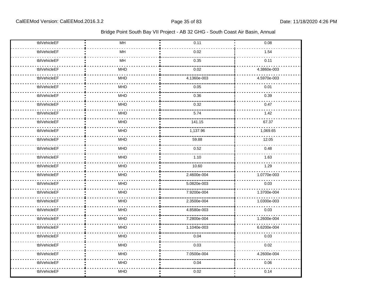| tblVehicleEF | MH            | 0.11        | 0.08        |
|--------------|---------------|-------------|-------------|
| tblVehicleEF | MH            | 0.02        | 1.54        |
| tblVehicleEF | $\mathsf{MH}$ | 0.35        | 0.11        |
| tblVehicleEF | <b>MHD</b>    | 0.02        | 4.3860e-003 |
| tblVehicleEF | <b>MHD</b>    | 4.1360e-003 | 4.5970e-003 |
| tblVehicleEF | <b>MHD</b>    | 0.05        | 0.01        |
| tblVehicleEF | <b>MHD</b>    | 0.36        | 0.39        |
| tblVehicleEF | <b>MHD</b>    | 0.32        | 0.47        |
| tblVehicleEF | <b>MHD</b>    | 5.74        | 1.42        |
| tblVehicleEF | <b>MHD</b>    | 141.15      | 67.37       |
| tblVehicleEF | <b>MHD</b>    | 1,137.96    | 1,069.65    |
| tblVehicleEF | <b>MHD</b>    | 59.88       | 12.05       |
| tblVehicleEF | <b>MHD</b>    | 0.52        | 0.48        |
| tblVehicleEF | <b>MHD</b>    | 1.10        | 1.63        |
| tblVehicleEF | <b>MHD</b>    | 10.60       | 1.29        |
| tblVehicleEF | <b>MHD</b>    | 2.4600e-004 | 1.0770e-003 |
| tblVehicleEF | <b>MHD</b>    | 5.0820e-003 | 0.03        |
| tblVehicleEF | <b>MHD</b>    | 7.9200e-004 | 1.3700e-004 |
| tblVehicleEF | <b>MHD</b>    | 2.3500e-004 | 1.0300e-003 |
| tblVehicleEF | <b>MHD</b>    | 4.8580e-003 | 0.03        |
| tblVehicleEF | <b>MHD</b>    | 7.2800e-004 | 1.2600e-004 |
| tblVehicleEF | <b>MHD</b>    | 1.1040e-003 | 6.6200e-004 |
| tblVehicleEF | <b>MHD</b>    | 0.04        | 0.03        |
| tblVehicleEF | <b>MHD</b>    | 0.03        | 0.02        |
| tblVehicleEF | MHD           | 7.0500e-004 | 4.2600e-004 |
| tblVehicleEF | <b>MHD</b>    | 0.04        | 0.06        |
| tblVehicleEF | <b>MHD</b>    | 0.02        | 0.14        |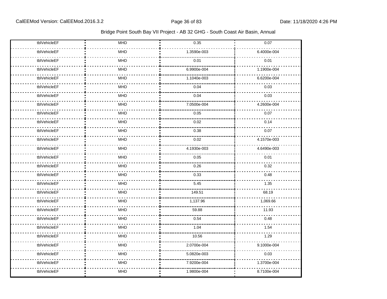| tblVehicleEF | MHD              | 0.35        | 0.07        |
|--------------|------------------|-------------|-------------|
| tblVehicleEF | <b>MHD</b>       | 1.3590e-003 | 6.4000e-004 |
| tblVehicleEF | <b>MHD</b>       | 0.01        | 0.01        |
| tblVehicleEF | <b>MHD</b>       | 6.9900e-004 | 1.1900e-004 |
| tblVehicleEF | <b>MHD</b>       | 1.1040e-003 | 6.6200e-004 |
| tblVehicleEF | <b>MHD</b>       | 0.04        | 0.03        |
| tblVehicleEF | <b>MHD</b>       | 0.04        | 0.03        |
| tblVehicleEF | <b>MHD</b>       | 7.0500e-004 | 4.2600e-004 |
| tblVehicleEF | <b>MHD</b>       | 0.05        | 0.07        |
| tblVehicleEF | <b>MHD</b>       | 0.02        | 0.14        |
| tblVehicleEF | <b>MHD</b>       | 0.38        | 0.07        |
| tblVehicleEF | MHD <sup>-</sup> | 0.02        | 4.1570e-003 |
| tblVehicleEF | <b>MHD</b>       | 4.1930e-003 | 4.6490e-003 |
| tblVehicleEF | <b>MHD</b>       | 0.05        | 0.01        |
| tblVehicleEF | <b>MHD</b>       | 0.26        | 0.32        |
| tblVehicleEF | <b>MHD</b>       | 0.33        | 0.48        |
| tblVehicleEF | <b>MHD</b>       | 5.45        | 1.35        |
| tblVehicleEF | <b>MHD</b>       | 149.51      | 68.19       |
| tblVehicleEF | <b>MHD</b>       | 1,137.96    | 1,069.66    |
| tblVehicleEF | <b>MHD</b>       | 59.88       | 11.93       |
| tblVehicleEF | <b>MHD</b>       | 0.54        | 0.48        |
| tblVehicleEF | <b>MHD</b>       | 1.04        | 1.54        |
| tblVehicleEF | <b>MHD</b>       | 10.56       | 1.29        |
| tblVehicleEF | <b>MHD</b>       | 2.0700e-004 | 9.1000e-004 |
| tblVehicleEF | <b>MHD</b>       | 5.0820e-003 | 0.03        |
| tblVehicleEF | <b>MHD</b>       | 7.9200e-004 | 1.3700e-004 |
| tblVehicleEF | <b>MHD</b>       | 1.9800e-004 | 8.7100e-004 |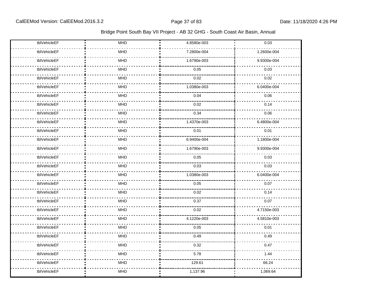| tblVehicleEF | <b>MHD</b> | 4.8580e-003 | 0.03        |
|--------------|------------|-------------|-------------|
| tblVehicleEF | MHD        | 7.2800e-004 | 1.2600e-004 |
| tblVehicleEF | MHD        | 1.6790e-003 | 9.9300e-004 |
| tblVehicleEF | <b>MHD</b> | 0.05        | 0.03        |
| tblVehicleEF | <b>MHD</b> | 0.02        | 0.02        |
| tblVehicleEF | <b>MHD</b> | 1.0380e-003 | 6.0400e-004 |
| tblVehicleEF | MHD        | 0.04        | 0.06        |
| tblVehicleEF | <b>MHD</b> | 0.02        | 0.14        |
| tblVehicleEF | <b>MHD</b> | 0.34        | 0.06        |
| tblVehicleEF | <b>MHD</b> | 1.4370e-003 | 6.4800e-004 |
| tblVehicleEF | MHD        | 0.01        | 0.01        |
| tblVehicleEF | <b>MHD</b> | 6.9400e-004 | 1.1800e-004 |
| tblVehicleEF | <b>MHD</b> | 1.6790e-003 | 9.9300e-004 |
| tblVehicleEF | <b>MHD</b> | 0.05        | 0.03        |
| tblVehicleEF | <b>MHD</b> | 0.03        | 0.03        |
| tblVehicleEF | <b>MHD</b> | 1.0380e-003 | 6.0400e-004 |
| tblVehicleEF | MHD        | 0.05        | 0.07        |
| tblVehicleEF | <b>MHD</b> | 0.02        | 0.14        |
| tblVehicleEF | MHD        | 0.37        | 0.07        |
| tblVehicleEF | MHD        | 0.02        | 4.7150e-003 |
| tblVehicleEF | <b>MHD</b> | 4.1220e-003 | 4.5810e-003 |
| tblVehicleEF | <b>MHD</b> | 0.05        | 0.01        |
| tblVehicleEF | <b>MHD</b> | 0.49        | 0.49        |
| tblVehicleEF | <b>MHD</b> | 0.32        | 0.47        |
| tblVehicleEF | <b>MHD</b> | 5.78        | 1.44        |
| tblVehicleEF | <b>MHD</b> | 129.61      | 66.24       |
| tblVehicleEF | <b>MHD</b> | 1,137.96    | 1,069.64    |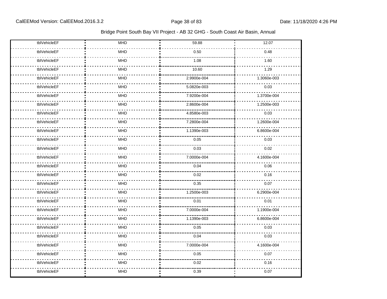| tblVehicleEF | MHD        | 59.88       | 12.07       |
|--------------|------------|-------------|-------------|
| tblVehicleEF | <b>MHD</b> | 0.50        | 0.48        |
| tblVehicleEF | <b>MHD</b> | 1.08        | 1.60        |
| tblVehicleEF | <b>MHD</b> | 10.60       | 1.29        |
| tblVehicleEF | <b>MHD</b> | 2.9900e-004 | 1.3060e-003 |
| tblVehicleEF | <b>MHD</b> | 5.0820e-003 | 0.03        |
| tblVehicleEF | <b>MHD</b> | 7.9200e-004 | 1.3700e-004 |
| tblVehicleEF | <b>MHD</b> | 2.8600e-004 | 1.2500e-003 |
| tblVehicleEF | <b>MHD</b> | 4.8580e-003 | 0.03        |
| tblVehicleEF | <b>MHD</b> | 7.2800e-004 | 1.2600e-004 |
| tblVehicleEF | <b>MHD</b> | 1.1390e-003 | 6.8600e-004 |
| tblVehicleEF | <b>MHD</b> | 0.05        | 0.03        |
| tblVehicleEF | <b>MHD</b> | 0.03        | 0.02        |
| tblVehicleEF | <b>MHD</b> | 7.0000e-004 | 4.1600e-004 |
| tblVehicleEF | <b>MHD</b> | 0.04        | 0.06        |
| tblVehicleEF | <b>MHD</b> | 0.02        | 0.16        |
| tblVehicleEF | <b>MHD</b> | 0.35        | 0.07        |
| tblVehicleEF | <b>MHD</b> | 1.2500e-003 | 6.2900e-004 |
| tblVehicleEF | <b>MHD</b> | 0.01        | 0.01        |
| tblVehicleEF | <b>MHD</b> | 7.0000e-004 | 1.1900e-004 |
| tblVehicleEF | <b>MHD</b> | 1.1390e-003 | 6.8600e-004 |
| tblVehicleEF | <b>MHD</b> | 0.05        | 0.03        |
| tblVehicleEF | <b>MHD</b> | 0.04        | 0.03        |
| tblVehicleEF | <b>MHD</b> | 7.0000e-004 | 4.1600e-004 |
| tblVehicleEF | <b>MHD</b> | 0.05        | 0.07        |
| tblVehicleEF | <b>MHD</b> | 0.02        | 0.16        |
| tblVehicleEF | <b>MHD</b> | 0.39        | 0.07        |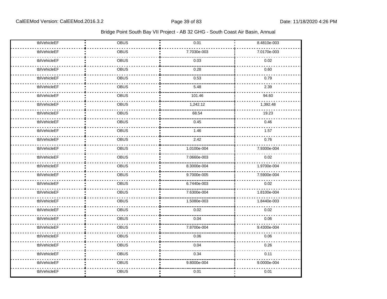| tblVehicleEF | OBUS        | 0.01        | 8.4810e-003 |
|--------------|-------------|-------------|-------------|
| tblVehicleEF | OBUS        | 7.7030e-003 | 7.0170e-003 |
| tblVehicleEF | <b>OBUS</b> | 0.03        | 0.02        |
| tblVehicleEF | OBUS        | 0.28        | 0.60        |
| tblVehicleEF | OBUS        | 0.53        | 0.79        |
| tblVehicleEF | OBUS        | 5.48        | 2.39        |
| tblVehicleEF | OBUS        | 101.46      | 94.60       |
| tblVehicleEF | <b>OBUS</b> | 1,242.12    | 1,392.48    |
| tblVehicleEF | OBUS        | 68.54       | 19.23       |
| tblVehicleEF | OBUS        | 0.45        | 0.46        |
| tblVehicleEF | <b>OBUS</b> | 1.46        | 1.57        |
| tblVehicleEF | OBUS        | 2.42        | 0.76        |
| tblVehicleEF | OBUS        | 1.0100e-004 | 7.9300e-004 |
| tblVehicleEF | <b>OBUS</b> | 7.0660e-003 | 0.02        |
| tblVehicleEF | OBUS        | 8.3000e-004 | 1.9700e-004 |
| tblVehicleEF | <b>OBUS</b> | 9.7000e-005 | 7.5900e-004 |
| tblVehicleEF | <b>OBUS</b> | 6.7440e-003 | 0.02        |
| tblVehicleEF | OBUS        | 7.6300e-004 | 1.8100e-004 |
| tblVehicleEF | OBUS        | 1.5080e-003 | 1.8440e-003 |
| tblVehicleEF | <b>OBUS</b> | 0.02        | 0.02        |
| tblVehicleEF | <b>OBUS</b> | 0.04        | 0.06        |
| tblVehicleEF | OBUS        | 7.8700e-004 | 9.4300e-004 |
| tblVehicleEF | <b>OBUS</b> | 0.06        | 0.06        |
| tblVehicleEF | OBUS        | 0.04        | 0.26        |
| tblVehicleEF | OBUS        | 0.34        | 0.11        |
| tblVehicleEF | OBUS        | 9.8000e-004 | 9.0000e-004 |
| tblVehicleEF | OBUS        | 0.01        | 0.01        |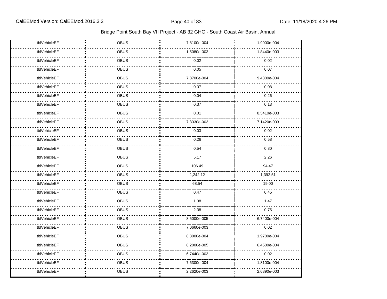| tblVehicleEF | OBUS        | 7.8100e-004 | 1.9000e-004 |
|--------------|-------------|-------------|-------------|
| tblVehicleEF | OBUS        | 1.5080e-003 | 1.8440e-003 |
| tblVehicleEF | OBUS        | 0.02        | 0.02        |
| tblVehicleEF | <b>OBUS</b> | 0.05        | 0.07        |
| tblVehicleEF | OBUS        | 7.8700e-004 | 9.4300e-004 |
| tblVehicleEF | OBUS        | 0.07        | 0.08        |
| tblVehicleEF | OBUS        | 0.04        | 0.26        |
| tblVehicleEF | <b>OBUS</b> | 0.37        | 0.13        |
| tblVehicleEF | OBUS        | 0.01        | 8.5410e-003 |
| tblVehicleEF | OBUS        | 7.8330e-003 | 7.1420e-003 |
| tblVehicleEF | OBUS        | 0.03        | 0.02        |
| tblVehicleEF | OBUS        | 0.26        | 0.58        |
| tblVehicleEF | OBUS        | 0.54        | 0.80        |
| tblVehicleEF | OBUS        | 5.17        | 2.26        |
| tblVehicleEF | OBUS        | 106.49      | 94.47       |
| tblVehicleEF | <b>OBUS</b> | 1,242.12    | 1,392.51    |
| tblVehicleEF | OBUS        | 68.54       | 19.00       |
| tblVehicleEF | OBUS        | 0.47        | 0.45        |
| tblVehicleEF | OBUS        | 1.38        | 1.47        |
| tblVehicleEF | OBUS        | 2.38        | 0.75        |
| tblVehicleEF | OBUS        | 8.5000e-005 | 6.7400e-004 |
| tblVehicleEF | OBUS        | 7.0660e-003 | 0.02        |
| tblVehicleEF | OBUS        | 8.3000e-004 | 1.9700e-004 |
| tblVehicleEF | OBUS        | 8.2000e-005 | 6.4500e-004 |
| tblVehicleEF | OBUS        | 6.7440e-003 | 0.02        |
| tblVehicleEF | OBUS        | 7.6300e-004 | 1.8100e-004 |
| tblVehicleEF | OBUS        | 2.2620e-003 | 2.6890e-003 |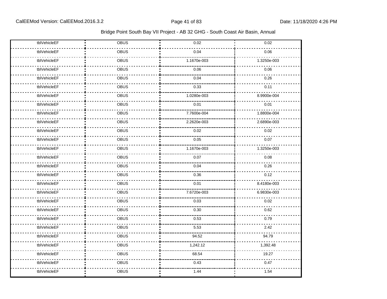| tblVehicleEF | OBUS        | 0.02        | 0.02        |
|--------------|-------------|-------------|-------------|
| tblVehicleEF | OBUS        | 0.04        | 0.06        |
| tblVehicleEF | OBUS        | 1.1670e-003 | 1.3250e-003 |
| tblVehicleEF | OBUS        | 0.06        | 0.06        |
| tblVehicleEF | OBUS        | 0.04        | 0.26        |
| tblVehicleEF | <b>OBUS</b> | 0.33        | 0.11        |
| tblVehicleEF | OBUS        | 1.0280e-003 | 8.9900e-004 |
| tblVehicleEF | <b>OBUS</b> | 0.01        | 0.01        |
| tblVehicleEF | OBUS        | 7.7600e-004 | 1.8800e-004 |
| tblVehicleEF | OBUS        | 2.2620e-003 | 2.6890e-003 |
| tblVehicleEF | OBUS        | 0.02        | 0.02        |
| tblVehicleEF | OBUS        | 0.05        | 0.07        |
| tblVehicleEF | OBUS        | 1.1670e-003 | 1.3250e-003 |
| tblVehicleEF | OBUS        | 0.07        | 0.08        |
| tblVehicleEF | OBUS        | 0.04        | 0.26        |
| tblVehicleEF | OBUS        | 0.36        | 0.12        |
| tblVehicleEF | OBUS        | 0.01        | 8.4180e-003 |
| tblVehicleEF | OBUS        | 7.6720e-003 | 6.9830e-003 |
| tblVehicleEF | <b>OBUS</b> | 0.03        | 0.02        |
| tblVehicleEF | OBUS        | 0.30        | 0.62        |
| tblVehicleEF | OBUS        | 0.53        | 0.79        |
| tblVehicleEF | OBUS        | 5.53        | 2.42        |
| tblVehicleEF | OBUS        | 94.52       | 94.79       |
| tblVehicleEF | OBUS        | 1,242.12    | 1,392.48    |
| tblVehicleEF | OBUS        | 68.54       | 19.27       |
| tblVehicleEF | OBUS        | 0.43        | 0.47        |
| tblVehicleEF | OBUS        | 1.44        | 1.54        |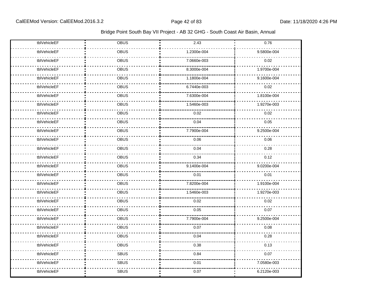| tblVehicleEF | OBUS        | 2.43        | 0.76        |
|--------------|-------------|-------------|-------------|
| tblVehicleEF | OBUS        | 1.2300e-004 | 9.5800e-004 |
| tblVehicleEF | OBUS        | 7.0660e-003 | 0.02        |
| tblVehicleEF | OBUS        | 8.3000e-004 | 1.9700e-004 |
| tblVehicleEF | OBUS        | 1.1800e-004 | 9.1600e-004 |
| tblVehicleEF | <b>OBUS</b> | 6.7440e-003 | 0.02        |
| tblVehicleEF | OBUS        | 7.6300e-004 | 1.8100e-004 |
| tblVehicleEF | OBUS        | 1.5460e-003 | 1.9270e-003 |
| tblVehicleEF | OBUS        | 0.02        | 0.02        |
| tblVehicleEF | OBUS        | 0.04        | 0.05        |
| tblVehicleEF | OBUS        | 7.7900e-004 | 9.2500e-004 |
| tblVehicleEF | OBUS        | 0.06        | 0.06        |
| tblVehicleEF | OBUS        | 0.04        | 0.28        |
| tblVehicleEF | OBUS        | 0.34        | 0.12        |
| tblVehicleEF | OBUS        | 9.1400e-004 | 9.0200e-004 |
| tblVehicleEF | OBUS        | 0.01        | 0.01        |
| tblVehicleEF | OBUS        | 7.8200e-004 | 1.9100e-004 |
| tblVehicleEF | OBUS        | 1.5460e-003 | 1.9270e-003 |
| tblVehicleEF | <b>OBUS</b> | 0.02        | 0.02        |
| tblVehicleEF | OBUS        | 0.05        | 0.07        |
| tblVehicleEF | OBUS        | 7.7900e-004 | 9.2500e-004 |
| tblVehicleEF | <b>OBUS</b> | 0.07        | 0.08        |
| tblVehicleEF | OBUS        | 0.04        | 0.28        |
| tblVehicleEF | OBUS        | 0.38        | 0.13        |
| tblVehicleEF | <b>SBUS</b> | 0.84        | 0.07        |
| tblVehicleEF | <b>SBUS</b> | 0.01        | 7.0580e-003 |
| tblVehicleEF | <b>SBUS</b> | 0.07        | 6.2120e-003 |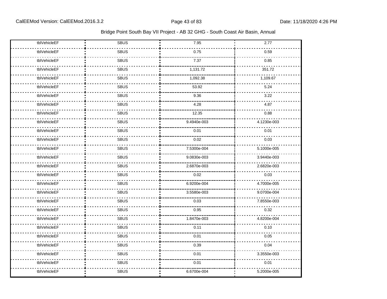| tblVehicleEF | <b>SBUS</b> | 7.95        | 2.77        |
|--------------|-------------|-------------|-------------|
| tblVehicleEF | <b>SBUS</b> | 0.75        | 0.59        |
| tblVehicleEF | <b>SBUS</b> | 7.37        | 0.85        |
| tblVehicleEF | <b>SBUS</b> | 1,131.72    | 351.72      |
| tblVehicleEF | <b>SBUS</b> | 1,092.38    | 1,109.67    |
| tblVehicleEF | <b>SBUS</b> | 53.92       | 5.24        |
| tblVehicleEF | <b>SBUS</b> | 9.36        | 3.22        |
| tblVehicleEF | <b>SBUS</b> | 4.28        | 4.87        |
| tblVehicleEF | <b>SBUS</b> | 12.35       | 0.88        |
| tblVehicleEF | <b>SBUS</b> | 9.4940e-003 | 4.1230e-003 |
| tblVehicleEF | <b>SBUS</b> | 0.01        | 0.01        |
| tblVehicleEF | <b>SBUS</b> | 0.02        | 0.03        |
| tblVehicleEF | <b>SBUS</b> | 7.5300e-004 | 5.1000e-005 |
| tblVehicleEF | <b>SBUS</b> | 9.0830e-003 | 3.9440e-003 |
| tblVehicleEF | <b>SBUS</b> | 2.6870e-003 | 2.6820e-003 |
| tblVehicleEF | <b>SBUS</b> | 0.02        | 0.03        |
| tblVehicleEF | <b>SBUS</b> | 6.9200e-004 | 4.7000e-005 |
| tblVehicleEF | <b>SBUS</b> | 3.5580e-003 | 9.0700e-004 |
| tblVehicleEF | <b>SBUS</b> | 0.03        | 7.8550e-003 |
| tblVehicleEF | <b>SBUS</b> | 0.95        | 0.32        |
| tblVehicleEF | <b>SBUS</b> | 1.8470e-003 | 4.8200e-004 |
| tblVehicleEF | <b>SBUS</b> | 0.11        | 0.10        |
| tblVehicleEF | <b>SBUS</b> | 0.01        | 0.05        |
| tblVehicleEF | <b>SBUS</b> | 0.39        | 0.04        |
| tblVehicleEF | <b>SBUS</b> | 0.01        | 3.3550e-003 |
| tblVehicleEF | <b>SBUS</b> | 0.01        | 0.01        |
| tblVehicleEF | <b>SBUS</b> | 6.6700e-004 | 5.2000e-005 |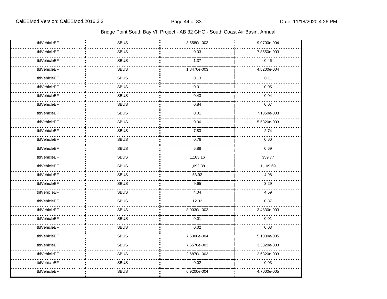| tblVehicleEF | <b>SBUS</b> | 3.5580e-003 | 9.0700e-004 |
|--------------|-------------|-------------|-------------|
| tblVehicleEF | <b>SBUS</b> | 0.03        | 7.8550e-003 |
| tblVehicleEF | <b>SBUS</b> | 1.37        | 0.46        |
| tblVehicleEF | <b>SBUS</b> | 1.8470e-003 | 4.8200e-004 |
| tblVehicleEF | <b>SBUS</b> | 0.13        | 0.11        |
| tblVehicleEF | <b>SBUS</b> | 0.01        | 0.05        |
| tblVehicleEF | <b>SBUS</b> | 0.43        | 0.04        |
| tblVehicleEF | <b>SBUS</b> | 0.84        | 0.07        |
| tblVehicleEF | <b>SBUS</b> | 0.01        | 7.1350e-003 |
| tblVehicleEF | <b>SBUS</b> | 0.06        | 5.5320e-003 |
| tblVehicleEF | <b>SBUS</b> | 7.83        | 2.74        |
| tblVehicleEF | <b>SBUS</b> | 0.76        | 0.60        |
| tblVehicleEF | <b>SBUS</b> | 5.88        | 0.69        |
| tblVehicleEF | <b>SBUS</b> | 1,183.16    | 359.77      |
| tblVehicleEF | <b>SBUS</b> | 1,092.38    | 1,109.69    |
| tblVehicleEF | <b>SBUS</b> | 53.92       | 4.98        |
| tblVehicleEF | <b>SBUS</b> | 9.65        | 3.29        |
| tblVehicleEF | <b>SBUS</b> | 4.04        | 4.59        |
| tblVehicleEF | <b>SBUS</b> | 12.32       | 0.87        |
| tblVehicleEF | <b>SBUS</b> | 8.0030e-003 | 3.4830e-003 |
| tblVehicleEF | <b>SBUS</b> | 0.01        | 0.01        |
| tblVehicleEF | <b>SBUS</b> | 0.02        | 0.03        |
| tblVehicleEF | <b>SBUS</b> | 7.5300e-004 | 5.1000e-005 |
| tblVehicleEF | <b>SBUS</b> | 7.6570e-003 | 3.3320e-003 |
| tblVehicleEF | <b>SBUS</b> | 2.6870e-003 | 2.6820e-003 |
| tblVehicleEF | <b>SBUS</b> | 0.02        | 0.03        |
| tblVehicleEF | <b>SBUS</b> | 6.9200e-004 | 4.7000e-005 |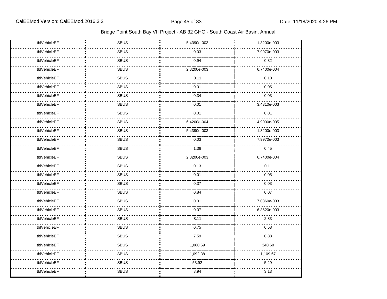| tblVehicleEF | <b>SBUS</b> | 5.4390e-003 | 1.3200e-003 |
|--------------|-------------|-------------|-------------|
| tblVehicleEF | <b>SBUS</b> | 0.03        | 7.9970e-003 |
| tblVehicleEF | <b>SBUS</b> | 0.94        | 0.32        |
| tblVehicleEF | <b>SBUS</b> | 2.8200e-003 | 6.7400e-004 |
| tblVehicleEF | <b>SBUS</b> | 0.11        | 0.10        |
| tblVehicleEF | <b>SBUS</b> | 0.01        | 0.05        |
| tblVehicleEF | <b>SBUS</b> | 0.34        | 0.03        |
| tblVehicleEF | <b>SBUS</b> | 0.01        | 3.4310e-003 |
| tblVehicleEF | <b>SBUS</b> | 0.01        | 0.01        |
| tblVehicleEF | <b>SBUS</b> | 6.4200e-004 | 4.9000e-005 |
| tblVehicleEF | <b>SBUS</b> | 5.4390e-003 | 1.3200e-003 |
| tblVehicleEF | SBUS        | 0.03        | 7.9970e-003 |
| tblVehicleEF | <b>SBUS</b> | 1.36        | 0.45        |
| tblVehicleEF | <b>SBUS</b> | 2.8200e-003 | 6.7400e-004 |
| tblVehicleEF | <b>SBUS</b> | 0.13        | 0.11        |
| tblVehicleEF | <b>SBUS</b> | 0.01        | 0.05        |
| tblVehicleEF | <b>SBUS</b> | 0.37        | 0.03        |
| tblVehicleEF | <b>SBUS</b> | 0.84        | 0.07        |
| tblVehicleEF | <b>SBUS</b> | 0.01        | 7.0360e-003 |
| tblVehicleEF | <b>SBUS</b> | 0.07        | 6.3620e-003 |
| tblVehicleEF | <b>SBUS</b> | 8.11        | 2.83        |
| tblVehicleEF | <b>SBUS</b> | 0.75        | 0.58        |
| tblVehicleEF | <b>SBUS</b> | 7.59        | 0.88        |
| tblVehicleEF | <b>SBUS</b> | 1,060.69    | 340.60      |
| tblVehicleEF | SBUS        | 1,092.38    | 1,109.67    |
| tblVehicleEF | <b>SBUS</b> | 53.92       | 5.29        |
| tblVehicleEF | <b>SBUS</b> | 8.94        | 3.13        |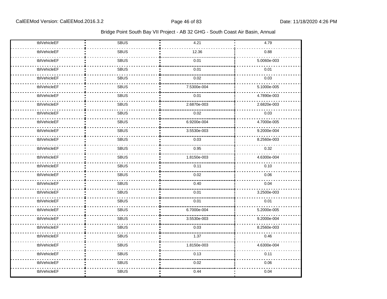| tblVehicleEF | <b>SBUS</b> | 4.21        | 4.79        |
|--------------|-------------|-------------|-------------|
| tblVehicleEF | <b>SBUS</b> | 12.36       | 0.88        |
| tblVehicleEF | <b>SBUS</b> | 0.01        | 5.0060e-003 |
| tblVehicleEF | <b>SBUS</b> | 0.01        | 0.01        |
| tblVehicleEF | <b>SBUS</b> | 0.02        | 0.03        |
| tblVehicleEF | <b>SBUS</b> | 7.5300e-004 | 5.1000e-005 |
| tblVehicleEF | <b>SBUS</b> | 0.01        | 4.7890e-003 |
| tblVehicleEF | <b>SBUS</b> | 2.6870e-003 | 2.6820e-003 |
| tblVehicleEF | <b>SBUS</b> | 0.02        | 0.03        |
| tblVehicleEF | <b>SBUS</b> | 6.9200e-004 | 4.7000e-005 |
| tblVehicleEF | <b>SBUS</b> | 3.5530e-003 | 9.2000e-004 |
| tblVehicleEF | <b>SBUS</b> | 0.03        | 8.2560e-003 |
| tblVehicleEF | <b>SBUS</b> | 0.95        | 0.32        |
| tblVehicleEF | <b>SBUS</b> | 1.8150e-003 | 4.6300e-004 |
| tblVehicleEF | <b>SBUS</b> | 0.11        | 0.10        |
| tblVehicleEF | <b>SBUS</b> | 0.02        | 0.06        |
| tblVehicleEF | <b>SBUS</b> | 0.40        | 0.04        |
| tblVehicleEF | <b>SBUS</b> | 0.01        | 3.2500e-003 |
| tblVehicleEF | <b>SBUS</b> | 0.01        | 0.01        |
| tblVehicleEF | <b>SBUS</b> | 6.7000e-004 | 5.2000e-005 |
| tblVehicleEF | <b>SBUS</b> | 3.5530e-003 | 9.2000e-004 |
| tblVehicleEF | <b>SBUS</b> | 0.03        | 8.2560e-003 |
| tblVehicleEF | <b>SBUS</b> | 1.37        | 0.46        |
| tblVehicleEF | <b>SBUS</b> | 1.8150e-003 | 4.6300e-004 |
| tblVehicleEF | <b>SBUS</b> | 0.13        | 0.11        |
| tblVehicleEF | <b>SBUS</b> | 0.02        | 0.06        |
| tblVehicleEF | <b>SBUS</b> | 0.44        | 0.04        |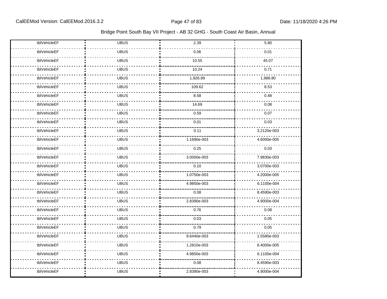| tblVehicleEF | <b>UBUS</b> | 2.39        | 5.80        |
|--------------|-------------|-------------|-------------|
| tblVehicleEF | <b>UBUS</b> | 0.06        | 0.01        |
| tblVehicleEF | <b>UBUS</b> | 10.55       | 45.07       |
| tblVehicleEF | <b>UBUS</b> | 10.24       | 0.71        |
| tblVehicleEF | <b>UBUS</b> | 1,926.89    | 1,988.80    |
| tblVehicleEF | <b>UBUS</b> | 109.62      | 8.53        |
| tblVehicleEF | <b>UBUS</b> | 8.58        | 0.48        |
| tblVehicleEF | <b>UBUS</b> | 14.69       | 0.08        |
| tblVehicleEF | <b>UBUS</b> | 0.59        | 0.07        |
| tblVehicleEF | <b>UBUS</b> | 0.01        | 0.03        |
| tblVehicleEF | <b>UBUS</b> | 0.11        | 3.2120e-003 |
| tblVehicleEF | <b>UBUS</b> | 1.1690e-003 | 4.6000e-005 |
| tblVehicleEF | <b>UBUS</b> | 0.25        | 0.03        |
| tblVehicleEF | <b>UBUS</b> | 3.0000e-003 | 7.9830e-003 |
| tblVehicleEF | <b>UBUS</b> | 0.10        | 3.0700e-003 |
| tblVehicleEF | <b>UBUS</b> | 1.0750e-003 | 4.2000e-005 |
| tblVehicleEF | <b>UBUS</b> | 4.9850e-003 | 6.1100e-004 |
| tblVehicleEF | <b>UBUS</b> | 0.08        | 8.4590e-003 |
| tblVehicleEF | <b>UBUS</b> | 2.8390e-003 | 4.9000e-004 |
| tblVehicleEF | <b>UBUS</b> | 0.76        | 0.08        |
| tblVehicleEF | <b>UBUS</b> | 0.03        | 0.05        |
| tblVehicleEF | <b>UBUS</b> | 0.79        | 0.05        |
| tblVehicleEF | <b>UBUS</b> | 9.6440e-003 | 1.5580e-003 |
| tblVehicleEF | <b>UBUS</b> | 1.2810e-003 | 8.4000e-005 |
| tblVehicleEF | <b>UBUS</b> | 4.9850e-003 | 6.1100e-004 |
| tblVehicleEF | <b>UBUS</b> | 0.08        | 8.4590e-003 |
| tblVehicleEF | <b>UBUS</b> | 2.8390e-003 | 4.9000e-004 |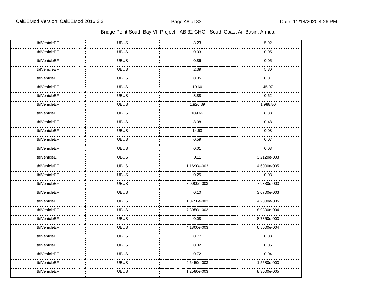| tblVehicleEF | <b>UBUS</b> | 3.23        | 5.92        |
|--------------|-------------|-------------|-------------|
| tblVehicleEF | <b>UBUS</b> | 0.03        | 0.05        |
| tblVehicleEF | <b>UBUS</b> | 0.86        | 0.05        |
| tblVehicleEF | <b>UBUS</b> | 2.39        | 5.80        |
| tblVehicleEF | <b>UBUS</b> | 0.05        | 0.01        |
| tblVehicleEF | <b>UBUS</b> | 10.60       | 45.07       |
| tblVehicleEF | <b>UBUS</b> | 8.88        | 0.62        |
| tblVehicleEF | <b>UBUS</b> | 1,926.89    | 1,988.80    |
| tblVehicleEF | <b>UBUS</b> | 109.62      | 8.38        |
| tblVehicleEF | <b>UBUS</b> | 8.08        | 0.48        |
| tblVehicleEF | <b>UBUS</b> | 14.63       | 0.08        |
| tblVehicleEF | <b>UBUS</b> | 0.59        | 0.07        |
| tblVehicleEF | <b>UBUS</b> | 0.01        | 0.03        |
| tblVehicleEF | <b>UBUS</b> | 0.11        | 3.2120e-003 |
| tblVehicleEF | <b>UBUS</b> | 1.1690e-003 | 4.6000e-005 |
| tblVehicleEF | <b>UBUS</b> | 0.25        | 0.03        |
| tblVehicleEF | <b>UBUS</b> | 3.0000e-003 | 7.9830e-003 |
| tblVehicleEF | <b>UBUS</b> | 0.10        | 3.0700e-003 |
| tblVehicleEF | <b>UBUS</b> | 1.0750e-003 | 4.2000e-005 |
| tblVehicleEF | <b>UBUS</b> | 7.3050e-003 | 8.9300e-004 |
| tblVehicleEF | <b>UBUS</b> | 0.08        | 8.7350e-003 |
| tblVehicleEF | <b>UBUS</b> | 4.1800e-003 | 6.8000e-004 |
| tblVehicleEF | <b>UBUS</b> | 0.77        | 0.08        |
| tblVehicleEF | <b>UBUS</b> | 0.02        | 0.05        |
| tblVehicleEF | <b>UBUS</b> | 0.72        | 0.04        |
| tblVehicleEF | <b>UBUS</b> | 9.6450e-003 | 1.5580e-003 |
| tblVehicleEF | <b>UBUS</b> | 1.2580e-003 | 8.3000e-005 |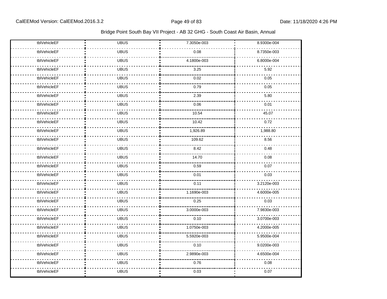| tblVehicleEF | <b>UBUS</b> | 7.3050e-003 | 8.9300e-004 |
|--------------|-------------|-------------|-------------|
| tblVehicleEF | <b>UBUS</b> | 0.08        | 8.7350e-003 |
| tblVehicleEF | <b>UBUS</b> | 4.1800e-003 | 6.8000e-004 |
| tblVehicleEF | <b>UBUS</b> | 3.25        | 5.92        |
| tblVehicleEF | <b>UBUS</b> | 0.02        | 0.05        |
| tblVehicleEF | <b>UBUS</b> | 0.79        | 0.05        |
| tblVehicleEF | <b>UBUS</b> | 2.39        | 5.80        |
| tblVehicleEF | <b>UBUS</b> | 0.06        | 0.01        |
| tblVehicleEF | <b>UBUS</b> | 10.54       | 45.07       |
| tblVehicleEF | <b>UBUS</b> | 10.42       | 0.72        |
| tblVehicleEF | <b>UBUS</b> | 1,926.89    | 1,988.80    |
| tblVehicleEF | <b>UBUS</b> | 109.62      | 8.56        |
| tblVehicleEF | <b>UBUS</b> | 8.42        | 0.48        |
| tblVehicleEF | <b>UBUS</b> | 14.70       | 0.08        |
| tblVehicleEF | <b>UBUS</b> | 0.59        | 0.07        |
| tblVehicleEF | <b>UBUS</b> | 0.01        | 0.03        |
| tblVehicleEF | <b>UBUS</b> | 0.11        | 3.2120e-003 |
| tblVehicleEF | <b>UBUS</b> | 1.1690e-003 | 4.6000e-005 |
| tblVehicleEF | <b>UBUS</b> | 0.25        | 0.03        |
| tblVehicleEF | <b>UBUS</b> | 3.0000e-003 | 7.9830e-003 |
| tblVehicleEF | <b>UBUS</b> | 0.10        | 3.0700e-003 |
| tblVehicleEF | <b>UBUS</b> | 1.0750e-003 | 4.2000e-005 |
| tblVehicleEF | <b>UBUS</b> | 5.5920e-003 | 5.9500e-004 |
| tblVehicleEF | <b>UBUS</b> | 0.10        | 9.0200e-003 |
| tblVehicleEF | <b>UBUS</b> | 2.9890e-003 | 4.6500e-004 |
| tblVehicleEF | <b>UBUS</b> | 0.76        | 0.08        |
| tblVehicleEF | <b>UBUS</b> | 0.03        | 0.07        |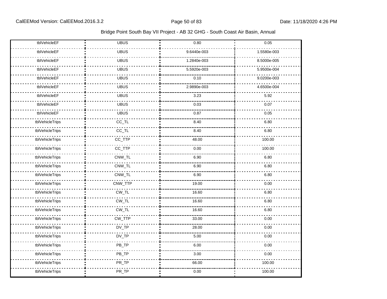| tblVehicleEF    | <b>UBUS</b> | 0.80        | 0.05        |
|-----------------|-------------|-------------|-------------|
| tblVehicleEF    | <b>UBUS</b> | 9.6440e-003 | 1.5580e-003 |
| tblVehicleEF    | <b>UBUS</b> | 1.2840e-003 | 8.5000e-005 |
| tblVehicleEF    | <b>UBUS</b> | 5.5920e-003 | 5.9500e-004 |
| tblVehicleEF    | <b>UBUS</b> | 0.10        | 9.0200e-003 |
| tblVehicleEF    | <b>UBUS</b> | 2.9890e-003 | 4.6500e-004 |
| tblVehicleEF    | <b>UBUS</b> | 3.23        | 5.92        |
| tblVehicleEF    | <b>UBUS</b> | 0.03        | 0.07        |
| tblVehicleEF    | <b>UBUS</b> | 0.87        | 0.05        |
| tblVehicleTrips | $CC$ _TL    | 8.40        | 6.80        |
| tblVehicleTrips | $CC_TL$     | 8.40        | 6.80        |
| tblVehicleTrips | CC_TTP      | 48.00       | 100.00      |
| tblVehicleTrips | CC_TTP      | 0.00        | 100.00      |
| tblVehicleTrips | CNW_TL      | 6.90        | 6.80        |
| tblVehicleTrips | CNW_TL      | 6.90        | 6.80        |
| tblVehicleTrips | CNW_TL      | 6.90        | 6.80        |
| tblVehicleTrips | CNW_TTP     | 19.00       | 0.00        |
| tblVehicleTrips | $CW_TL$     | 16.60       | 6.80        |
| tblVehicleTrips | $CW_TL$     | 16.60       | 6.80        |
| tblVehicleTrips | $CW_TL$     | 16.60       | 6.80        |
| tblVehicleTrips | CW_TTP      | 33.00       | 0.00        |
| tblVehicleTrips | $DV_TP$     | 28.00       | 0.00        |
| tblVehicleTrips | $DV_TP$     | 5.00        | 0.00        |
| tblVehicleTrips | PB_TP       | 6.00        | 0.00        |
| tblVehicleTrips | PB_TP       | 3.00        | 0.00        |
| tblVehicleTrips | PR_TP       | 66.00       | 100.00      |
| tblVehicleTrips | PR_TP       | 0.00        | 100.00      |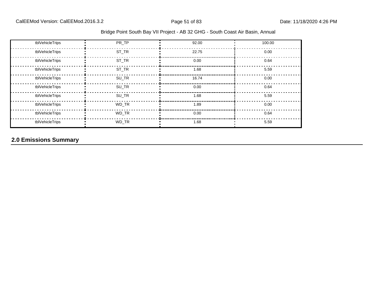| tblVehicleTrips | PR TP | 92.00 | 100.00 |
|-----------------|-------|-------|--------|
| tblVehicleTrips | ST TR | 22.75 | 0.00   |
| tblVehicleTrips | ST_TR | 0.00  | 0.64   |
| tblVehicleTrips | ST_TR | 1.68  | 5.59   |
| tblVehicleTrips | SU_TR | 16.74 | 0.00   |
| tblVehicleTrips | SU_TR | 0.00  | 0.64   |
| tblVehicleTrips | SU_TR | 1.68  | 5.59   |
| tblVehicleTrips | WD_TR | 1.89  | 0.00   |
| tblVehicleTrips | WD TR | 0.00  | 0.64   |
| tblVehicleTrips | WD TR | 1.68  | 5.59   |

# **2.0 Emissions Summary**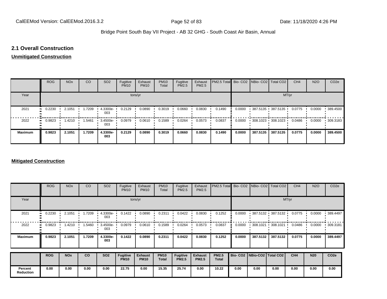### **2.1 Overall Construction**

#### **Unmitigated Construction**

|                | <b>ROG</b>                 | <b>NO<sub>x</sub></b> | <b>CO</b> | SO <sub>2</sub> | Fugitive<br><b>PM10</b> | Exhaust<br><b>PM10</b> | <b>PM10</b><br>Total | Fugitive<br><b>PM2.5</b> | Exhaust<br>PM2.5 | PM2.5 Total Bio- CO2 NBio- CO2 Total CO2 |        |                                           |          | CH <sub>4</sub> | <b>N2O</b> | CO <sub>2e</sub> |
|----------------|----------------------------|-----------------------|-----------|-----------------|-------------------------|------------------------|----------------------|--------------------------|------------------|------------------------------------------|--------|-------------------------------------------|----------|-----------------|------------|------------------|
| Year           | tons/yr                    |                       |           |                 |                         |                        |                      |                          |                  |                                          |        | MT/yr                                     |          |                 |            |                  |
| 2021           | 0.2230<br>$\bullet\bullet$ | 2.1051                | 1.7209    | 4.3300e-<br>003 | 0.2129                  | 0.0890                 | 0.3019               | 0.0660                   | 0.0830           | 0.1490                                   | 0.0000 | $-387.5135 - 387.5135$                    |          | 0.0775          | 0.0000     | .389.4500        |
| 2022           | 0.9823<br>$\bullet\bullet$ | 1.4210                | 1.5461    | 3.4500e-<br>003 | 0.0979                  | 0.0610                 | 0.1589               | 0.0264                   | 0.0573           | 0.0837                                   | 0.0000 | $\cdot$ 308.1023 $\cdot$ 308.1023 $\cdot$ |          | 0.0486          | 0.0000     | 309.3183         |
| <b>Maximum</b> | 0.9823                     | 2.1051                | 1.7209    | 4.3300e-<br>003 | 0.2129                  | 0.0890                 | 0.3019               | 0.0660                   | 0.0830           | 0.1490                                   | 0.0000 | 387.5135                                  | 387.5135 | 0.0775          | 0.0000     | 389.4500         |

#### **Mitigated Construction**

|                             | <b>ROG</b>                 | <b>NO<sub>x</sub></b> | CO     | SO <sub>2</sub>   | Fugitive<br><b>PM10</b>        | Exhaust<br><b>PM10</b>        | <b>PM10</b><br>Total        | Fugitive<br>PM2.5               | Exhaust<br>PM2.5               | PM2.5 Total  |                                 |           | Bio- CO2   NBio- CO2   Total CO2          | CH <sub>4</sub> | <b>N2O</b> | CO <sub>2e</sub> |  |
|-----------------------------|----------------------------|-----------------------|--------|-------------------|--------------------------------|-------------------------------|-----------------------------|---------------------------------|--------------------------------|--------------|---------------------------------|-----------|-------------------------------------------|-----------------|------------|------------------|--|
| Year                        | tons/yr                    |                       |        |                   |                                |                               |                             |                                 |                                |              | MT/yr                           |           |                                           |                 |            |                  |  |
| 2021                        | 0.2230<br>$\bullet\bullet$ | 2.1051                | .7209  | $4.3300e-$<br>003 | 0.1422                         | 0.0890                        | 0.2311                      | 0.0422                          | 0.0830                         | 0.1252       | 0.0000                          | .387.5132 | 387.5132                                  | 0.0775          | 0.0000     | 389.4497         |  |
| 2022                        | 0.9823<br>                 | 4210. ا               | .5460  | 3.4500e-<br>003   | 0.0979                         | 0.0610                        | 0.1589                      | 0.0264                          | 0.0573                         | 0.0837       | 0.0000                          |           | $\cdot$ 308.1021 $\cdot$ 308.1021 $\cdot$ | 0.0486          | 0.0000     | 309.3181         |  |
| <b>Maximum</b>              | 0.9823                     | 2.1051                | 1.7209 | 4.3300e-<br>003   | 0.1422                         | 0.0890                        | 0.2311                      | 0.0422                          | 0.0830                         | 0.1252       | 0.0000                          | 387.5132  | 387.5132                                  | 0.0775          | 0.0000     | 389.4497         |  |
|                             | <b>ROG</b>                 | <b>NOx</b>            | CO     | <b>SO2</b>        | <b>Fugitive</b><br><b>PM10</b> | <b>Exhaust</b><br><b>PM10</b> | <b>PM10</b><br><b>Total</b> | <b>Fugitive</b><br><b>PM2.5</b> | <b>Exhaust</b><br><b>PM2.5</b> | <b>PM2.5</b> | Bio- CO2   NBio-CO2   Total CO2 |           |                                           | CH4             | <b>N20</b> | CO <sub>2e</sub> |  |
|                             |                            |                       |        |                   |                                |                               |                             |                                 |                                | <b>Total</b> |                                 |           |                                           |                 |            |                  |  |
| Percent<br><b>Reduction</b> | 0.00                       | 0.00                  | 0.00   | 0.00              | 22.75                          | 0.00                          | 15.35                       | 25.74                           | 0.00                           | 10.22        | 0.00                            | 0.00      | 0.00                                      | 0.00            | 0.00       | 0.00             |  |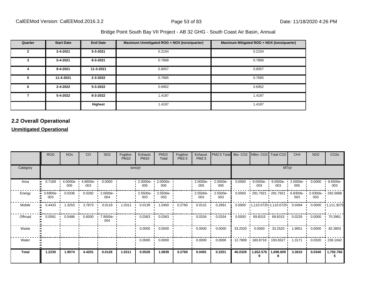| Quarter      | <b>Start Date</b> | <b>End Date</b> | Maximum Unmitigated ROG + NOX (tons/quarter) | Maximum Mitigated ROG + NOX (tons/quarter) |
|--------------|-------------------|-----------------|----------------------------------------------|--------------------------------------------|
| $\mathbf{2}$ | 2-4-2021          | 5-3-2021        | 0.2154                                       | 0.2154                                     |
| 3            | $5 - 4 - 2021$    | 8-3-2021        | 0.7868                                       | 0.7868                                     |
| 4            | 8-4-2021          | 11-3-2021       | 0.8057                                       | 0.8057                                     |
| 5            | 11-4-2021         | 2-3-2022        | 0.7665                                       | 0.7665                                     |
| 6            | 2-4-2022          | 5-3-2022        | 0.6952                                       | 0.6952                                     |
|              | 5-4-2022          | 8-3-2022        | 1.4187                                       | 1.4187                                     |
|              |                   | Highest         | 1.4187                                       | 1.4187                                     |

# **2.2 Overall Operational**

### **Unmitigated Operational**

|          | <b>ROG</b>                     | <b>NO<sub>x</sub></b> | <b>CO</b>       | SO <sub>2</sub>                   | Fugitive<br><b>PM10</b> | Exhaust<br><b>PM10</b> | <b>PM10</b><br>Total | Fugitive<br>PM2.5 | Exhaust<br>PM2.5    | <b>PM2.5 Total</b> Bio- CO2 NBio- CO2 Total CO2 |         |                            |                                                | CH <sub>4</sub> | <b>N2O</b>      | CO <sub>2</sub> e     |  |  |
|----------|--------------------------------|-----------------------|-----------------|-----------------------------------|-------------------------|------------------------|----------------------|-------------------|---------------------|-------------------------------------------------|---------|----------------------------|------------------------------------------------|-----------------|-----------------|-----------------------|--|--|
| Category |                                | tons/yr               |                 |                                   |                         |                        |                      |                   |                     |                                                 |         |                            | MT/yr                                          |                 |                 |                       |  |  |
| Area     | 0.7169                         | 4.0000e-<br>005       | 4.6600e-<br>003 | 0.0000                            |                         | 2.0000e-<br>005        | 2.0000e-<br>005      |                   | $-2.0000e -$<br>005 | 2.0000e-<br>005                                 | 0.0000  | 9.0500e-<br>003            | 9.0500e-<br>003                                | 2.0000e-<br>005 | 0.0000          | 9.6500e-<br>003       |  |  |
| Energy   | $\blacksquare$ 3.6900e-<br>003 | 0.0336                | 0.0282          | 2.0000e-<br>004                   |                         | 2.5500e-<br>003        | 2.5500e-<br>003      |                   | 2.5500e-<br>003     | 2.5500e-<br>003                                 | 0.0000  | • 291.7921 • 291.7921      |                                                | 6.8300e-<br>003 | 2.0300e-<br>003 | 292.5688              |  |  |
| Mobile   | 0.4433                         | 1.3253                | 3.7873          | 0.0118<br>$\mathbf{L}$            | 1.0311<br>$\mathbf{r}$  | 0.0139                 | 1.0450               | 0.2760            | 0.0131              | 0.2891                                          |         |                            | $0.0000$ $\cdot$ 1,110.0725 $\cdot$ 1,110.0725 | 0.0494          |                 | $0.0000$ $1,111.3075$ |  |  |
| Offroad  | 0.0591                         | 0.5486                | 0.6000          | 7.9000e-<br>$\blacksquare$<br>004 |                         | 0.0363                 | 0.0363               |                   | 0.0334              | 0.0334                                          | 0.0000  |                            | $+69.8315 +69.8315$                            | 0.0226          | 0.0000          | .70.3961              |  |  |
| Waste    |                                |                       |                 |                                   |                         | 0.0000                 | 0.0000               |                   | 0.0000              | 0.0000                                          |         | 33.2520 + 0.0000 + 33.2520 |                                                | 1.9651          | 0.0000          | .82.3803              |  |  |
| Water    |                                |                       |                 |                                   |                         | 0.0000                 | 0.0000               |                   | 0.0000              | 0.0000                                          |         |                            | 12.7809 180.8718 193.6527 1                    | 1.3171          | 0.0320          | .236.1042             |  |  |
| Total    | 1.2230                         | 1.9074                | 4.4201          | 0.0128                            | 1.0311                  | 0.0528                 | 1.0839               | 0.2760            | 0.0491              | 0.3251                                          | 46.0329 |                            | 1,652.576   1,698.609                          | 3.3610          | 0.0340          | 1,792.766             |  |  |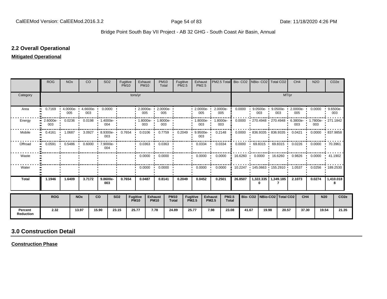### **2.2 Overall Operational**

### **Mitigated Operational**

|                             | <b>ROG</b>                             | <b>NO<sub>x</sub></b> | CO                         |           | SO <sub>2</sub>                 | Fugitive<br><b>PM10</b> | Exhaust<br><b>PM10</b>         |                               | <b>PM10</b><br>Total                             | Fugitive<br><b>PM2.5</b> |                          | Exhaust<br><b>PM2.5</b> | PM2.5 Total Bio- CO2 NBio- CO2 Total CO2                       |         |       |          |                                                |       | CH <sub>4</sub> | <b>N2O</b> | CO <sub>2e</sub>                                              |
|-----------------------------|----------------------------------------|-----------------------|----------------------------|-----------|---------------------------------|-------------------------|--------------------------------|-------------------------------|--------------------------------------------------|--------------------------|--------------------------|-------------------------|----------------------------------------------------------------|---------|-------|----------|------------------------------------------------|-------|-----------------|------------|---------------------------------------------------------------|
| Category                    |                                        |                       |                            |           |                                 |                         | tons/yr                        |                               |                                                  |                          |                          |                         |                                                                |         |       |          |                                                | MT/yr |                 |            |                                                               |
| Area                        | 0.7169                                 | 005                   | $4.0000e-1.6600e-1$<br>003 |           | $0.0000$ $\blacksquare$         |                         |                                | $\frac{00000}{005}$           | $\cdot$ 2.0000e- $\cdot$ 2.0000e- $\cdot$<br>005 |                          |                          | $-2.0000e -$<br>005     | 2.0000e-<br>005                                                | 0.0000  |       | 003      | 003                                            |       | 005             |            | 9.0500e- 9.0500e- 2.0000e- 0.0000 9.6500e-<br>003             |
| Energy                      | 2.6000e- 0.0236 0.0198 1.4000e-<br>003 |                       |                            |           | 004                             |                         | 003                            |                               | $1.8000e - 1.8000e -$<br>003                     |                          |                          | $1.8000e - 1$<br>003    | 1.8000e-<br>003                                                |         |       |          |                                                |       | 003             | 003        | 0.0000 · 270.4948 · 270.4948 · 6.3800e- · 1.7800e- · 271.1842 |
| Mobile                      | 0.4161                                 | 1.0687                | 3.0927                     |           | 8.9300e- 0.7654<br>003          |                         | 0.0106                         | $\mathbf{r}$                  | 0.7759                                           | 0.2049                   |                          | $9.9500e -$<br>003      | 0.2148                                                         | 0.0000  |       |          |                                                |       |                 |            | 836.9335 836.9335 0.0421 0.0000 837.9858                      |
| Offroad                     | 0.0591                                 | $\mathbf{L}$          |                            |           | 0.5486  0.6000  7.9000e-<br>004 |                         | 0.0363                         |                               | 0.0363                                           |                          |                          | 0.0334                  | 0.0334                                                         | 0.0000  |       |          | $\cdot$ 69.8315 $\cdot$ 69.8315 $\cdot$ 0.0226 |       |                 | 0.0000     | .70.3961                                                      |
| Waste                       |                                        |                       |                            |           |                                 |                         | $0.0000$ $\cdot$               |                               | 0.0000                                           |                          |                          | 0.0000                  | 0.0000                                                         | 16.6260 |       |          | $0.0000$ 16.6260 0.9826                        |       |                 | 0.0000     | 41.1902                                                       |
| Water                       |                                        |                       |                            |           |                                 |                         | $0.0000$ $\blacksquare$        |                               | 0.0000                                           |                          |                          | 0.0000                  | 0.0000                                                         |         |       |          |                                                |       |                 |            | 10.2247 145.0663 155.2910 1.0537 0.0256 189.2530              |
| <b>Total</b>                | 1.1946                                 | 1.6409                | 3.7172                     |           | 9.8600e-<br>003                 | 0.7654                  | 0.0487                         |                               | 0.8141                                           | 0.2049                   |                          | 0.0452                  | 0.2501                                                         | 26.8507 |       | $\bf{0}$ | 1,322.335   1,349.185<br>7                     |       | 2.1073          | 0.0274     | 1,410.018<br>8                                                |
|                             | <b>ROG</b>                             |                       | <b>NO<sub>x</sub></b>      | <b>CO</b> |                                 | <b>SO2</b>              | <b>Fugitive</b><br><b>PM10</b> | <b>Exhaust</b><br><b>PM10</b> | <b>PM10</b><br><b>Total</b>                      |                          | Fugitive<br><b>PM2.5</b> |                         | <b>Exhaust</b><br><b>PM2.5</b><br><b>PM2.5</b><br><b>Total</b> |         |       |          | Bio- CO2   NBio-CO2   Total CO2                |       | CH <sub>4</sub> | <b>N20</b> | CO <sub>2e</sub>                                              |
| Percent<br><b>Reduction</b> | 2.32                                   |                       | 13.97                      | 15.90     | 23.15                           |                         | 25.77                          | 7.78                          |                                                  | 24.89                    | 25.77                    |                         | 7.98<br>23.08                                                  |         | 41.67 | 19.98    |                                                | 20.57 | 37.30           | 19.54      | 21.35                                                         |

# **3.0 Construction Detail**

**Construction Phase**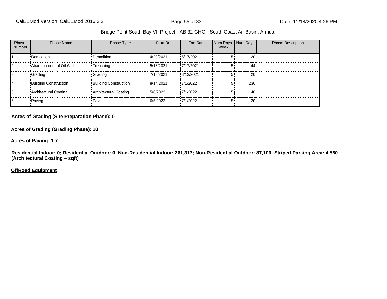| Phase<br><b>Number</b> | <b>Phase Name</b>            | Phase Type                   | <b>Start Date</b> | End Date   | Week | Num Days Num Days | <b>Phase Description</b> |
|------------------------|------------------------------|------------------------------|-------------------|------------|------|-------------------|--------------------------|
|                        | •Demolition                  | •Demolition                  | 14/20/2021        | !5/17/2021 |      | 20!               |                          |
|                        | .Abandonment of Oil Wells    | •Trenching                   | 15/18/2021        | !7/17/2021 |      | 44'               |                          |
|                        | <b>Crading</b>               | <b>Grading</b>               | 17/18/2021        | !8/13/2021 |      | 20!               |                          |
|                        | <b>Building Construction</b> | <b>Building Construction</b> | 8/14/2021         | !7/1/2022  |      | 230!              |                          |
| 15                     | Architectural Coating        | <b>Architectural Coating</b> | 15/8/2022         | !7/1/2022  |      | 40                |                          |
| 16                     | -Paving                      | Paving                       | 6/5/2022          | .7/1/2022  | 5'   | $20 -$            |                          |

#### **Acres of Grading (Site Preparation Phase): 0**

**Acres of Grading (Grading Phase): 10**

**Acres of Paving: 1.7**

**Residential Indoor: 0; Residential Outdoor: 0; Non-Residential Indoor: 261,317; Non-Residential Outdoor: 87,106; Striped Parking Area: 4,560 (Architectural Coating - sqft)** 

**OffRoad Equipment**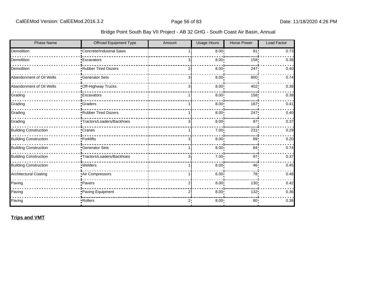| Bridge Point South Bay VII Project - AB 32 GHG - South Coast Air Basin, Annual |  |  |
|--------------------------------------------------------------------------------|--|--|
|                                                                                |  |  |

| <b>Phase Name</b>            | Offroad Equipment Type           | Amount | <b>Usage Hours</b> | <b>Horse Power</b> | <b>Load Factor</b> |
|------------------------------|----------------------------------|--------|--------------------|--------------------|--------------------|
| Demolition                   | <b>*Concrete/Industrial Saws</b> |        | 8.00 <sub>1</sub>  | 81 <sub>1</sub>    | 0.73               |
| Demolition                   | <b>Excavators</b>                | 3      | 8.00               | 158                | 0.38               |
| Demolition                   | Rubber Tired Dozers              |        | 8.00               | 247                | 0.40               |
| Abandonment of Oil Wells     | <b>Generator Sets</b>            | зi     | 8.00               | 800                | 0.74               |
| Abandonment of Oil Wells     | Off-Highway Trucks               | 3i     | 8.00               | 402!               | 0.38               |
| Grading                      | <b>Excavators</b>                |        | 8.00               | 158                | 0.38               |
| Grading                      | <b>Graders</b>                   |        | 8.00               | 187                | 0.41               |
| Grading                      | Rubber Tired Dozers              |        | 8.00               | 247                | 0.40               |
| Grading                      | Tractors/Loaders/Backhoes        | 3      | 8.00               | 97                 | 0.37               |
| <b>Building Construction</b> | Cranes                           |        | 7.00 <sub>1</sub>  | 231                | 0.29               |
| <b>Building Construction</b> | •Forklifts                       | 3i     | 8.00               | 89                 | 0.20               |
| <b>Building Construction</b> | <b>Generator Sets</b>            |        | 8.00               | 84 <sub>1</sub>    | 0.74               |
| <b>Building Construction</b> | Tractors/Loaders/Backhoes        | зi     | 7.00               | 97'                | 0.37               |
| <b>Building Construction</b> | · Welders                        |        | 8.00               | 46!                | 0.45               |
| <b>Architectural Coating</b> | Air Compressors                  |        | 6.00 <sub>1</sub>  | 78!                | 0.48               |
| Paving                       | •Pavers                          | 2      | 8.00 <sub>1</sub>  | 130                | 0.42               |
| Paving                       | Paving Equipment                 | 2      | 8.00               | 132!               | 0.36               |
| Paving                       | Rollers                          | 2:     | 8.00               | 80:                | 0.38               |

**Trips and VMT**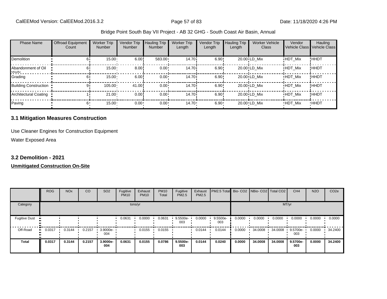| <b>Phase Name</b>              | <b>Offroad Equipment</b><br>Count | <b>Worker Trip</b><br><b>Number</b> | Vendor Trip<br>Number | <b>Hauling Trip</b><br><b>Number</b> | <b>Worker Trip</b><br>Length | <b>Vendor Trip</b><br>Length | <b>Hauling Trip</b><br>Length | <b>Worker Vehicle</b><br>Class | Vendor         | Hauling<br>Vehicle Class Vehicle Class |
|--------------------------------|-----------------------------------|-------------------------------------|-----------------------|--------------------------------------|------------------------------|------------------------------|-------------------------------|--------------------------------|----------------|----------------------------------------|
| <b>Demolition</b>              | 61                                | 15.00                               | 6.00                  | $583.00 \cdot$                       | 14.70 <sup>i</sup>           | 6.90!                        |                               | 20.00 LD Mix                   | <b>HDT Mix</b> | !HHDT                                  |
| Abandonment of Oil<br>$M$ elle | hI                                | 15.00                               | 8.00                  | $0.00 \cdot$                         | 14.70 <sup>i</sup>           | 6.90!                        |                               | 20.00 LD Mix                   | <b>HDT Mix</b> | ! ННDТ                                 |
| Grading                        | 61                                | 15.00                               | 6.00                  | $0.00 \cdot$                         | 14.70 <sup>i</sup>           | 6.90!                        |                               | 20.00 LD Mix                   | HDT_Mix        | ! ННDТ                                 |
| <b>Building Construction</b>   |                                   | 105.00                              | 41.00                 | $0.00 \cdot$                         | 14.70 <sup>i</sup>           | 6.90!                        |                               | 20.00 LD Mix                   | <b>HDT Mix</b> | ! ННDТ                                 |
| <b>Architectural Coating</b>   |                                   | 21.00                               | 0.00                  | $0.00 \cdot$                         | 14.70 <sup>i</sup>           | 6.90!                        |                               | 20.00 LD Mix                   | <b>HDT Mix</b> | <b>!HHDT</b>                           |
| Paving                         |                                   | $15.00 -$                           | $0.00 -$              | $0.00 \cdot$                         | $14.70 \cdot$                | $6.90 -$                     |                               | 20.00 LD Mix                   | <b>HDT Mix</b> | <b>HHDT</b>                            |

### **3.1 Mitigation Measures Construction**

Use Cleaner Engines for Construction Equipment

Water Exposed Area

## **3.2 Demolition - 2021**

#### **Unmitigated Construction On-Site**

|                      | <b>ROG</b>   | <b>NO<sub>x</sub></b> | CO     | SO <sub>2</sub> | Fugitive<br><b>PM10</b> | Exhaust<br><b>PM10</b> | <b>PM10</b><br>Total | Fugitive<br><b>PM2.5</b> | Exhaust<br>PM2.5 | PM2.5 Total Bio- CO2 NBio- CO2   Total CO2 |        |         |         | CH <sub>4</sub> | <b>N2O</b> | CO <sub>2e</sub> |
|----------------------|--------------|-----------------------|--------|-----------------|-------------------------|------------------------|----------------------|--------------------------|------------------|--------------------------------------------|--------|---------|---------|-----------------|------------|------------------|
| Category             |              |                       |        |                 |                         | tons/yr                |                      |                          |                  |                                            |        |         | MT/yr   |                 |            |                  |
| <b>Fugitive Dust</b> |              |                       |        |                 | 0.0631                  | 0.0000                 | 0.0631               | 9.5500e-<br>003          | 0.0000           | 9.5500e-<br>003                            | 0.0000 | 0.0000  | 0.0000  | 0.0000          | 0.0000     | 0.0000           |
| Off-Road             | 0.0317<br>ш. | 0.3144                | 0.2157 | 3.9000e-<br>004 |                         | 0.0155                 | 0.0155               |                          | 0.0144           | 0.0144                                     | 0.0000 | 34.0008 | 34.0008 | 9.5700e-<br>003 | 0.0000     | 34.2400          |
| <b>Total</b>         | 0.0317       | 0.3144                | 0.2157 | 3.9000e-<br>004 | 0.0631                  | 0.0155                 | 0.0786               | 9.5500e-<br>003          | 0.0144           | 0.0240                                     | 0.0000 | 34.0008 | 34,0008 | 9.5700e-<br>003 | 0.0000     | 34.2400          |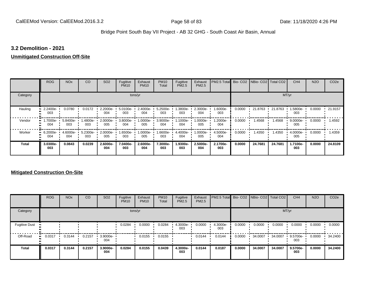#### **3.2 Demolition - 2021**

#### **Unmitigated Construction Off-Site**

|          | <b>ROG</b>                   | <b>NO<sub>x</sub></b> | CO              | SO <sub>2</sub> | Fugitive<br><b>PM10</b> | Exhaust<br><b>PM10</b> | <b>PM10</b><br>Total     | Fugitive<br><b>PM2.5</b> | Exhaust<br>PM2.5 | PM2.5 Total Bio- CO2 NBio- CO2 Total CO2 |        |         |         | CH <sub>4</sub>    | <b>N2O</b> | CO <sub>2e</sub> |
|----------|------------------------------|-----------------------|-----------------|-----------------|-------------------------|------------------------|--------------------------|--------------------------|------------------|------------------------------------------|--------|---------|---------|--------------------|------------|------------------|
| Category |                              |                       |                 |                 |                         | tons/yr                |                          |                          |                  |                                          |        |         |         | MT/yr              |            |                  |
| Hauling  | 2.2400e-<br>003              | 0.0780                | 0.0172          | 2.2000e-<br>004 | 5.0100e-<br>003         | 2.4000e-<br>004        | 5.2500e-<br>003          | -.3800e<br>003           | 2.3000e-<br>004  | 1.6000e-<br>003                          | 0.0000 | 21.8763 | 21.8763 | 1.5800e-<br>003    | 0.0000     | 21.9157          |
| Vendor   | 1.7000e- •<br>œ<br>004       | 5.8400e-<br>003       | .4800e-<br>003  | 2.0000e-<br>005 | 3.8000e-<br>004         | 005                    | 1.0000e- 3.9000e-<br>004 | 1.1000e-<br>004          | 1.0000e-<br>005  | 1.2000e-<br>004                          | 0.0000 | 1.4568  | 1.4568  | $9.0000e -$<br>005 | 0.0000     | .4592            |
| Worker   | 6.2000e-<br>$\bullet$<br>004 | 4.6000e-<br>004       | 5.2300e-<br>003 | 2.0000e-<br>005 | 1.6500e-<br>003         | 1.0000e-<br>005        | 1.6600e-<br>003          | 4.4000e-<br>004          | 1.0000e-<br>005  | 4.5000e-<br>004                          | 0.0000 | 1.4350  | 1.4350  | 4.0000e-<br>005    | 0.0000     | 1.4359           |
| Total    | 3.0300e-<br>003              | 0.0843                | 0.0239          | 2.6000e-<br>004 | 7.0400e-<br>003         | 2.6000e-<br>004        | 7.3000e-<br>003          | 1.9300e-<br>003          | 2.5000e-<br>004  | 2.1700e-<br>003                          | 0.0000 | 24.7681 | 24.7681 | 1.7100e-<br>003    | 0.0000     | 24.8109          |

### **Mitigated Construction On-Site**

|                      | <b>ROG</b> | <b>NO<sub>x</sub></b> | CO     | SO <sub>2</sub> | Fugitive<br><b>PM10</b> | Exhaust<br><b>PM10</b> | <b>PM10</b><br>Total | Fugitive<br><b>PM2.5</b> | Exhaust<br><b>PM2.5</b> | PM2.5 Total Bio- CO2 NBio- CO2 Total CO2 |        |         |         | CH <sub>4</sub> | <b>N2O</b> | CO <sub>2e</sub> |
|----------------------|------------|-----------------------|--------|-----------------|-------------------------|------------------------|----------------------|--------------------------|-------------------------|------------------------------------------|--------|---------|---------|-----------------|------------|------------------|
| Category             |            |                       |        |                 |                         | tons/yr                |                      |                          |                         |                                          |        |         |         | MT/yr           |            |                  |
| <b>Fugitive Dust</b> |            |                       |        |                 | 0.0284                  | 0.0000                 | 0.0284               | 4.3000e-<br>003          | 0.0000                  | 4.3000e-<br>003                          | 0.0000 | 0.0000  | 0.0000  | 0.0000          | 0.0000     | 0.0000           |
| Off-Road             | 0.0317<br> | 0.3144                | 0.2157 | 3.9000e-<br>004 |                         | 0.0155                 | 0.0155               |                          | 0.0144                  | 0.0144                                   | 0.0000 | 34.0007 | 34.0007 | 9.5700e-<br>003 | 0.0000     | 34.2400          |
| <b>Total</b>         | 0.0317     | 0.3144                | 0.2157 | 3.9000e-<br>004 | 0.0284                  | 0.0155                 | 0.0439               | 4.3000e-<br>003          | 0.0144                  | 0.0187                                   | 0.0000 | 34.0007 | 34.0007 | 9.5700e-<br>003 | 0.0000     | 34.2400          |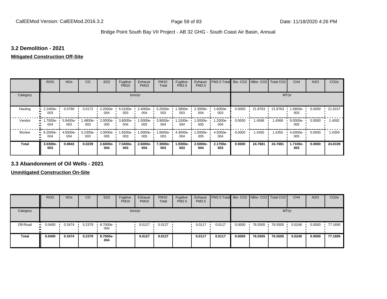#### **3.2 Demolition - 2021**

#### **Mitigated Construction Off-Site**

|                     | <b>ROG</b>      | <b>NO<sub>x</sub></b> | CO              | SO <sub>2</sub> | Fugitive<br><b>PM10</b> | Exhaust<br><b>PM10</b> | <b>PM10</b><br>Total | Fugitive<br>PM2.5 | Exhaust<br>PM2.5 | PM2.5 Total Bio- CO2 NBio- CO2 Total CO2 |        |           |         | CH <sub>4</sub> | <b>N2O</b> | CO <sub>2e</sub> |
|---------------------|-----------------|-----------------------|-----------------|-----------------|-------------------------|------------------------|----------------------|-------------------|------------------|------------------------------------------|--------|-----------|---------|-----------------|------------|------------------|
| Category            |                 |                       |                 |                 | tons/yr                 |                        |                      |                   |                  |                                          |        |           | MT/yr   |                 |            |                  |
| Hauling             | 2.2400e-<br>003 | 0.0780                | 0.0172          | 2.2000e-<br>004 | 5.0100e-<br>003         | 2.4000e-<br>004        | 5.2500e-<br>003      | -.3800e<br>003    | 2.3000e-<br>004  | 1.6000e-<br>003                          | 0.0000 | 21.8763 · | 21.8763 | 1.5800e-<br>003 | 0.0000     | 21.9157          |
| Vendor              | 1.7000e-<br>004 | 5.8400e-<br>003       | 1.4800e-<br>003 | 2.0000e-<br>005 | 3.8000e-<br>004         | 1.0000e-<br>005        | 3.9000e-<br>004      | -.1000e<br>004    | $.0000e-$<br>005 | 1.2000e-<br>004                          | 0.0000 | 1.4568    | 1.4568  | 9.0000e-<br>005 | 0.0000     | 1.4592           |
| Worker<br>$\bullet$ | 6.2000e-<br>004 | 4.6000e-<br>004       | 5.2300e-<br>003 | 2.0000e-<br>005 | 1.6500e- L<br>003       | 1.0000e-<br>005        | 1.6600e-<br>003      | 4.4000e-<br>004   | $.0000e-$<br>005 | 4.5000e-<br>004                          | 0.0000 | 1.4350    | 1.4350  | 4.0000e-<br>005 | 0.0000     | 1.4359           |
| <b>Total</b>        | 3.0300e-<br>003 | 0.0843                | 0.0239          | 2.6000e-<br>004 | 7.0400e-<br>003         | 2.6000e-<br>004        | 7.3000e-<br>003      | 1.9300e-<br>003   | 2.5000e-<br>004  | 2.1700e-<br>003                          | 0.0000 | 24.7681   | 24.7681 | 1.7100e-<br>003 | 0.0000     | 24.8109          |

### **3.3 Abandonment of Oil Wells - 2021**

**Unmitigated Construction On-Site**

|              | <b>ROG</b>   | <b>NO<sub>x</sub></b> | CO     | SO <sub>2</sub> | Fugitive<br><b>PM10</b> | Exhaust<br><b>PM10</b> | <b>PM10</b><br>Total | Fugitive<br><b>PM2.5</b> | Exhaust<br>PM2.5 | <b>PM2.5 Total Bio-CO2 NBio-CO2 Total CO2</b> |        |         |         | CH <sub>4</sub> | <b>N2O</b> | CO <sub>2e</sub> |
|--------------|--------------|-----------------------|--------|-----------------|-------------------------|------------------------|----------------------|--------------------------|------------------|-----------------------------------------------|--------|---------|---------|-----------------|------------|------------------|
| Category     |              |                       |        |                 | tons/yr                 |                        |                      |                          |                  |                                               |        |         |         | MT/yr           |            |                  |
| Off-Road     | 0.0400<br>ш. | 0.3474                | 0.2379 | 8.7000e-<br>004 |                         | 0.0127                 | 0.0127               |                          | 0.0117           | 0.0117                                        | 0.0000 | 76.5505 | 76.5505 | 0.0248          | 0.0000     | 77.1695          |
| <b>Total</b> | 0.0400       | 0.3474                | 0.2379 | 8.7000e-<br>004 |                         | 0.0127                 | 0.0127               |                          | 0.0117           | 0.0117                                        | 0.0000 | 76.5505 | 76.5505 | 0.0248          | 0.0000     | 77.1695          |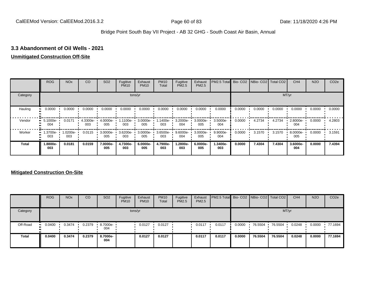### **3.3 Abandonment of Oil Wells - 2021**

#### **Unmitigated Construction Off-Site**

|          | <b>ROG</b>      | <b>NO<sub>x</sub></b> | CO              | SO <sub>2</sub> | Fugitive<br><b>PM10</b> | Exhaust<br><b>PM10</b> | <b>PM10</b><br>Total | Fugitive<br><b>PM2.5</b> | Exhaust<br>PM2.5 | PM2.5 Total Bio- CO2 NBio- CO2 Total CO2 |        |        |        | CH <sub>4</sub> | <b>N2O</b> | CO <sub>2e</sub> |
|----------|-----------------|-----------------------|-----------------|-----------------|-------------------------|------------------------|----------------------|--------------------------|------------------|------------------------------------------|--------|--------|--------|-----------------|------------|------------------|
| Category |                 |                       |                 |                 |                         | tons/yr                |                      |                          |                  |                                          |        |        |        | MT/yr           |            |                  |
| Hauling  | 0.0000          | 0.0000                | 0.0000          | 0.0000          | 0.0000                  | 0.0000                 | 0.0000               | 0.0000                   | 0.0000           | 0.0000                                   | 0.0000 | 0.0000 | 0.0000 | 0.0000          | 0.0000     | 0.0000           |
| Vendor   | 5.1000e-<br>004 | 0.0171                | 4.3300e-<br>003 | 4.0000e-<br>005 | 1.1100e-1<br>003        | 3.0000e-<br>005        | 1.1400e-<br>003      | 3.2000e-<br>004          | 3.0000e-<br>005  | 3.5000e-<br>004                          | 0.0000 | 4.2734 | 4.2734 | 2.8000e-<br>004 | 0.0000     | 4.2803           |
| Worker   | 1.3700e-<br>003 | 1.0200e-<br>003       | 0.0115          | 3.0000e-<br>005 | 3.6200e-<br>003         | 3.0000e-<br>005        | 3.6500e-<br>003      | 9.6000e-<br>004          | 3.0000e-<br>005  | 9.9000e-<br>004                          | 0.0000 | 3.1570 | 3.1570 | 8.0000e-<br>005 | 0.0000     | 3.1591           |
| Total    | 1.8800e-<br>003 | 0.0181                | 0.0159          | 7.0000e-<br>005 | 4.7300e-<br>003         | 6.0000e-<br>005        | 4.7900e-<br>003      | 1.2800e-<br>003          | 6.0000e-<br>005  | 1.3400e-<br>003                          | 0.0000 | 7.4304 | 7.4304 | 3.6000e-<br>004 | 0.0000     | 7.4394           |

### **Mitigated Construction On-Site**

|          | <b>ROG</b>    | <b>NO<sub>x</sub></b> | CO     | SO <sub>2</sub>                 | Fugitive<br><b>PM10</b> | Exhaust<br><b>PM10</b> | <b>PM10</b><br>Total | Fugitive<br><b>PM2.5</b> | Exhaust<br><b>PM2.5</b> | PM2.5 Total Bio- CO2 NBio- CO2 Total CO2 |        |         |         | CH <sub>4</sub> | <b>N2O</b> | CO <sub>2e</sub> |
|----------|---------------|-----------------------|--------|---------------------------------|-------------------------|------------------------|----------------------|--------------------------|-------------------------|------------------------------------------|--------|---------|---------|-----------------|------------|------------------|
| Category |               |                       |        |                                 |                         | tons/yr                |                      |                          |                         |                                          |        |         | MT/yr   |                 |            |                  |
| Off-Road | 0.0400<br>. . | 0.3474                | 0.2379 | $\cdot$ 8.7000e- $\cdot$<br>004 |                         | 0.0127                 | 0.0127               |                          | 0.0117                  | 0.0117                                   | 0.0000 | 76.5504 | 76.5504 | 0.0248          | 0.0000     | .77.1694         |
| Total    | 0.0400        | 0.3474                | 0.2379 | 8.7000e-<br>004                 |                         | 0.0127                 | 0.0127               |                          | 0.0117                  | 0.0117                                   | 0.0000 | 76.5504 | 76.5504 | 0.0248          | 0.0000     | 77.1694          |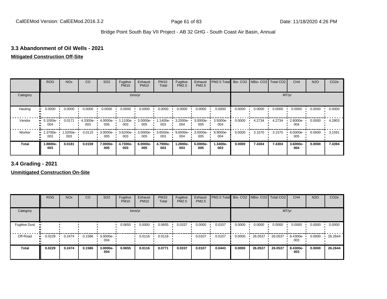### **3.3 Abandonment of Oil Wells - 2021**

# **Mitigated Construction Off-Site**

|          | <b>ROG</b>      | <b>NO<sub>x</sub></b> | CO              | SO <sub>2</sub>    | Fugitive<br><b>PM10</b> | Exhaust<br><b>PM10</b> | <b>PM10</b><br>Total | Fugitive<br><b>PM2.5</b> | Exhaust<br>PM2.5 | PM2.5 Total Bio- CO2 NBio- CO2 Total CO2 |        |        |        | CH <sub>4</sub> | <b>N2O</b> | CO <sub>2e</sub> |
|----------|-----------------|-----------------------|-----------------|--------------------|-------------------------|------------------------|----------------------|--------------------------|------------------|------------------------------------------|--------|--------|--------|-----------------|------------|------------------|
| Category |                 |                       |                 |                    |                         | tons/yr                |                      |                          |                  |                                          |        |        |        | MT/yr           |            |                  |
| Hauling  | 0.0000          | 0.0000                | 0.0000          | 0.0000             | 0.0000                  | 0.0000                 | 0.0000               | 0.0000                   | 0.0000           | 0.0000                                   | 0.0000 | 0.0000 | 0.0000 | 0.0000          | 0.0000     | 0.0000           |
| Vendor   | 5.1000e-<br>004 | 0.0171                | 4.3300e-<br>003 | 4.0000e-<br>005    | 1.1100e-<br>003         | 3.0000e-<br>005        | 1.1400e-<br>003      | 3.2000e-<br>004          | 3.0000e-<br>005  | 3.5000e-<br>004                          | 0.0000 | 4.2734 | 4.2734 | 2.8000e-<br>004 | 0.0000     | 4.2803           |
| Worker   | 1.3700e-<br>003 | 1.0200e-<br>003       | 0.0115          | $3.0000e -$<br>005 | $3.6200e -$<br>003      | 3.0000e-<br>005        | $3.6500e -$<br>003   | 9.6000e-<br>004          | 3.0000e-<br>005  | 9.9000e-<br>004                          | 0.0000 | 3.1570 | 3.1570 | 8.0000e-<br>005 | 0.0000     | 3.1591           |
| Total    | 1.8800e-<br>003 | 0.0181                | 0.0159          | 7.0000e-<br>005    | 4.7300e-<br>003         | 6.0000e-<br>005        | 4.7900e-<br>003      | 1.2800e-<br>003          | 6.0000e-<br>005  | 1.3400e-<br>003                          | 0.0000 | 7.4304 | 7.4304 | 3.6000e-<br>004 | 0.0000     | 7.4394           |

**3.4 Grading - 2021**

**Unmitigated Construction On-Site**

|                      | <b>ROG</b> | <b>NO<sub>x</sub></b> | CO     | SO <sub>2</sub> | Fugitive<br><b>PM10</b> | Exhaust<br><b>PM10</b> | <b>PM10</b><br>Total | Fugitive<br>PM2.5 | Exhaust<br><b>PM2.5</b> | PM2.5 Total Bio- CO2 NBio- CO2   Total CO2 |        |         |         | CH <sub>4</sub> | <b>N2O</b> | CO <sub>2e</sub> |
|----------------------|------------|-----------------------|--------|-----------------|-------------------------|------------------------|----------------------|-------------------|-------------------------|--------------------------------------------|--------|---------|---------|-----------------|------------|------------------|
| Category             |            |                       |        |                 |                         | tons/yr                |                      |                   |                         |                                            |        |         | MT/yr   |                 |            |                  |
| <b>Fugitive Dust</b> |            |                       |        |                 | 0.0655                  | 0.0000                 | 0.0655               | 0.0337            | 0.0000                  | 0.0337                                     | 0.0000 | 0.0000  | 0.0000  | 0.0000          | 0.0000     | 0.0000           |
| Off-Road             | 0.0229     | 0.2474                | 0.1586 | 3.0000e-<br>004 |                         | 0.0116                 | 0.0116               |                   | 0.0107                  | 0.0107                                     | 0.0000 | 26.0537 | 26.0537 | 8.4300e-<br>003 | 0.0000     | 26.2644          |
| <b>Total</b>         | 0.0229     | 0.2474                | 0.1586 | 3.0000e-<br>004 | 0.0655                  | 0.0116                 | 0.0771               | 0.0337            | 0.0107                  | 0.0443                                     | 0.0000 | 26.0537 | 26.0537 | 8.4300e-<br>003 | 0.0000     | 26.2644          |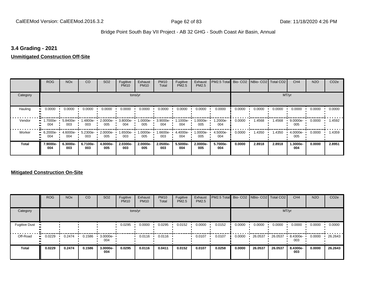### **3.4 Grading - 2021**

#### **Unmitigated Construction Off-Site**

|               | <b>ROG</b>            | <b>NO<sub>x</sub></b> | CO              | SO <sub>2</sub> | Fugitive<br><b>PM10</b> | Exhaust<br><b>PM10</b> | <b>PM10</b><br>Total     | Fugitive<br><b>PM2.5</b> | Exhaust<br>PM2.5 | PM2.5 Total Bio- CO2 NBio- CO2 Total CO2 |        |        |        | CH <sub>4</sub>   | <b>N2O</b> | CO <sub>2e</sub> |
|---------------|-----------------------|-----------------------|-----------------|-----------------|-------------------------|------------------------|--------------------------|--------------------------|------------------|------------------------------------------|--------|--------|--------|-------------------|------------|------------------|
| Category      |                       |                       |                 |                 | tons/yr                 |                        |                          |                          |                  |                                          |        |        | MT/yr  |                   |            |                  |
| Hauling<br>81 | 0.0000                | 0.0000                | 0.0000          | 0.0000          | 0.0000                  | 0.0000                 | 0.0000                   | 0.0000                   | 0.0000           | 0.0000                                   | 0.0000 | 0.0000 | 0.0000 | 0.0000            | 0.0000     | 0.0000           |
| Vendor        | -7000e-<br>. .<br>004 | 5.8400e-<br>003       | 1.4800e-<br>003 | 2.0000e-<br>005 | 3.8000e-<br>004         | 005                    | 1.0000e- 3.9000e-<br>004 | 1.1000e-<br>004          | 1.0000e-<br>005  | 1.2000e-<br>004                          | 0.0000 | 1.4568 | 1.4568 | $9.0000e-$<br>005 | 0.0000     | .4592            |
| Worker        | $-6.2000e-$<br>004    | 4.6000e-<br>004       | 5.2300e-<br>003 | 2.0000e-<br>005 | 1.6500e-<br>003         | 1.0000e-<br>005        | 1.6600e-<br>003          | 4.4000e-<br>004          | 1.0000e-<br>005  | 4.5000e-<br>004                          | 0.0000 | 1.4350 | 1.4350 | 4.0000e-<br>005   | 0.0000     | 1.4359           |
| <b>Total</b>  | 7.9000e-<br>004       | 6.3000e-<br>003       | 6.7100e-<br>003 | 4.0000e-<br>005 | 2.0300e-<br>003         | 2.0000e-<br>005        | 2.0500e-<br>003          | 5.5000e-<br>004          | 2.0000e-<br>005  | 5.7000e-<br>004                          | 0.0000 | 2.8918 | 2.8918 | 1.3000e-<br>004   | 0.0000     | 2.8951           |

### **Mitigated Construction On-Site**

|                      | <b>ROG</b>   | <b>NO<sub>x</sub></b> | CO     | SO <sub>2</sub>    | Fugitive<br><b>PM10</b> | Exhaust<br><b>PM10</b> | <b>PM10</b><br>Total | Fugitive<br><b>PM2.5</b> | Exhaust<br><b>PM2.5</b> | PM2.5 Total Bio- CO2 NBio- CO2 Total CO2 |        |         |         | CH <sub>4</sub> | <b>N2O</b> | CO <sub>2e</sub> |
|----------------------|--------------|-----------------------|--------|--------------------|-------------------------|------------------------|----------------------|--------------------------|-------------------------|------------------------------------------|--------|---------|---------|-----------------|------------|------------------|
| Category             |              |                       |        |                    |                         | tons/yr                |                      |                          |                         |                                          |        |         |         | MT/yr           |            |                  |
| <b>Fugitive Dust</b> |              |                       |        |                    | 0.0295                  | 0.0000                 | 0.0295               | 0.0152                   | 0.0000                  | 0.0152                                   | 0.0000 | 0.0000  | 0.0000  | 0.0000          | 0.0000     | 0.0000           |
| Off-Road             | 0.0229<br>ш. | 0.2474                | 0.1586 | $3.0000e -$<br>004 |                         | 0.0116                 | 0.0116               |                          | 0.0107                  | 0.0107                                   | 0.0000 | 26.0537 | 26.0537 | 8.4300e-<br>003 | 0.0000     | 26.2643          |
| <b>Total</b>         | 0.0229       | 0.2474                | 0.1586 | 3.0000e-<br>004    | 0.0295                  | 0.0116                 | 0.0411               | 0.0152                   | 0.0107                  | 0.0258                                   | 0.0000 | 26.0537 | 26.0537 | 8.4300e-<br>003 | 0.0000     | 26.2643          |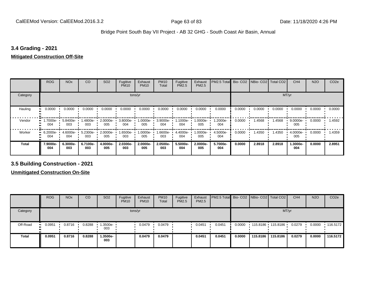### **3.4 Grading - 2021**

#### **Mitigated Construction Off-Site**

|                     | <b>ROG</b>      | <b>NO<sub>x</sub></b> | CO              | SO <sub>2</sub> | Fugitive<br><b>PM10</b> | Exhaust<br><b>PM10</b> | <b>PM10</b><br>Total | Fugitive<br>PM2.5 | Exhaust<br>PM2.5 | PM2.5 Total     |        | Bio- CO2 NBio- CO2 Total CO2 |        | CH <sub>4</sub> | <b>N2O</b> | CO <sub>2e</sub> |
|---------------------|-----------------|-----------------------|-----------------|-----------------|-------------------------|------------------------|----------------------|-------------------|------------------|-----------------|--------|------------------------------|--------|-----------------|------------|------------------|
| Category            |                 |                       |                 |                 | tons/yr                 |                        |                      |                   |                  |                 |        |                              | MT/yr  |                 |            |                  |
| Hauling<br>81       | 0.0000          | 0.0000                | 0.0000          | 0.0000          | 0.0000                  | 0.0000                 | 0.0000               | 0.0000            | 0.0000           | 0.0000          | 0.0000 | 0.0000                       | 0.0000 | 0.0000          | 0.0000     | 0.0000           |
| Vendor              | 1.7000e-<br>004 | 5.8400e-<br>003       | 1.4800e-<br>003 | 2.0000e-<br>005 | 3.8000e-<br>004         | 1.0000e-<br>005        | 3.9000e-<br>004      | -.1000e<br>004    | $.0000e-$<br>005 | 1.2000e-<br>004 | 0.0000 | 1.4568                       | 1.4568 | 9.0000e-<br>005 | 0.0000     | 1.4592           |
| Worker<br>$\bullet$ | 6.2000e-<br>004 | $4.6000e -$<br>004    | 5.2300e-<br>003 | 2.0000e-<br>005 | 1.6500e- L<br>003       | 1.0000e-<br>005        | 1.6600e-<br>003      | 4.4000e-<br>004   | $.0000e-$<br>005 | 4.5000e-<br>004 | 0.0000 | 1.4350                       | 1.4350 | 4.0000e-<br>005 | 0.0000     | 1.4359           |
| <b>Total</b>        | 7.9000e-<br>004 | 6.3000e-<br>003       | 6.7100e-<br>003 | 4.0000e-<br>005 | 2.0300e-<br>003         | 2.0000e-<br>005        | 2.0500e-<br>003      | 5.5000e-<br>004   | 2.0000e-<br>005  | 5.7000e-<br>004 | 0.0000 | 2.8918                       | 2.8918 | 1.3000e-<br>004 | 0.0000     | 2.8951           |

**3.5 Building Construction - 2021**

**Unmitigated Construction On-Site**

|              | <b>ROG</b>    | <b>NO<sub>x</sub></b> | CO     | SO <sub>2</sub> | Fugitive<br><b>PM10</b> | Exhaust<br><b>PM10</b> | <b>PM10</b><br>Total | Fugitive<br><b>PM2.5</b> | Exhaust<br>PM2.5 | <b>PM2.5 Total</b> Bio- CO2 NBio- CO2   Total CO2 |        |                   |          | CH <sub>4</sub> | <b>N2O</b> | CO <sub>2</sub> e |
|--------------|---------------|-----------------------|--------|-----------------|-------------------------|------------------------|----------------------|--------------------------|------------------|---------------------------------------------------|--------|-------------------|----------|-----------------|------------|-------------------|
| Category     |               |                       |        |                 | tons/yr                 |                        |                      |                          |                  |                                                   |        |                   | MT/yr    |                 |            |                   |
| Off-Road     | 0.0951<br>. . | 0.8716                | 0.8288 | 1.3500e-<br>003 |                         | 0.0479                 | 0.0479               |                          | 0.0451           | 0.0451                                            | 0.0000 | 115.8186 115.8186 |          | 0.0279          | 0.0000     | $\cdot$ 116.5172  |
| <b>Total</b> | 0.0951        | 0.8716                | 0.8288 | 1.3500e-<br>003 |                         | 0.0479                 | 0.0479               |                          | 0.0451           | 0.0451                                            | 0.0000 | 115,8186          | 115,8186 | 0.0279          | 0.0000     | 116.5172          |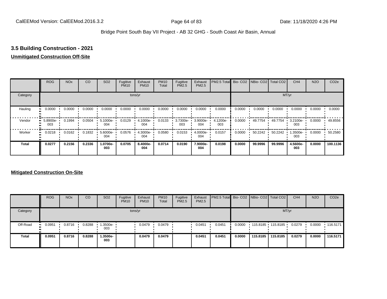## **3.5 Building Construction - 2021**

#### **Unmitigated Construction Off-Site**

|          | <b>ROG</b>      | <b>NO<sub>x</sub></b> | CO     | SO <sub>2</sub> | Fugitive<br><b>PM10</b> | Exhaust<br><b>PM10</b> | <b>PM10</b><br>Total | Fugitive<br><b>PM2.5</b> | Exhaust<br>PM2.5 | PM2.5 Total Bio- CO2 NBio- CO2 Total CO2 |        |         |         | CH <sub>4</sub> | <b>N2O</b> | CO <sub>2e</sub> |
|----------|-----------------|-----------------------|--------|-----------------|-------------------------|------------------------|----------------------|--------------------------|------------------|------------------------------------------|--------|---------|---------|-----------------|------------|------------------|
| Category |                 |                       |        |                 |                         | tons/yr                |                      |                          |                  |                                          |        |         |         | MT/yr           |            |                  |
| Hauling  | 0.0000          | 0.0000                | 0.0000 | 0.0000          | 0.0000                  | 0.0000                 | 0.0000               | 0.0000                   | 0.0000           | 0.0000                                   | 0.0000 | 0.0000  | 0.0000  | 0.0000          | 0.0000     | 0.0000           |
| Vendor   | 5.8900e-<br>003 | 0.1994                | 0.0504 | 5.1000e-<br>004 | 0.0129                  | 4.1000e-<br>004        | 0.0133               | 3.7300e-<br>003          | 3.9000e-<br>004  | 4.1200e-<br>003                          | 0.0000 | 49.7754 | 49.7754 | 3.2100e-<br>003 | 0.0000     | 49.8556          |
| Worker   | 0.0218          | 0.0162                | 0.1832 | 5.6000e-<br>004 | 0.0576                  | 4.3000e-<br>004        | 0.0580               | 0.0153                   | 4.0000e-<br>004  | 0.0157                                   | 0.0000 | 50.2242 | 50.2242 | 1.3500e-<br>003 | 0.0000     | 50.2580          |
| Total    | 0.0277          | 0.2156                | 0.2336 | 1.0700e-<br>003 | 0.0705                  | 8.4000e-<br>004        | 0.0714               | 0.0190                   | 7.9000e-<br>004  | 0.0198                                   | 0.0000 | 99.9996 | 99.9996 | 4.5600e-<br>003 | 0.0000     | 100.1136         |

### **Mitigated Construction On-Site**

|              | <b>ROG</b>    | <b>NO<sub>x</sub></b> | CO     | SO <sub>2</sub>   | Fugitive<br><b>PM10</b> | Exhaust<br><b>PM10</b> | <b>PM10</b><br>Total | Fugitive<br><b>PM2.5</b> | Exhaust<br><b>PM2.5</b> | <b>PM2.5 Total</b> Bio- CO2 NBio- CO2 Total CO2 |        |          |                   | CH <sub>4</sub> | <b>N2O</b> | CO <sub>2e</sub> |
|--------------|---------------|-----------------------|--------|-------------------|-------------------------|------------------------|----------------------|--------------------------|-------------------------|-------------------------------------------------|--------|----------|-------------------|-----------------|------------|------------------|
| Category     |               |                       |        |                   |                         | tons/yr                |                      |                          |                         |                                                 |        |          |                   | MT/yr           |            |                  |
| Off-Road     | 0.0951<br>. . | 0.8716                | 0.8288 | 1.3500e- '<br>003 |                         | 0.0479                 | 0.0479               |                          | 0.0451                  | 0.0451                                          | 0.0000 |          | 115.8185 115.8185 | 0.0279          | 0.0000     | $+116.5171$      |
| <b>Total</b> | 0.0951        | 0.8716                | 0.8288 | .3500e-<br>003    |                         | 0.0479                 | 0.0479               |                          | 0.0451                  | 0.0451                                          | 0.0000 | 115,8185 | 115,8185          | 0.0279          | 0.0000     | 116.5171         |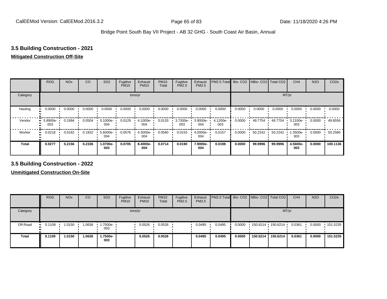### **3.5 Building Construction - 2021**

#### **Mitigated Construction Off-Site**

|              | <b>ROG</b>      | <b>NO<sub>x</sub></b> | CO     | SO <sub>2</sub> | Fugitive<br><b>PM10</b> | Exhaust<br><b>PM10</b> | <b>PM10</b><br>Total | Fugitive<br><b>PM2.5</b> | Exhaust<br>PM2.5 | PM2.5 Total Bio- CO2 NBio- CO2 Total CO2 |        |         |         | CH <sub>4</sub> | <b>N2O</b> | CO <sub>2e</sub> |
|--------------|-----------------|-----------------------|--------|-----------------|-------------------------|------------------------|----------------------|--------------------------|------------------|------------------------------------------|--------|---------|---------|-----------------|------------|------------------|
| Category     |                 |                       |        |                 |                         | tons/yr                |                      |                          |                  |                                          |        |         |         | MT/yr           |            |                  |
| Hauling      | 0.0000          | 0.0000                | 0.0000 | 0.0000          | 0.0000                  | 0.0000                 | 0.0000               | 0.0000                   | 0.0000           | 0.0000                                   | 0.0000 | 0.0000  | 0.0000  | 0.0000          | 0.0000     | 0.0000           |
| Vendor       | 5.8900e-<br>003 | 0.1994                | 0.0504 | 5.1000e-<br>004 | 0.0129                  | 4.1000e-<br>004        | 0.0133               | 3.7300e-<br>003          | 3.9000e-<br>004  | 4.1200e-<br>003                          | 0.0000 | 49.7754 | 49.7754 | 3.2100e-<br>003 | 0.0000     | 49.8556          |
| Worker       | 0.0218          | 0.0162                | 0.1832 | 5.6000e-<br>004 | 0.0576                  | 4.3000e-<br>004        | 0.0580               | 0.0153                   | 4.0000e-<br>004  | 0.0157                                   | 0.0000 | 50.2242 | 50.2242 | .3500e-<br>003  | 0.0000     | 50.2580          |
| <b>Total</b> | 0.0277          | 0.2156                | 0.2336 | 1.0700e-<br>003 | 0.0705                  | 8.4000e-<br>004        | 0.0714               | 0.0190                   | 7.9000e-<br>004  | 0.0198                                   | 0.0000 | 99.9996 | 99.9996 | 4.5600e-<br>003 | 0.0000     | 100.1136         |

**3.5 Building Construction - 2022**

**Unmitigated Construction On-Site**

|              | <b>ROG</b>   | <b>NO<sub>x</sub></b> | CO     | SO <sub>2</sub> | Fugitive<br><b>PM10</b> | Exhaust<br><b>PM10</b> | <b>PM10</b><br>Total | Fugitive<br><b>PM2.5</b> | Exhaust<br><b>PM2.5</b> | <b>PM2.5 Total</b> Bio- CO2 NBio- CO2 Total CO2 |        |          |                   | CH <sub>4</sub> | <b>N2O</b> | CO <sub>2e</sub> |
|--------------|--------------|-----------------------|--------|-----------------|-------------------------|------------------------|----------------------|--------------------------|-------------------------|-------------------------------------------------|--------|----------|-------------------|-----------------|------------|------------------|
| Category     |              |                       |        |                 |                         | tons/yr                |                      |                          |                         |                                                 |        |          | MT/yr             |                 |            |                  |
| Off-Road     | 0.1109<br>ш. | 1.0150                | 1.0636 | 1.7500e-<br>003 |                         | 0.0526                 | 0.0526               |                          | 0.0495                  | 0.0495                                          | 0.0000 |          | 150.6214 150.6214 | 0.0361          | 0.0000     | 151.5235         |
| <b>Total</b> | 0.1109       | 1.0150                | 1.0636 | .7500e-<br>003  |                         | 0.0526                 | 0.0526               |                          | 0.0495                  | 0.0495                                          | 0.0000 | 150.6214 | 150.6214          | 0.0361          | 0.0000     | 151.5235         |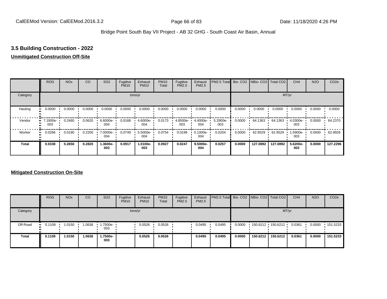# **3.5 Building Construction - 2022**

#### **Unmitigated Construction Off-Site**

|              | <b>ROG</b>      | <b>NO<sub>x</sub></b> | CO     | SO <sub>2</sub> | Fugitive<br><b>PM10</b> | Exhaust<br><b>PM10</b> | <b>PM10</b><br>Total | Fugitive<br><b>PM2.5</b> | Exhaust<br>PM2.5 | PM2.5 Total Bio- CO2 NBio- CO2 Total CO2 |        |          |          | CH <sub>4</sub> | <b>N2O</b> | CO <sub>2e</sub> |
|--------------|-----------------|-----------------------|--------|-----------------|-------------------------|------------------------|----------------------|--------------------------|------------------|------------------------------------------|--------|----------|----------|-----------------|------------|------------------|
| Category     |                 |                       |        |                 |                         | tons/yr                |                      |                          |                  |                                          |        |          |          | MT/yr           |            |                  |
| Hauling      | 0.0000          | 0.0000                | 0.0000 | 0.0000          | 0.0000                  | 0.0000                 | 0.0000               | 0.0000                   | 0.0000           | 0.0000                                   | 0.0000 | 0.0000   | 0.0000   | 0.0000          | 0.0000     | 0.0000           |
| Vendor       | 7.1900e-<br>003 | 0.2460                | 0.0620 | 6.6000e-<br>004 | 0.0168                  | 4.6000e-<br>004        | 0.0173               | 4.8500e-<br>003          | 4.4000e-<br>004  | 5.2900e-<br>003                          | 0.0000 | 64.1363  | 64.1363  | 4.0300e-<br>003 | 0.0000     | 64.2370          |
| Worker       | 0.0266          | 0.0190                | 0.2200 | 7.0000e-<br>004 | 0.0749                  | 5.5000e-<br>004        | 0.0754               | 0.0199                   | 5.1000e-<br>004  | 0.0204                                   | 0.0000 | 62.9529  | 62.9529  | 1.5900e-<br>003 | 0.0000     | 62.9926          |
| <b>Total</b> | 0.0338          | 0.2650                | 0.2820 | 1.3600e-<br>003 | 0.0917                  | 1.0100e-<br>003        | 0.0927               | 0.0247                   | 9.5000e-<br>004  | 0.0257                                   | 0.0000 | 127.0892 | 127.0892 | 5.6200e-<br>003 | 0.0000     | 127.2296         |

### **Mitigated Construction On-Site**

|              | <b>ROG</b>            | <b>NO<sub>x</sub></b> | CO     | SO <sub>2</sub>   | Fugitive<br><b>PM10</b> | Exhaust<br><b>PM10</b> | <b>PM10</b><br>Total | Fugitive<br><b>PM2.5</b> | Exhaust<br><b>PM2.5</b> | <b>PM2.5 Total</b> Bio- CO2 NBio- CO2 Total CO2 |        |          |                     | CH <sub>4</sub> | <b>N2O</b> | CO <sub>2e</sub> |
|--------------|-----------------------|-----------------------|--------|-------------------|-------------------------|------------------------|----------------------|--------------------------|-------------------------|-------------------------------------------------|--------|----------|---------------------|-----------------|------------|------------------|
| Category     |                       |                       |        |                   |                         | tons/yr                |                      |                          |                         |                                                 |        |          |                     | MT/yr           |            |                  |
| Off-Road     | $\blacksquare$ 0.1109 | 1.0150                | 1.0636 | 1.7500e- 1<br>003 |                         | 0.0526                 | 0.0526               |                          | 0.0495                  | 0.0495                                          | 0.0000 |          | $150.6212$ 150.6212 | 0.0361          | 0.0000     | $\cdot$ 151.5233 |
| <b>Total</b> | 0.1109                | 1.0150                | 1.0636 | 1.7500e-<br>003   |                         | 0.0526                 | 0.0526               |                          | 0.0495                  | 0.0495                                          | 0.0000 | 150.6212 | 150.6212            | 0.0361          | 0.0000     | 151.5233         |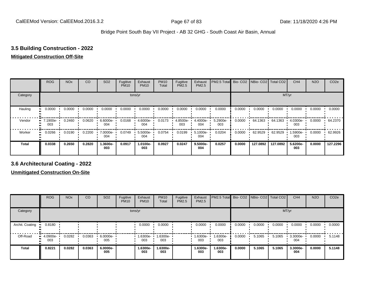### **3.5 Building Construction - 2022**

#### **Mitigated Construction Off-Site**

|                           | <b>ROG</b>      | <b>NO<sub>x</sub></b> | CO     | SO <sub>2</sub> | Fugitive<br><b>PM10</b> | Exhaust<br><b>PM10</b> | <b>PM10</b><br>Total | Fugitive<br><b>PM2.5</b> | Exhaust<br>PM2.5 | PM2.5 Total Bio- CO2 NBio- CO2 Total CO2 |        |          |          | CH <sub>4</sub> | <b>N2O</b> | CO <sub>2e</sub> |
|---------------------------|-----------------|-----------------------|--------|-----------------|-------------------------|------------------------|----------------------|--------------------------|------------------|------------------------------------------|--------|----------|----------|-----------------|------------|------------------|
| Category                  |                 |                       |        |                 |                         | tons/yr                |                      |                          |                  |                                          |        |          | MT/yr    |                 |            |                  |
| Hauling<br>$\blacksquare$ | 0.0000          | 0.0000                | 0.0000 | 0.0000          | 0.0000                  | 0.0000                 | 0.0000               | 0.0000                   | 0.0000           | 0.0000                                   | 0.0000 | 0.0000   | 0.0000   | 0.0000          | 0.0000     | 0.0000           |
| Vendor                    | 7.1900e-<br>003 | 0.2460                | 0.0620 | 6.6000e-<br>004 | 0.0168                  | 4.6000e-<br>004        | 0.0173               | 4.8500e-<br>003          | 4.4000e-<br>004  | 5.2900e-<br>003                          | 0.0000 | 64.1363  | 64.1363  | 4.0300e-<br>003 | 0.0000     | 64.2370          |
| Worker<br>$\bullet$       | 0.0266          | 0.0190                | 0.2200 | 7.0000e-<br>004 | 0.0749                  | 5.5000e-<br>004        | 0.0754               | 0.0199                   | 5.1000e-<br>004  | 0.0204                                   | 0.0000 | 62.9529  | 62.9529  | 1.5900e-<br>003 | 0.0000     | 62.9926          |
| <b>Total</b>              | 0.0338          | 0.2650                | 0.2820 | -.3600e<br>003  | 0.0917                  | 1.0100e-<br>003        | 0.0927               | 0.0247                   | 9.5000e-<br>004  | 0.0257                                   | 0.0000 | 127.0892 | 127.0892 | 5.6200e-<br>003 | 0.0000     | 127.2296         |

**3.6 Architectural Coating - 2022**

**Unmitigated Construction On-Site**

|                         | <b>ROG</b>             | <b>NO<sub>x</sub></b> | CO     | SO <sub>2</sub> | Fugitive<br><b>PM10</b> | Exhaust<br><b>PM10</b> | <b>PM10</b><br>Total | Fugitive<br><b>PM2.5</b> | Exhaust<br><b>PM2.5</b> | PM2.5 Total Bio- CO2 NBio- CO2 |        |        | Total CO <sub>2</sub> | CH <sub>4</sub> | <b>N2O</b> | CO <sub>2e</sub> |
|-------------------------|------------------------|-----------------------|--------|-----------------|-------------------------|------------------------|----------------------|--------------------------|-------------------------|--------------------------------|--------|--------|-----------------------|-----------------|------------|------------------|
| Category                |                        |                       |        |                 |                         | tons/yr                |                      |                          |                         |                                |        |        | MT/yr                 |                 |            |                  |
| Archit. Coating<br>- 11 | 0.8180                 |                       |        |                 |                         | 0.0000                 | 0.0000               |                          | 0.0000                  | 0.0000                         | 0.0000 | 0.0000 | 0.0000                | 0.0000          | 0.0000     | 0.0000           |
| Off-Road                | 4.0900e-<br>. .<br>003 | 0.0282                | 0.0363 | 6.0000e-<br>005 |                         | 1.6300e-<br>003        | 1.6300e-<br>003      |                          | -.6300e<br>003          | 1.6300e-<br>003                | 0.0000 | 5.1065 | 5.1065                | 3.3000e-<br>004 | 0.0000     | 5.1148           |
| <b>Total</b>            | 0.8221                 | 0.0282                | 0.0363 | 6.0000e-<br>005 |                         | 1.6300e-<br>003        | 1.6300e-<br>003      |                          | 1.6300e-<br>003         | 1.6300e-<br>003                | 0.0000 | 5.1065 | 5.1065                | 3.3000e-<br>004 | 0.0000     | 5.1148           |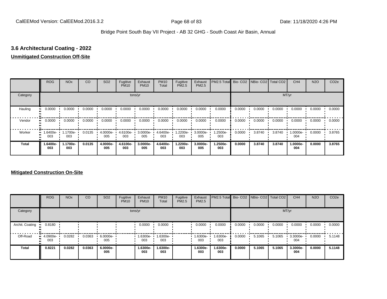# **3.6 Architectural Coating - 2022**

#### **Unmitigated Construction Off-Site**

|              | <b>ROG</b>      | <b>NO<sub>x</sub></b> | CO     | SO <sub>2</sub> | Fugitive<br><b>PM10</b> | Exhaust<br><b>PM10</b> | <b>PM10</b><br>Total | Fugitive<br><b>PM2.5</b> | Exhaust<br>PM2.5 | PM2.5 Total Bio- CO2 NBio- CO2 Total CO2 |        |        |        | CH <sub>4</sub> | <b>N2O</b> | CO <sub>2e</sub> |
|--------------|-----------------|-----------------------|--------|-----------------|-------------------------|------------------------|----------------------|--------------------------|------------------|------------------------------------------|--------|--------|--------|-----------------|------------|------------------|
| Category     |                 |                       |        |                 |                         | tons/yr                |                      |                          |                  |                                          |        |        |        | MT/yr           |            |                  |
| Hauling      | 0.0000          | 0.0000                | 0.0000 | 0.0000          | 0.0000                  | 0.0000                 | 0.0000               | 0.0000                   | 0.0000           | 0.0000                                   | 0.0000 | 0.0000 | 0.0000 | 0.0000          | 0.0000     | 0.0000           |
| Vendor       | 0.0000          | 0.0000                | 0.0000 | 0.0000          | 0.0000                  | 0.0000                 | 0.0000               | 0.0000                   | 0.0000           | 0.0000                                   | 0.0000 | 0.0000 | 0.0000 | 0.0000          | 0.0000     | 0.0000           |
| Worker       | 1.6400e-<br>003 | 1.1700e-<br>003       | 0.0135 | 4.0000e-<br>005 | 4.6100e-<br>003         | 3.0000e-<br>005        | 4.6400e-<br>003      | 1.2200e-<br>003          | 3.0000e-<br>005  | 1.2500e-<br>003                          | 0.0000 | 3.8740 | 3.8740 | 1.0000e-<br>004 | 0.0000     | 3.8765           |
| <b>Total</b> | 1.6400e-<br>003 | 1.1700e-<br>003       | 0.0135 | 4.0000e-<br>005 | 4.6100e-<br>003         | 3.0000e-<br>005        | 4.6400e-<br>003      | 1.2200e-<br>003          | 3.0000e-<br>005  | 1.2500e-<br>003                          | 0.0000 | 3.8740 | 3.8740 | 1.0000e-<br>004 | 0.0000     | 3.8765           |

### **Mitigated Construction On-Site**

|                 | <b>ROG</b>         | <b>NO<sub>x</sub></b> | CO     | SO <sub>2</sub>    | Fugitive<br><b>PM10</b> | Exhaust<br><b>PM10</b> | <b>PM10</b><br>Total | Fugitive<br>PM2.5 | Exhaust<br><b>PM2.5</b> | PM2.5 Total Bio- CO2 NBio- CO2 Total CO2 |        |        |        | CH <sub>4</sub> | <b>N2O</b> | CO <sub>2e</sub> |
|-----------------|--------------------|-----------------------|--------|--------------------|-------------------------|------------------------|----------------------|-------------------|-------------------------|------------------------------------------|--------|--------|--------|-----------------|------------|------------------|
| Category        |                    |                       |        |                    |                         | tons/yr                |                      |                   |                         |                                          |        |        |        | MT/yr           |            |                  |
| Archit. Coating | 0.8180             |                       |        |                    |                         | 0.0000                 | 0.0000               |                   | 0.0000                  | 0.0000                                   | 0.0000 | 0.0000 | 0.0000 | 0.0000          | 0.0000     | 0.0000           |
| Off-Road        | $-4.0900e-$<br>003 | 0.0282                | 0.0363 | $6.0000e -$<br>005 |                         | 1.6300e-<br>003        | 1.6300e-<br>003      |                   | 1.6300e-<br>003         | -6300e-<br>003                           | 0.0000 | 5.1065 | 5.1065 | 3.3000e-<br>004 | 0.0000     | 5.1148           |
| Total           | 0.8221             | 0.0282                | 0.0363 | 6.0000e-<br>005    |                         | 1.6300e-<br>003        | 1.6300e-<br>003      |                   | 1.6300e-<br>003         | 1.6300e-<br>003                          | 0.0000 | 5.1065 | 5.1065 | 3.3000e-<br>004 | 0.0000     | 5.1148           |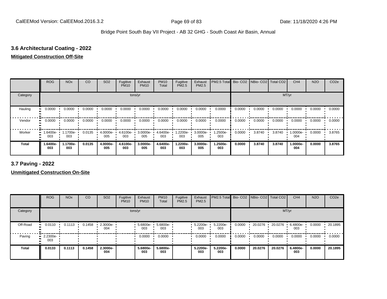# **3.6 Architectural Coating - 2022**

#### **Mitigated Construction Off-Site**

|              | <b>ROG</b>            | <b>NO<sub>x</sub></b> | CO     | SO <sub>2</sub>    | Fugitive<br><b>PM10</b> | Exhaust<br><b>PM10</b> | <b>PM10</b><br>Total | Fugitive<br><b>PM2.5</b> | Exhaust<br>PM2.5 | PM2.5 Total Bio- CO2 NBio- CO2 Total CO2 |        |        |        | CH <sub>4</sub> | <b>N2O</b> | CO <sub>2e</sub> |  |
|--------------|-----------------------|-----------------------|--------|--------------------|-------------------------|------------------------|----------------------|--------------------------|------------------|------------------------------------------|--------|--------|--------|-----------------|------------|------------------|--|
| Category     | tons/yr               |                       |        |                    |                         |                        |                      |                          |                  |                                          | MT/yr  |        |        |                 |            |                  |  |
| Hauling      | 0.0000                | 0.0000                | 0.0000 | 0.0000             | 0.0000                  | 0.0000                 | 0.0000               | 0.0000                   | 0.0000           | 0.0000                                   | 0.0000 | 0.0000 | 0.0000 | 0.0000          | 0.0000     | 0.0000           |  |
| Vendor       | 0.0000<br>. .         | 0.0000                | 0.0000 | 0.0000             | 0.0000                  | 0.0000                 | 0.0000               | 0.0000                   | 0.0000           | 0.0000                                   | 0.0000 | 0.0000 | 0.0000 | 0.0000          | 0.0000     | 0.0000           |  |
| Worker       | 1.6400e-<br>ш.<br>003 | 1.1700e-<br>003       | 0.0135 | $4.0000e -$<br>005 | 4.6100e-<br>003         | 3.0000e-<br>005        | 4.6400e-<br>003      | 1.2200e-<br>003          | 3.0000e-<br>005  | 1.2500e-<br>003                          | 0.0000 | 3.8740 | 3.8740 | 1.0000e-<br>004 | 0.0000     | 3.8765           |  |
| <b>Total</b> | 1.6400e-<br>003       | 1.1700e-<br>003       | 0.0135 | 4.0000e-<br>005    | 4.6100e-<br>003         | 3.0000e-<br>005        | 4.6400e-<br>003      | 1.2200e-<br>003          | 3.0000e-<br>005  | 1.2500e-<br>003                          | 0.0000 | 3.8740 | 3.8740 | 1.0000e-<br>004 | 0.0000     | 3.8765           |  |

**3.7 Paving - 2022**

**Unmitigated Construction On-Site**

|              | <b>ROG</b>                     | <b>NO<sub>x</sub></b> | CO     | SO <sub>2</sub> | Fugitive<br><b>PM10</b> | Exhaust<br><b>PM10</b> | <b>PM10</b><br>Total | Fugitive<br>PM2.5 | Exhaust<br><b>PM2.5</b> | PM2.5 Total Bio- CO2 NBio- CO2 Total CO2 |        |         |         | CH <sub>4</sub> | <b>N2O</b> | CO <sub>2e</sub> |  |
|--------------|--------------------------------|-----------------------|--------|-----------------|-------------------------|------------------------|----------------------|-------------------|-------------------------|------------------------------------------|--------|---------|---------|-----------------|------------|------------------|--|
| Category     | tons/yr                        |                       |        |                 |                         |                        |                      |                   |                         |                                          | MT/yr  |         |         |                 |            |                  |  |
| Off-Road     | 0.0110                         | 0.1113                | 0.1458 | 2.3000e-<br>004 |                         | $5.6800e -$<br>003     | 5.6800e-<br>003      |                   | 5.2200e-<br>003         | 5.2200e-<br>003                          | 0.0000 | 20.0276 | 20.0276 | 6.4800e-<br>003 | 0.0000     | 20.1895          |  |
| Paving       | $\blacksquare$ 2.2300e-<br>003 |                       |        |                 |                         | 0.0000                 | 0.0000               |                   | 0.0000                  | 0.0000                                   | 0.0000 | 0.0000  | 0.0000  | 0.0000          | 0.0000     | 0.0000           |  |
| <b>Total</b> | 0.0133                         | 0.1113                | 0.1458 | 2.3000e-<br>004 |                         | 5.6800e-<br>003        | 5.6800e-<br>003      |                   | 5.2200e-<br>003         | 5.2200e-<br>003                          | 0.0000 | 20.0276 | 20.0276 | 6.4800e-<br>003 | 0.0000     | 20.1895          |  |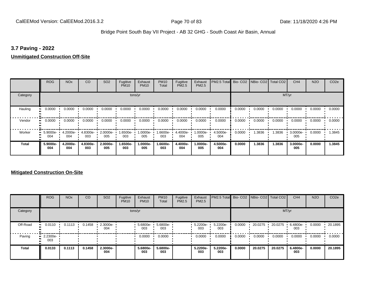### **3.7 Paving - 2022**

#### **Unmitigated Construction Off-Site**

|              | <b>ROG</b>      | <b>NO<sub>x</sub></b> | CO              | SO <sub>2</sub> | Fugitive<br><b>PM10</b> | Exhaust<br><b>PM10</b> | <b>PM10</b><br>Total | Fugitive<br>PM2.5 | Exhaust<br><b>PM2.5</b> | PM2.5 Total Bio- CO2 NBio- CO2 Total CO2 |        |        |        | CH <sub>4</sub> | <b>N2O</b> | CO <sub>2e</sub> |  |
|--------------|-----------------|-----------------------|-----------------|-----------------|-------------------------|------------------------|----------------------|-------------------|-------------------------|------------------------------------------|--------|--------|--------|-----------------|------------|------------------|--|
| Category     | tons/yr         |                       |                 |                 |                         |                        |                      |                   |                         |                                          | MT/yr  |        |        |                 |            |                  |  |
| Hauling      | 0.0000          | 0.0000                | 0.0000          | 0.0000          | 0.0000                  | 0.0000                 | 0.0000               | 0.0000            | 0.0000                  | 0.0000                                   | 0.0000 | 0.0000 | 0.0000 | 0.0000          | 0.0000     | 0.0000           |  |
| Vendor<br>œ  | 0.0000          | 0.0000                | 0.0000          | 0.0000          | 0.0000                  | 0.0000                 | 0.0000               | 0.0000            | 0.0000                  | 0.0000                                   | 0.0000 | 0.0000 | 0.0000 | 0.0000          | 0.0000     | 0.0000           |  |
| Worker       | 5.9000e-<br>004 | 4.2000e-<br>004       | 4.8300e-<br>003 | 2.0000e-<br>005 | 1.6500e-<br>003         | 1.0000e-<br>005        | 1.6600e-<br>003      | 4.4000e-<br>004   | -.0000e<br>005          | 4.5000e-<br>004                          | 0.0000 | 1.3836 | 1.3836 | 3.0000e-<br>005 | 0.0000     | 1.3845           |  |
| <b>Total</b> | 5.9000e-<br>004 | 4.2000e-<br>004       | 4.8300e-<br>003 | 2.0000e-<br>005 | 1.6500e-<br>003         | 1.0000e-<br>005        | 1.6600e-<br>003      | 4.4000e-<br>004   | 1.0000e-<br>005         | 4.5000e-<br>004                          | 0.0000 | 1.3836 | 1.3836 | 3.0000e-<br>005 | 0.0000     | 1.3845           |  |

### **Mitigated Construction On-Site**

|              | <b>ROG</b>                     | <b>NO<sub>x</sub></b> | CO     | SO <sub>2</sub> | Fugitive<br><b>PM10</b> | Exhaust<br><b>PM10</b> | <b>PM10</b><br>Total | Fugitive<br>PM2.5 | Exhaust<br>PM2.5 | PM2.5 Total Bio- CO2 NBio- CO2 Total CO2 |        |         |         | CH <sub>4</sub> | <b>N2O</b> | CO <sub>2e</sub> |  |
|--------------|--------------------------------|-----------------------|--------|-----------------|-------------------------|------------------------|----------------------|-------------------|------------------|------------------------------------------|--------|---------|---------|-----------------|------------|------------------|--|
| Category     | tons/yr                        |                       |        |                 |                         |                        |                      |                   |                  |                                          | MT/yr  |         |         |                 |            |                  |  |
| Off-Road     | 0.0110<br>                     | 0.1113                | 0.1458 | 2.3000e-<br>004 |                         | 5.6800e-<br>003        | 5.6800e-<br>003      |                   | 5.2200e-<br>003  | 5.2200e-<br>003                          | 0.0000 | 20.0275 | 20.0275 | 6.4800e-<br>003 | 0.0000     | 20.1895          |  |
| Paving       | $\blacksquare$ 2.2300e-<br>003 |                       |        |                 |                         | 0.0000                 | 0.0000               |                   | 0.0000           | 0.0000                                   | 0.0000 | 0.0000  | 0.0000  | 0.0000          | 0.0000     | 0.0000           |  |
| <b>Total</b> | 0.0133                         | 0.1113                | 0.1458 | 2.3000e-<br>004 |                         | 5.6800e-<br>003        | 5.6800e-<br>003      |                   | 5.2200e-<br>003  | 5.2200e-<br>003                          | 0.0000 | 20.0275 | 20.0275 | 6.4800e-<br>003 | 0.0000     | 20.1895          |  |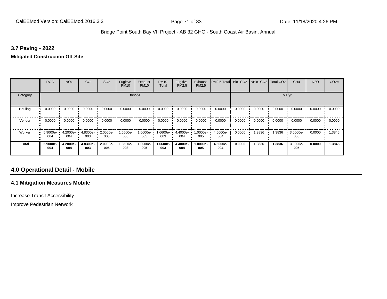### **3.7 Paving - 2022**

#### **Mitigated Construction Off-Site**

|                           | <b>ROG</b>      | <b>NO<sub>x</sub></b> | CO              | SO <sub>2</sub> | Fugitive<br><b>PM10</b> | Exhaust<br><b>PM10</b> | <b>PM10</b><br>Total | Fugitive<br><b>PM2.5</b> | Exhaust<br>PM2.5 | PM2.5 Total Bio- CO2 NBio- CO2 Total CO2 |        |        |        | CH <sub>4</sub> | <b>N2O</b> | CO <sub>2e</sub> |  |
|---------------------------|-----------------|-----------------------|-----------------|-----------------|-------------------------|------------------------|----------------------|--------------------------|------------------|------------------------------------------|--------|--------|--------|-----------------|------------|------------------|--|
| Category                  | tons/yr         |                       |                 |                 |                         |                        |                      |                          |                  |                                          | MT/yr  |        |        |                 |            |                  |  |
| Hauling<br>$\blacksquare$ | 0.0000          | 0.0000                | 0.0000          | 0.0000          | 0.0000                  | 0.0000                 | 0.0000               | 0.0000                   | 0.0000           | 0.0000                                   | 0.0000 | 0.0000 | 0.0000 | 0.0000          | 0.0000     | 0.0000           |  |
| Vendor                    | 0.0000          | 0.0000                | 0.0000          | 0.0000          | 0.0000                  | 0.0000                 | 0.0000               | 0.0000                   | 0.0000           | 0.0000                                   | 0.0000 | 0.0000 | 0.0000 | 0.0000          | 0.0000     | 0.0000           |  |
| Worker                    | 5.9000e-<br>004 | 4.2000e-<br>004       | 4.8300e-<br>003 | 2.0000e-<br>005 | 1.6500e-<br>003         | 1.0000e-<br>005        | 1.6600e-<br>003      | 4.4000e-<br>004          | -.0000e<br>005   | 4.5000e-<br>004                          | 0.0000 | 1.3836 | 1.3836 | 3.0000e-<br>005 | 0.0000     | 1.3845           |  |
| Total                     | 5.9000e-<br>004 | 4.2000e-<br>004       | 4.8300e-<br>003 | 2.0000e-<br>005 | 1.6500e-<br>003         | 1.0000e-<br>005        | 1.6600e-<br>003      | 4.4000e-<br>004          | -.0000e<br>005   | 4.5000e-<br>004                          | 0.0000 | 1.3836 | 1.3836 | 3.0000e-<br>005 | 0.0000     | 1.3845           |  |

# **4.0 Operational Detail - Mobile**

### **4.1 Mitigation Measures Mobile**

Increase Transit Accessibility

Improve Pedestrian Network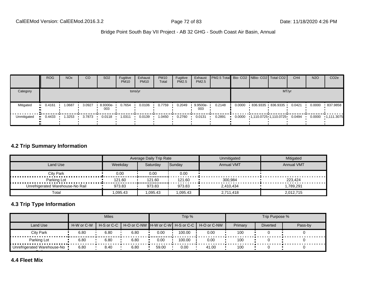|             | <b>ROG</b> | <b>NO<sub>x</sub></b> | CO     | SO <sub>2</sub> | Fugitive<br><b>PM10</b> | Exhaust<br><b>PM10</b> | <b>PM10</b><br>Total | Fugitive<br>PM2.5 | Exhaust<br>PM2.5 | <b>PM2.5 Total</b> Bio- CO2 NBio- CO2 Total CO2 |        |                   | CH <sub>4</sub> | <b>N2O</b> | CO <sub>2e</sub> |
|-------------|------------|-----------------------|--------|-----------------|-------------------------|------------------------|----------------------|-------------------|------------------|-------------------------------------------------|--------|-------------------|-----------------|------------|------------------|
| Category    |            |                       |        |                 |                         | tons/yr                |                      |                   |                  | MT/yr                                           |        |                   |                 |            |                  |
| Mitigated   | $-0.4161$  | 1.0687                | 3.0927 | 8.9300e-<br>003 | 0.7654                  | 0.0106                 | 0.7759               | 0.2049            | 9.9500e-<br>003  | 0.2148                                          | 0.0000 | 836.9335 836.9335 | 0.0421          | 0.0000     | .837.9858        |
| Unmitigated | $-0.4433$  | 1.3253                | 3.7873 | 0.0118          | 1.0311                  | 0.0139                 | 0450. ا              | 0.2760            | 0.0131           | 0.2891                                          |        |                   |                 | 0.0000     | $-1.111.3075$    |

#### **4.2 Trip Summary Information**

|                                  |         | Average Daily Trip Rate |          | Unmitigated       | Mitigated         |
|----------------------------------|---------|-------------------------|----------|-------------------|-------------------|
| Land Use                         | Weekdav | Saturdav                | Sunday   | <b>Annual VMT</b> | <b>Annual VMT</b> |
| <b>City Park</b><br>             | 0.00    | 0.00                    | 0.00     |                   |                   |
| Parking Lot<br>.                 | 121.60  | 121.60                  | 121.60   | 300,984           | 223.424           |
| Unrefrigerated Warehouse-No Rail | 973.83  | 973.83                  | 973.83   | 2.410.434         | 1,789,291         |
| Total                            | .095.43 | 0.095.43                | 0.095.43 | 2.711.418         | 2,012,715         |

# **4.3 Trip Type Information**

|                               |            | <b>Miles</b> |      |       | Trip % |                                                                |         | Trip Purpose %  |         |
|-------------------------------|------------|--------------|------|-------|--------|----------------------------------------------------------------|---------|-----------------|---------|
| Land Use                      | H-W or C-W |              |      |       |        | H-S or C-C I H-O or C-NW IH-W or C-WI H-S or C-C I H-O or C-NW | Primary | <b>Diverted</b> | Pass-by |
| City Park                     | 6.80       | 6.80         | 6.80 | 0.00  | 100.00 | 0.00                                                           | 100     |                 |         |
| Parking Lot                   | 6.80       | 6.80         | 6.80 | 0.00  | 100.00 | 0.00                                                           | 100     |                 |         |
| Unrefrigerated Warehouse-No ! | 6.80       | 8.40         | 6.80 | 59.00 | 0.00   | 41.00                                                          | 100     |                 |         |

# **4.4 Fleet Mix**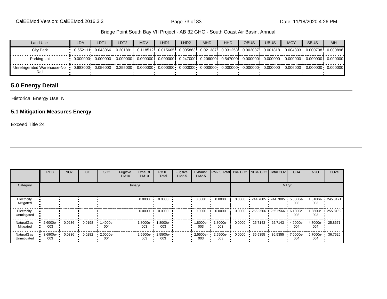| Land Use                            | <b>LDA</b>                                                                                                                                                                                                                                           | LDT <sub>1</sub> | LDT <sub>2</sub>                                                                                                                               | <b>MDV</b> | LHD1                                | LHD2 | <b>MHD</b> | <b>HHD</b> | <b>OBUS</b> | <b>UBUS</b> | <b>MCY</b> | <b>SBUS</b>                   | <b>MH</b> |
|-------------------------------------|------------------------------------------------------------------------------------------------------------------------------------------------------------------------------------------------------------------------------------------------------|------------------|------------------------------------------------------------------------------------------------------------------------------------------------|------------|-------------------------------------|------|------------|------------|-------------|-------------|------------|-------------------------------|-----------|
| City Park                           |                                                                                                                                                                                                                                                      |                  | 0.201891 i                                                                                                                                     |            | 0.118512 0.015605 0.005863 0.021387 |      |            | 0.0312531  | 0.002087i   |             |            | 0.0018181 0.0048031 0.0007081 | 0.000896  |
| Parking Lot                         |                                                                                                                                                                                                                                                      |                  | $0.000000$ $0.000000$ $0.000000$ $0.000000$ $0.000000$ $0.247000$ $0.206000$ $0.547000$ $0.000000$ $0.000000$ $0.000000$ $0.000000$ $0.000000$ |            |                                     |      |            |            |             |             |            |                               | 0.000000  |
| Unrefrigerated Warehouse-No<br>Rail | $-0.683000 - 0.056000 - 0.255000 - 0.000000 - 0.000000 - 0.000000 - 0.000000 - 0.000000 - 0.000000 - 0.000000 - 0.000000 - 0.000000 - 0.000000 - 0.000000 - 0.000000 - 0.000000 - 0.000000 - 0.000000 - 0.00000 - 0.00000 - 0.00000 - 0.00000 - 0.0$ |                  |                                                                                                                                                |            |                                     |      |            |            |             |             |            |                               |           |

# **5.0 Energy Detail**

Historical Energy Use: N

# **5.1 Mitigation Measures Energy**

Exceed Title 24

|                                  | <b>ROG</b>         | <b>NO<sub>x</sub></b> | CO     | SO <sub>2</sub> | Fugitive<br><b>PM10</b> | Exhaust<br><b>PM10</b> | <b>PM10</b><br>Total | Fugitive<br>PM2.5 | Exhaust<br>PM2.5 | <b>PM2.5 Total</b> Bio- CO2 NBio- CO2 Total CO2 |        |                   |          | CH <sub>4</sub>   | <b>N2O</b>      | CO <sub>2e</sub> |
|----------------------------------|--------------------|-----------------------|--------|-----------------|-------------------------|------------------------|----------------------|-------------------|------------------|-------------------------------------------------|--------|-------------------|----------|-------------------|-----------------|------------------|
| Category                         |                    |                       |        |                 |                         | tons/yr                |                      |                   |                  |                                                 |        |                   |          | MT/yr             |                 |                  |
| Electricity<br>Mitigated         |                    |                       |        |                 |                         | 0.0000                 | 0.0000               |                   | 0.0000           | 0.0000                                          | 0.0000 | 244.7805 244.7805 |          | 5.8800e-<br>003   | .3100e-<br>003  | $\cdot$ 245.3171 |
| Electricity<br>Unmitigated       |                    |                       |        |                 |                         | 0.0000                 | 0.0000               |                   | 0.0000           | 0.0000                                          | 0.0000 | 255.2566          | 255.2566 | $6.1300e-$<br>003 | .3600e-<br>003  | $-255.8162$      |
| <b>NaturalGas</b><br>Mitigated   | $-2.6000e-$<br>003 | 0.0236                | 0.0198 | 1.4000e-<br>004 |                         | 1.8000e-<br>003        | 1.8000e-<br>003      |                   | 1.8000e-<br>003  | 1.8000e-<br>003                                 | 0.0000 | 25.7143           | 25.7143  | 4.9000e-<br>004   | 4.7000e-<br>004 | 25.8671          |
| <b>NaturalGas</b><br>Unmitigated | $-3.6900e-$<br>003 | 0.0336                | 0.0282 | 2.0000e-<br>004 |                         | 2.5500e-<br>003        | 2.5500e-<br>003      |                   | 2.5500e-<br>003  | 2.5500e-<br>003                                 | 0.0000 | 36.5355           | 36.5355  | 7.0000e-<br>004   | 6.7000e-<br>004 | 36.7526          |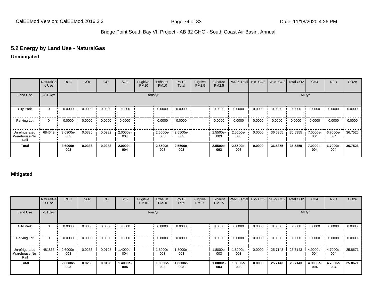# **5.2 Energy by Land Use - NaturalGas**

#### **Unmitigated**

|                                        | NaturalGa<br>s Use | <b>ROG</b>      | <b>NO<sub>x</sub></b> | CO     | SO <sub>2</sub> | Fugitive<br><b>PM10</b> | Exhaust<br><b>PM10</b> | <b>PM10</b><br>Total | Fugitive<br>PM2.5 | Exhaust<br>PM2.5 | PM2.5 Total Bio- CO2 NBio- CO2 Total CO2 |        |         |         | CH <sub>4</sub> | <b>N2O</b>      | CO <sub>2e</sub> |
|----------------------------------------|--------------------|-----------------|-----------------------|--------|-----------------|-------------------------|------------------------|----------------------|-------------------|------------------|------------------------------------------|--------|---------|---------|-----------------|-----------------|------------------|
| Land Use                               | kBTU/yr            |                 |                       |        |                 |                         | tons/yr                |                      |                   |                  |                                          |        |         | MT/yr   |                 |                 |                  |
| <b>City Park</b>                       | $\mathbf 0$        | 0.0000          | 0.0000                | 0.0000 | 0.0000          |                         | 0.0000                 | 0.0000               |                   | 0.0000           | 0.0000                                   | 0.0000 | 0.0000  | 0.0000  | 0.0000          | 0.0000          | 0.0000           |
| Parking Lot                            | 0                  | 0.0000          | 0.0000                | 0.0000 | 0.0000          |                         | 0.0000                 | 0.0000               |                   | 0.0000           | 0.0000                                   | 0.0000 | 0.0000  | 0.0000  | 0.0000          | 0.0000          | 0.0000           |
| Unrefrigerated<br>Warehouse-No<br>Rail | 684649             | 3.6900e-<br>003 | 0.0336                | 0.0282 | 2.0000e-<br>004 |                         | 2.5500e-<br>003        | 2.5500e-<br>003      |                   | 2.5500e-<br>003  | 2.5500e-<br>003                          | 0.0000 | 36.5355 | 36.5355 | 7.0000e-<br>004 | 6.7000e-<br>004 | 36.7526          |
| <b>Total</b>                           |                    | 3.6900e-<br>003 | 0.0336                | 0.0282 | 2.0000e-<br>004 |                         | 2.5500e-<br>003        | 2.5500e-<br>003      |                   | 2.5500e-<br>003  | 2.5500e-<br>003                          | 0.0000 | 36.5355 | 36.5355 | 7.0000e-<br>004 | 6.7000e-<br>004 | 36.7526          |

|                                        | NaturalGa<br>s Use | <b>ROG</b>      | <b>NO<sub>x</sub></b> | CO     | SO <sub>2</sub> | Fugitive<br><b>PM10</b> | Exhaust<br><b>PM10</b> | <b>PM10</b><br>Total | Fugitive<br>PM2.5 | Exhaust<br>PM2.5 | PM2.5 Total Bio- CO2 NBio- CO2 Total CO2 |        |         |         | CH <sub>4</sub> | <b>N2O</b>      | CO <sub>2e</sub> |
|----------------------------------------|--------------------|-----------------|-----------------------|--------|-----------------|-------------------------|------------------------|----------------------|-------------------|------------------|------------------------------------------|--------|---------|---------|-----------------|-----------------|------------------|
| <b>Land Use</b>                        | kBTU/yr            |                 |                       |        |                 |                         | tons/yr                |                      |                   |                  |                                          |        |         |         | MT/yr           |                 |                  |
| <b>City Park</b>                       | $\mathbf 0$        | 0.0000          | 0.0000                | 0.0000 | 0.0000          |                         | 0.0000                 | 0.0000               |                   | 0.0000           | 0.0000                                   | 0.0000 | 0.0000  | 0.0000  | 0.0000          | 0.0000          | 0.0000           |
| Parking Lot                            | 0                  | 0.0000          | 0.0000                | 0.0000 | 0.0000          |                         | 0.0000                 | 0.0000               |                   | 0.0000           | 0.0000                                   | 0.0000 | 0.0000  | 0.0000  | 0.0000          | 0.0000          | 0.0000           |
| Unrefrigerated<br>Warehouse-No<br>Rail | 481868             | 2.6000e-<br>003 | 0.0236                | 0.0198 | -4000e-<br>004  |                         | 1.8000e-<br>003        | 1.8000e-<br>003      |                   | 1.8000e-<br>003  | .8000e-<br>003                           | 0.0000 | 25.7143 | 25.7143 | 4.9000e-<br>004 | 4.7000e-<br>004 | 25.8671          |
| <b>Total</b>                           |                    | 2.6000e-<br>003 | 0.0236                | 0.0198 | 1.4000e-<br>004 |                         | 1.8000e-<br>003        | 1.8000e-<br>003      |                   | 1.8000e-<br>003  | -.8000e<br>003                           | 0.0000 | 25.7143 | 25.7143 | 4.9000e-<br>004 | 4.7000e-<br>004 | 25.8671          |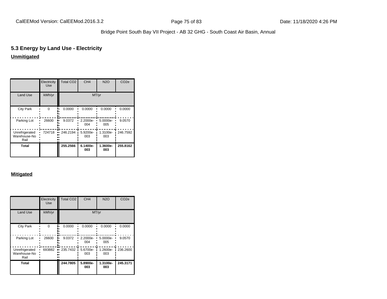# **5.3 Energy by Land Use - Electricity**

# **Unmitigated**

|                                        | Electricity<br><b>Use</b> | <b>Total CO2</b> | CH <sub>4</sub> | <b>N2O</b>      | CO <sub>2e</sub> |
|----------------------------------------|---------------------------|------------------|-----------------|-----------------|------------------|
| <b>Land Use</b>                        | kWh/yr                    |                  | MT/yr           |                 |                  |
| <b>City Park</b>                       | $\Omega$                  | 0.0000           | 0.0000          | 0.0000          | 0.0000           |
| Parking Lot                            | 26600                     | 9.0372           | 2.2000e-<br>004 | 5.0000e-<br>005 | 9.0570           |
| Unrefrigerated<br>Warehouse-No<br>Rail | 724718                    | 246.2194<br>u    | 5.9200e-<br>003 | 1.3100e-<br>003 | 246.7592         |
| Total                                  |                           | 255.2566         | 6.1400e-<br>003 | 1.3600e-<br>003 | 255.8162         |

|                                        | Electricity<br><b>Use</b> | <b>Total CO2</b> | CH <sub>4</sub> | <b>N2O</b>      | CO <sub>2e</sub> |
|----------------------------------------|---------------------------|------------------|-----------------|-----------------|------------------|
| <b>Land Use</b>                        | kWh/yr                    |                  |                 | MT/yr           |                  |
| <b>City Park</b>                       | $\Omega$                  | 0.0000           | 0.0000          | 0.0000          | 0.0000           |
| Parking Lot                            | 26600                     | 9.0372           | 2.2000e-<br>004 | 5.0000e-<br>005 | 9.0570           |
| Unrefrigerated<br>Warehouse-No<br>Rail | 693882                    | 235.7432<br>     | 5.6700e-<br>003 | 1.2600e-<br>003 | 236.2600         |
| Total                                  |                           | 244.7805         | 5.8900e-<br>003 | 1.3100e-<br>003 | 245.3171         |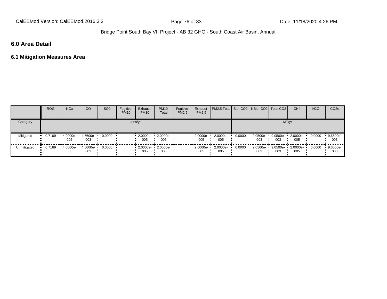# **6.0 Area Detail**

# **6.1 Mitigation Measures Area**

|                  | <b>ROG</b>   | <b>NO<sub>x</sub></b> | CO              | SO <sub>2</sub> | Fugitive<br><b>PM10</b> | Exhaust<br><b>PM10</b> | <b>PM10</b><br>Total | Fugitive<br><b>PM2.5</b> | Exhaust<br>PM2.5 | <b>PM2.5 Total Bio- CO2 NBio- CO2   Total CO2  </b> |        |                 |                 | CH <sub>4</sub> | <b>N2O</b> | CO <sub>2e</sub> |
|------------------|--------------|-----------------------|-----------------|-----------------|-------------------------|------------------------|----------------------|--------------------------|------------------|-----------------------------------------------------|--------|-----------------|-----------------|-----------------|------------|------------------|
| Category         |              |                       |                 |                 |                         | tons/yr                |                      |                          |                  |                                                     |        |                 |                 | MT/yr           |            |                  |
| Mitigated        | 0.7169<br>ш. | 4.0000e-<br>005       | 4.6600e-<br>003 | 0.0000          |                         | $2.0000e -$<br>005     | 2.0000e-<br>005      |                          | 2.0000e-<br>005  | 2.0000e-<br>005                                     | 0.0000 | 9.0500e-<br>003 | 9.0500e-<br>003 | 2.0000e-<br>005 | 0.0000     | 9.6500e-<br>003  |
| Unmitigated<br>ш | 0.7169       | 4.0000e-<br>005       | 4.6600e-<br>003 | 0.0000          |                         | $2.0000e -$<br>005     | 2.0000e-<br>005      |                          | 2.0000e-<br>005  | 2.0000e-<br>005                                     | 0.0000 | 9.0500e-<br>003 | 9.0500e-<br>003 | 2.0000e-<br>005 | 0.0000     | 9.6500e-<br>003  |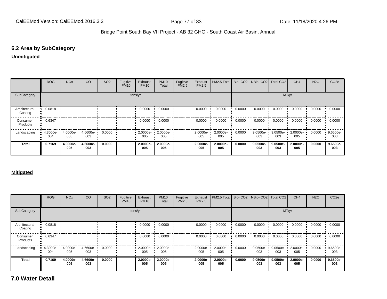# **6.2 Area by SubCategory**

#### **Unmitigated**

|                          | <b>ROG</b>      | <b>NO<sub>x</sub></b> | CO              | SO <sub>2</sub> | Fugitive<br><b>PM10</b> | Exhaust<br><b>PM10</b> | <b>PM10</b><br>Total | Fugitive<br>PM2.5 | Exhaust<br><b>PM2.5</b> | PM2.5 Total     |        | Bio- CO2 NBio- CO2 Total CO2 |                    | CH <sub>4</sub> | <b>N2O</b> | CO <sub>2</sub> e |
|--------------------------|-----------------|-----------------------|-----------------|-----------------|-------------------------|------------------------|----------------------|-------------------|-------------------------|-----------------|--------|------------------------------|--------------------|-----------------|------------|-------------------|
| SubCategory              |                 |                       |                 |                 |                         | tons/yr                |                      |                   |                         |                 |        |                              |                    | MT/yr           |            |                   |
| Architectural<br>Coating | 0.0818          |                       |                 |                 |                         | 0.0000                 | 0.0000               |                   | 0.0000                  | 0.0000          | 0.0000 | 0.0000                       | 0.0000             | 0.0000          | 0.0000     | 0.0000            |
| Consumer<br>Products     | 0.6347          |                       |                 |                 |                         | 0.0000                 | 0.0000               |                   | 0.0000                  | 0.0000          | 0.0000 | 0.0000                       | 0.0000             | 0.0000          | 0.0000     | 0.0000            |
| Landscaping              | 4.3000e-<br>004 | 4.0000e-<br>005       | 4.6600e-<br>003 | 0.0000          |                         | $2.0000e -$<br>005     | 2.0000e-<br>005      |                   | $-2.0000e-$<br>005      | 2.0000e-<br>005 | 0.0000 | 9.0500e-<br>003              | $9.0500e -$<br>003 | 2.0000e-<br>005 | 0.0000     | 9.6500e-<br>003   |
| <b>Total</b>             | 0.7169          | 4.0000e-<br>005       | 4.6600e-<br>003 | 0.0000          |                         | 2.0000e-<br>005        | 2.0000e-<br>005      |                   | 2.0000e-<br>005         | 2.0000e-<br>005 | 0.0000 | 9.0500e-<br>003              | 9.0500e-<br>003    | 2.0000e-<br>005 | 0.0000     | 9.6500e-<br>003   |

#### **Mitigated**

|                          | ROG                | <b>NO<sub>x</sub></b> | CO              | SO <sub>2</sub> | Fugitive<br><b>PM10</b> | Exhaust<br><b>PM10</b> | <b>PM10</b><br>Total       | Fugitive<br><b>PM2.5</b> | Exhaust<br><b>PM2.5</b> | <b>PM2.5 Total</b> Bio- CO2 NBio- CO2 Total CO2 |        |                   |                 | CH <sub>4</sub> | <b>N2O</b> | CO <sub>2e</sub> |
|--------------------------|--------------------|-----------------------|-----------------|-----------------|-------------------------|------------------------|----------------------------|--------------------------|-------------------------|-------------------------------------------------|--------|-------------------|-----------------|-----------------|------------|------------------|
| SubCategory              |                    |                       |                 |                 |                         | tons/yr                |                            |                          |                         |                                                 |        |                   | MT/yr           |                 |            |                  |
| Architectural<br>Coating | 0.0818             |                       |                 |                 |                         | 0.0000                 | 0.0000                     |                          | 0.0000                  | 0.0000                                          | 0.0000 | 0.0000            | 0.0000          | 0.0000          | 0.0000     | 0.0000           |
| Consumer<br>Products     | 0.6347             |                       |                 |                 |                         | 0.0000                 | 0.0000                     |                          | 0.0000                  | 0.0000                                          | 0.0000 | 0.0000            | 0.0000          | 0.0000          | 0.0000     | 0.0000           |
| Landscaping              | $4.3000e -$<br>004 | 4.0000e- ·<br>005     | 4.6600e-<br>003 | 0.0000          |                         | 005                    | 2.0000e- 1 2.0000e-<br>005 |                          | $2.0000e -$<br>005      | 2.0000e-<br>005                                 | 0.0000 | $9.0500e-$<br>003 | 9.0500e-<br>003 | 2.0000e-<br>005 | 0.0000     | 9.6500e-<br>003  |
| <b>Total</b>             | 0.7169             | 4.0000e-<br>005       | 4.6600e-<br>003 | 0.0000          |                         | 2.0000e-<br>005        | 2.0000e-<br>005            |                          | 2.0000e-<br>005         | 2.0000e-<br>005                                 | 0.0000 | 9.0500e-<br>003   | 9.0500e-<br>003 | 2.0000e-<br>005 | 0.0000     | 9.6500e-<br>003  |

**7.0 Water Detail**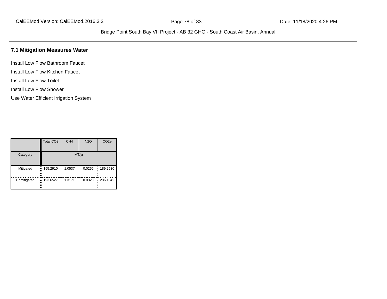# **7.1 Mitigation Measures Water**

Install Low Flow Bathroom Faucet Install Low Flow Kitchen Faucet

Install Low Flow Toilet

Install Low Flow Shower

Use Water Efficient Irrigation System

|             | Total CO <sub>2</sub>              | CH <sub>4</sub> | <b>N2O</b> | CO <sub>2e</sub> |  |  |  |  |
|-------------|------------------------------------|-----------------|------------|------------------|--|--|--|--|
| Category    | MT/yr                              |                 |            |                  |  |  |  |  |
| Mitigated   | $155.2910$ $\cdot$<br><br><br><br> | 1.0537          | 0.0256     | 189.2530<br>п    |  |  |  |  |
| Unmitigated | 193.6527 ·<br><br><br><br>         | 1.3171          | 0.0320     | 236.1042<br>٠    |  |  |  |  |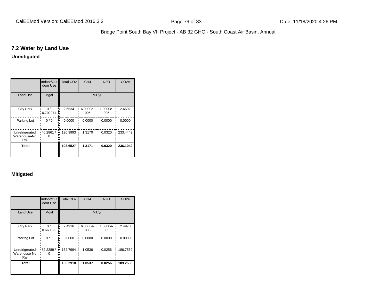### **7.2 Water by Land Use**

# **Unmitigated**

|                                        | Indoor/Out<br>door Use | <b>Total CO2</b> | CH <sub>4</sub> | <b>N2O</b>      | CO <sub>2e</sub> |  |  |
|----------------------------------------|------------------------|------------------|-----------------|-----------------|------------------|--|--|
| <b>Land Use</b>                        | Mgal                   | MT/yr            |                 |                 |                  |  |  |
| <b>City Park</b>                       | $\Omega$<br>0.702974   | 2.6534           | 6.0000e-<br>005 | 1.0000e-<br>005 | 2.6592           |  |  |
| Parking Lot                            | 0/0                    | 0.0000           | 0.0000          | 0.0000          | 0.0000           |  |  |
| Unrefrigerated<br>Warehouse-No<br>Rail | 40.2861 /              | 190.9993         | 1.3170          | 0.0320          | 233.4449         |  |  |
| Total                                  |                        | 193.6527         | 1.3171          | 0.0320          | 236.1042         |  |  |

|                                        | Indoor/Out<br>door Use | Total CO <sub>2</sub> | CH <sub>4</sub> | N2O             | CO <sub>2e</sub> |  |  |  |
|----------------------------------------|------------------------|-----------------------|-----------------|-----------------|------------------|--|--|--|
| <b>Land Use</b>                        | Mgal                   | MT/yr                 |                 |                 |                  |  |  |  |
| <b>City Park</b>                       | $\Omega$ /<br>0.660093 | 2.4916                | 6.0000e-<br>005 | 1.0000e-<br>005 | 2.4970           |  |  |  |
| Parking Lot                            | 0/0                    | 0.0000                | 0.0000          | 0.0000          | 0.0000           |  |  |  |
| Unrefrigerated<br>Warehouse-No<br>Rail | 32.2289 /<br>$\bullet$ | 152.7994              | 1.0536          | 0.0256          | 186.7559         |  |  |  |
| Total                                  |                        | 155.2910              | 1.0537          | 0.0256          | 189.2530         |  |  |  |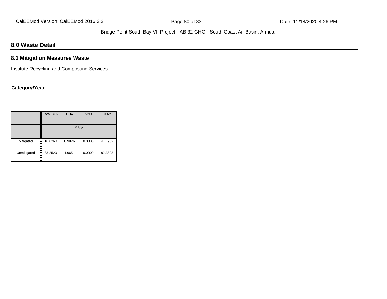# **8.0 Waste Detail**

# **8.1 Mitigation Measures Waste**

Institute Recycling and Composting Services

# **Category/Year**

|             | Total CO <sub>2</sub> | CH <sub>4</sub> | <b>N2O</b> | CO <sub>2e</sub> |  |  |  |  |  |
|-------------|-----------------------|-----------------|------------|------------------|--|--|--|--|--|
|             | MT/yr                 |                 |            |                  |  |  |  |  |  |
| Mitigated   | 16.6260<br><br><br>   | 0.9826          | 0.0000     | 41.1902          |  |  |  |  |  |
| Unmitigated | 33.2520<br><br><br>   | 1.9651          | 0.0000     | 82.3803          |  |  |  |  |  |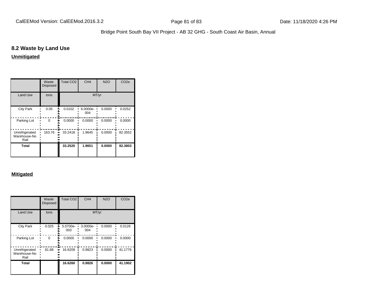# **8.2 Waste by Land Use**

### **Unmitigated**

|                                        | Waste<br><b>Disposed</b> | <b>Total CO2</b> | CH <sub>4</sub> | <b>N2O</b> | CO <sub>2e</sub> |  |  |
|----------------------------------------|--------------------------|------------------|-----------------|------------|------------------|--|--|
| <b>Land Use</b>                        | tons                     | MT/yr            |                 |            |                  |  |  |
| <b>City Park</b>                       | 0.05                     | 0.0102           | 6.0000e-<br>004 | 0.0000     | 0.0252           |  |  |
| Parking Lot                            | $\Omega$                 | 0.0000           | 0.0000          | 0.0000     | 0.0000           |  |  |
| Unrefrigerated<br>Warehouse-No<br>Rail | 163.76                   | 33.2418          | 1.9645          | 0.0000     | 82.3552          |  |  |
| Total                                  |                          | 33.2520          | 1.9651          | 0.0000     | 82.3803          |  |  |

|                                        | Waste<br><b>Disposed</b> | Total CO <sub>2</sub> | CH <sub>4</sub> | <b>N2O</b> | CO <sub>2e</sub> |  |  |  |
|----------------------------------------|--------------------------|-----------------------|-----------------|------------|------------------|--|--|--|
| <b>Land Use</b>                        | tons                     | MT/yr                 |                 |            |                  |  |  |  |
| <b>City Park</b>                       | 0.025                    | 5.0700e-<br>003       | 3.0000e-<br>004 | 0.0000     | 0.0126           |  |  |  |
| Parking Lot                            | $\Omega$                 | 0.0000                | 0.0000          | 0.0000     | 0.0000           |  |  |  |
| Unrefrigerated<br>Warehouse-No<br>Rail | 81.88                    | 16.6209               | 0.9823          | 0.0000     | 41.1776          |  |  |  |
| Total                                  |                          | 16.6260               | 0.9826          | 0.0000     | 41.1902          |  |  |  |